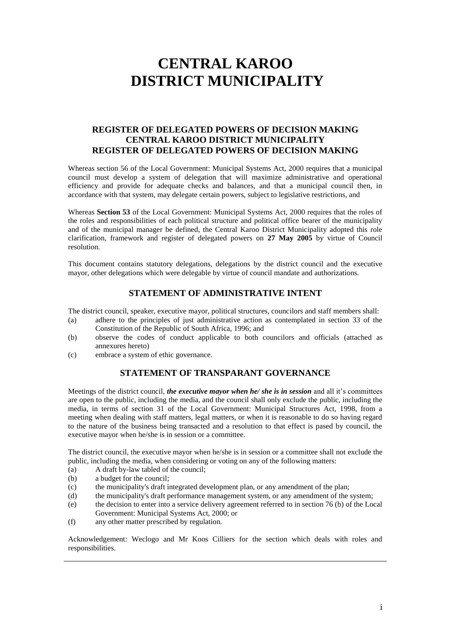# **CENTRAL KAROO DISTRICT MUNICIPALITY**

# **REGISTER OF DELEGATED POWERS OF DECISION MAKING CENTRAL KAROO DISTRICT MUNICIPALITY REGISTER OF DELEGATED POWERS OF DECISION MAKING**

Whereas section 56 of the Local Government: Municipal Systems Act, 2000 requires that a municipal council must develop a system of delegation that will maximize administrative and operational efficiency and provide for adequate checks and balances, and that a municipal council then, in accordance with that system, may delegate certain powers, subject to legislative restrictions, and

Whereas **Section 53** of the Local Government: Municipal Systems Act, 2000 requires that the roles of the roles and responsibilities of each political structure and political office bearer of the municipality and of the municipal manager be defined, the Central Karoo District Municipality adopted this role clarification, framework and register of delegated powers on **27 May 2005** by virtue of Council resolution.

This document contains statutory delegations, delegations by the district council and the executive mayor, other delegations which were delegable by virtue of council mandate and authorizations.

# **STATEMENT OF ADMINISTRATIVE INTENT**

The district council, speaker, executive mayor, political structures, councilors and staff members shall:

- (a) adhere to the principles of just administrative action as contemplated in section 33 of the Constitution of the Republic of South Africa, 1996; and
- (b) observe the codes of conduct applicable to both councilors and officials (attached as annexures hereto)
- (c) embrace a system of ethic governance.

#### **STATEMENT OF TRANSPARANT GOVERNANCE**

Meetings of the district council, *the executive mayor when he/ she is in session* and all it's committees are open to the public, including the media, and the council shall only exclude the public, including the media, in terms of section 31 of the Local Government: Municipal Structures Act, 1998, from a meeting when dealing with staff matters, legal matters, or when it is reasonable to do so having regard to the nature of the business being transacted and a resolution to that effect is pased by council, the executive mayor when he/she is in session or a committee.

The district council, the executive mayor when he/she is in session or a committee shall not exclude the public, including the media, when considering or voting on any of the following matters:

- (a) A draft by-law tabled of the council;
- (b) a budget for the council;
- (c) the municipality's draft integrated development plan, or any amendment of the plan;
- (d) the municipality's draft performance management system, or any amendment of the system;
- (e) the decision to enter into a service delivery agreement referred to in section 76 (b) of the Local Government: Municipal Systems Act, 2000; or
- (f) any other matter prescribed by regulation.

Acknowledgement: Weclogo and Mr Koos Cilliers for the section which deals with roles and responsibilities.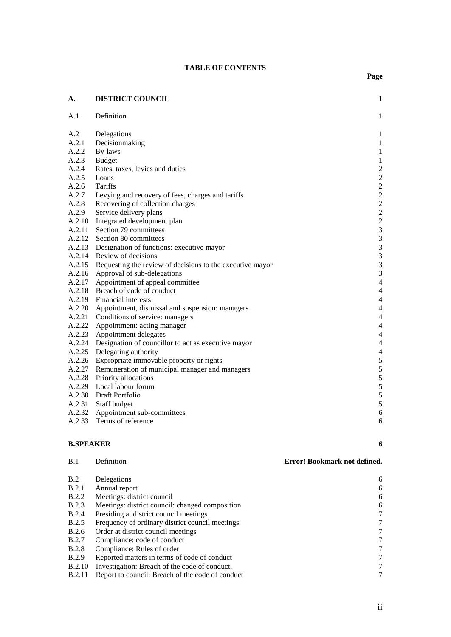#### **TABLE OF CONTENTS**

| A.     | <b>DISTRICT COUNCIL</b>                                          | $\mathbf{1}$            |  |  |  |
|--------|------------------------------------------------------------------|-------------------------|--|--|--|
| A.1    | Definition                                                       | $\mathbf{1}$            |  |  |  |
| A.2    | Delegations                                                      | $\mathbf 1$             |  |  |  |
| A.2.1  | Decisionmaking                                                   | $\mathbf 1$             |  |  |  |
| A.2.2  | By-laws                                                          | $\mathbf{1}$            |  |  |  |
| A.2.3  | <b>Budget</b>                                                    | $\,1\,$                 |  |  |  |
| A.2.4  | Rates, taxes, levies and duties                                  | $\overline{c}$          |  |  |  |
| A.2.5  | Loans                                                            | $\overline{c}$          |  |  |  |
| A.2.6  | Tariffs                                                          | $\overline{c}$          |  |  |  |
| A.2.7  | Levying and recovery of fees, charges and tariffs                | $\overline{c}$          |  |  |  |
| A.2.8  | Recovering of collection charges                                 | $\overline{\mathbf{c}}$ |  |  |  |
| A.2.9  | Service delivery plans                                           | $\overline{c}$          |  |  |  |
| A.2.10 | Integrated development plan                                      | $\frac{2}{3}$           |  |  |  |
|        | A.2.11 Section 79 committees                                     |                         |  |  |  |
|        | A.2.12 Section 80 committees                                     | 3                       |  |  |  |
|        | A.2.13 Designation of functions: executive mayor                 | 3                       |  |  |  |
|        | A.2.14 Review of decisions                                       | 3                       |  |  |  |
|        | A.2.15 Requesting the review of decisions to the executive mayor |                         |  |  |  |
|        | A.2.16 Approval of sub-delegations                               | 3<br>3                  |  |  |  |
|        | A.2.17 Appointment of appeal committee                           | $\overline{4}$          |  |  |  |
|        | A.2.18 Breach of code of conduct                                 | $\overline{4}$          |  |  |  |
|        | $\overline{4}$<br>A.2.19 Financial interests                     |                         |  |  |  |
|        | A.2.20 Appointment, dismissal and suspension: managers           | $\overline{4}$          |  |  |  |
|        | A.2.21 Conditions of service: managers                           | $\overline{4}$          |  |  |  |
| A.2.22 | Appointment: acting manager                                      | $\overline{4}$          |  |  |  |
| A.2.23 | Appointment delegates                                            | $\overline{4}$          |  |  |  |
| A.2.24 | Designation of councillor to act as executive mayor              | $\overline{4}$          |  |  |  |
| A.2.25 | Delegating authority                                             | $\overline{4}$          |  |  |  |
|        | A.2.26 Expropriate immovable property or rights                  |                         |  |  |  |
|        | A.2.27 Remuneration of municipal manager and managers            | $\frac{5}{5}$           |  |  |  |
|        | A.2.28 Priority allocations                                      | $\overline{5}$          |  |  |  |
|        | A.2.29 Local labour forum                                        | 5                       |  |  |  |
|        | A.2.30 Draft Portfolio                                           | 5                       |  |  |  |
|        | A.2.31 Staff budget                                              | 5                       |  |  |  |
|        | A.2.32 Appointment sub-committees                                | 6                       |  |  |  |
| A.2.33 | Terms of reference                                               | 6                       |  |  |  |
|        |                                                                  |                         |  |  |  |

# **[B.SPEAKER](#page-15-2) 6**

| B.1           | Definition                                       | Error! Bookmark not defined. |
|---------------|--------------------------------------------------|------------------------------|
| B.2           | Delegations                                      | 6                            |
| B.2.1         | Annual report                                    | 6                            |
| <b>B.2.2</b>  | Meetings: district council                       | 6                            |
| <b>B.2.3</b>  | Meetings: district council: changed composition  | 6                            |
| <b>B.2.4</b>  | Presiding at district council meetings           | 7                            |
| <b>B.2.5</b>  | Frequency of ordinary district council meetings  | $\tau$                       |
| B.2.6         | Order at district council meetings               | 7                            |
| <b>B.2.7</b>  | Compliance: code of conduct                      | 7                            |
| <b>B.2.8</b>  | Compliance: Rules of order                       | 7                            |
| <b>B.2.9</b>  | Reported matters in terms of code of conduct     | $\tau$                       |
| <b>B.2.10</b> | Investigation: Breach of the code of conduct.    | $\tau$                       |
| <b>B.2.11</b> | Report to council: Breach of the code of conduct |                              |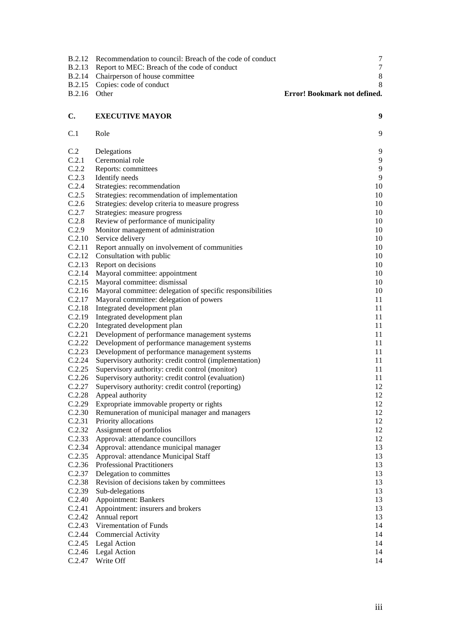| B.2.12           | Recommendation to council: Breach of the code of conduct                  | $\tau$                       |
|------------------|---------------------------------------------------------------------------|------------------------------|
| B.2.13           | Report to MEC: Breach of the code of conduct                              | $\boldsymbol{7}$             |
| <b>B.2.14</b>    | Chairperson of house committee                                            | $\,8\,$                      |
| <b>B.2.15</b>    | Copies: code of conduct                                                   | 8                            |
| <b>B.2.16</b>    | Other                                                                     | Error! Bookmark not defined. |
|                  |                                                                           |                              |
| C.               | <b>EXECUTIVE MAYOR</b>                                                    | 9                            |
| C.1              | Role                                                                      | 9                            |
| C.2              | Delegations                                                               | 9                            |
| C.2.1            | Ceremonial role                                                           | 9                            |
| C.2.2            | Reports: committees                                                       | 9                            |
| C.2.3            | Identify needs                                                            | 9                            |
| C.2.4            | Strategies: recommendation                                                | 10                           |
| C.2.5            | Strategies: recommendation of implementation                              | 10                           |
| C.2.6            | Strategies: develop criteria to measure progress                          | 10                           |
| C.2.7            | Strategies: measure progress                                              | 10                           |
| C.2.8            | Review of performance of municipality                                     | 10                           |
| C.2.9            | Monitor management of administration                                      | 10                           |
| C.2.10           | Service delivery                                                          | 10                           |
| C.2.11           | Report annually on involvement of communities                             | 10                           |
| C.2.12           | Consultation with public                                                  | 10                           |
| C.2.13           | Report on decisions                                                       | 10                           |
| C.2.14           | Mayoral committee: appointment                                            | 10                           |
| C.2.15           | Mayoral committee: dismissal                                              | 10                           |
| C.2.16           | Mayoral committee: delegation of specific responsibilities                | 10                           |
| C.2.17           | Mayoral committee: delegation of powers                                   | 11                           |
| C.2.18           | Integrated development plan                                               | 11                           |
| C.2.19           | Integrated development plan                                               | 11                           |
| C.2.20           | Integrated development plan                                               | 11                           |
| C.2.21           | Development of performance management systems                             | 11                           |
| C.2.22           | Development of performance management systems                             | $11\,$                       |
| C.2.23           | Development of performance management systems                             | 11                           |
| C.2.24           | Supervisory authority: credit control (implementation)                    | 11                           |
| C.2.25           | Supervisory authority: credit control (monitor)                           | 11                           |
| C.2.26           | Supervisory authority: credit control (evaluation)                        | 11                           |
| C.2.27           | Supervisory authority: credit control (reporting)                         | 12                           |
| C.2.28           | Appeal authority                                                          | 12                           |
| C.2.29           | Expropriate immovable property or rights                                  | 12                           |
| C.2.30           | Remuneration of municipal manager and managers                            | 12                           |
| C.2.31<br>C.2.32 | Priority allocations                                                      | 12                           |
| C.2.33           | Assignment of portfolios                                                  | 12<br>12                     |
| C.2.34           | Approval: attendance councillors                                          |                              |
| C.2.35           | Approval: attendance municipal manager                                    | 13<br>13                     |
| C.2.36           | Approval: attendance Municipal Staff<br><b>Professional Practitioners</b> | 13                           |
| C.2.37           | Delegation to committes                                                   | 13                           |
| C.2.38           | Revision of decisions taken by committees                                 | 13                           |
| C.2.39           | Sub-delegations                                                           | 13                           |
| C.2.40           | <b>Appointment: Bankers</b>                                               | 13                           |
| C.2.41           | Appointment: insurers and brokers                                         | 13                           |
| C.2.42           | Annual report                                                             | 13                           |
|                  | C.2.43 Virementation of Funds                                             | 14                           |
|                  | C.2.44 Commercial Activity                                                | 14                           |
|                  | C.2.45 Legal Action                                                       | 14                           |
|                  | C.2.46 Legal Action                                                       | 14                           |
| C.2.47           | Write Off                                                                 | 14                           |
|                  |                                                                           |                              |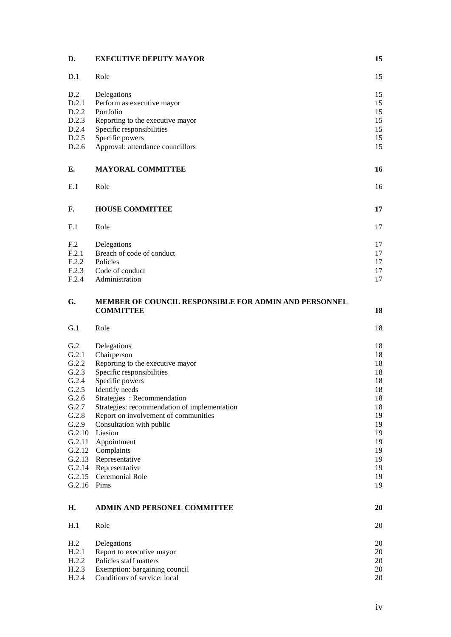| D.                                                                                                                      | <b>EXECUTIVE DEPUTY MAYOR</b>                                                                                                                                                                                                                                                                                                                                                                                 | 15                                                                                                 |
|-------------------------------------------------------------------------------------------------------------------------|---------------------------------------------------------------------------------------------------------------------------------------------------------------------------------------------------------------------------------------------------------------------------------------------------------------------------------------------------------------------------------------------------------------|----------------------------------------------------------------------------------------------------|
| D.1                                                                                                                     | Role                                                                                                                                                                                                                                                                                                                                                                                                          | 15                                                                                                 |
| D.2<br>D.2.1<br>D.2.2<br>D.2.3<br>D.2.4<br>D.2.5<br>D.2.6                                                               | Delegations<br>Perform as executive mayor<br>Portfolio<br>Reporting to the executive mayor<br>Specific responsibilities<br>Specific powers<br>Approval: attendance councillors                                                                                                                                                                                                                                | 15<br>15<br>15<br>15<br>15<br>15<br>15                                                             |
| Е.                                                                                                                      | <b>MAYORAL COMMITTEE</b>                                                                                                                                                                                                                                                                                                                                                                                      | 16                                                                                                 |
| E.1                                                                                                                     | Role                                                                                                                                                                                                                                                                                                                                                                                                          | 16                                                                                                 |
| F.                                                                                                                      | <b>HOUSE COMMITTEE</b>                                                                                                                                                                                                                                                                                                                                                                                        | 17                                                                                                 |
| F <sub>1</sub>                                                                                                          | Role                                                                                                                                                                                                                                                                                                                                                                                                          | 17                                                                                                 |
| F <sub>.2</sub><br>F.2.1<br>F.2.2<br>F.2.3<br>F.2.4                                                                     | Delegations<br>Breach of code of conduct<br>Policies<br>Code of conduct<br>Administration                                                                                                                                                                                                                                                                                                                     | 17<br>17<br>17<br>17<br>17                                                                         |
| G.                                                                                                                      | MEMBER OF COUNCIL RESPONSIBLE FOR ADMIN AND PERSONNEL<br><b>COMMITTEE</b>                                                                                                                                                                                                                                                                                                                                     | 18                                                                                                 |
| G.1                                                                                                                     | Role                                                                                                                                                                                                                                                                                                                                                                                                          | 18                                                                                                 |
| G.2<br>G.2.1<br>G.2.2<br>G.2.3<br>G.2.4<br>G.2.5<br>G.2.6<br>G.2.7<br>G.2.8<br>G.2.9<br>G.2.10<br>G.2.11<br>G.2.16 Pims | Delegations<br>Chairperson<br>Reporting to the executive mayor<br>Specific responsibilities<br>Specific powers<br>Identify needs<br>Strategies: Recommendation<br>Strategies: recommendation of implementation<br>Report on involvement of communities<br>Consultation with public<br>Liasion<br>Appointment<br>G.2.12 Complaints<br>G.2.13 Representative<br>G.2.14 Representative<br>G.2.15 Ceremonial Role | 18<br>18<br>18<br>18<br>18<br>18<br>18<br>18<br>19<br>19<br>19<br>19<br>19<br>19<br>19<br>19<br>19 |
| Н.                                                                                                                      | ADMIN AND PERSONEL COMMITTEE                                                                                                                                                                                                                                                                                                                                                                                  | 20                                                                                                 |
| H.1                                                                                                                     | Role                                                                                                                                                                                                                                                                                                                                                                                                          | 20                                                                                                 |
| H.2<br>H.2.1<br>H.2.2<br>H.2.3<br>H.2.4                                                                                 | Delegations<br>Report to executive mayor<br>Policies staff matters<br>Exemption: bargaining council<br>Conditions of service: local                                                                                                                                                                                                                                                                           | 20<br>20<br>20<br>20<br>20                                                                         |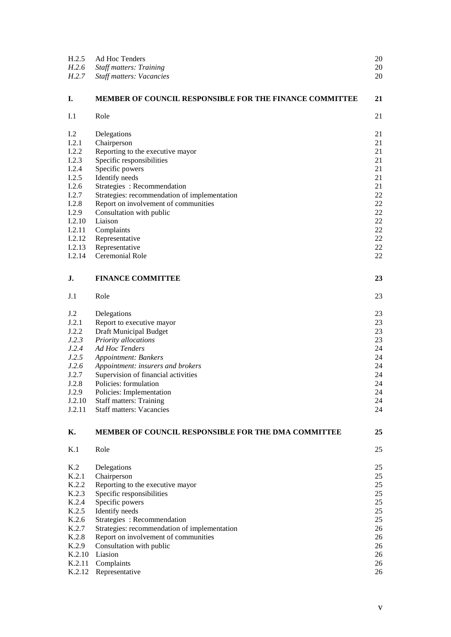| H.2.5          | Ad Hoc Tenders                                                 | 20 |
|----------------|----------------------------------------------------------------|----|
| H.2.6          | <b>Staff matters: Training</b>                                 | 20 |
| H.2.7          | <b>Staff matters: Vacancies</b>                                | 20 |
| Ι.             | <b>MEMBER OF COUNCIL RESPONSIBLE FOR THE FINANCE COMMITTEE</b> | 21 |
| I.1            | Role                                                           | 21 |
| 1.2            | Delegations                                                    | 21 |
| I.2.1          | Chairperson                                                    | 21 |
| I.2.2          | Reporting to the executive mayor                               | 21 |
| I.2.3          | Specific responsibilities                                      | 21 |
| I.2.4          | Specific powers                                                | 21 |
| I.2.5          | Identify needs                                                 | 21 |
| I.2.6          | Strategies: Recommendation                                     | 21 |
| I.2.7          | Strategies: recommendation of implementation                   | 22 |
| I.2.8          | Report on involvement of communities                           | 22 |
| I.2.9          | Consultation with public                                       | 22 |
| I.2.10         | Liaison                                                        | 22 |
| I.2.11         | Complaints                                                     | 22 |
| I.2.12         | Representative                                                 | 22 |
| I.2.13         | Representative                                                 | 22 |
| I.2.14         | Ceremonial Role                                                | 22 |
| J.             | <b>FINANCE COMMITTEE</b>                                       | 23 |
| J.1            | Role                                                           | 23 |
| J.2            | Delegations                                                    | 23 |
| J.2.1          | Report to executive mayor                                      | 23 |
| J.2.2          | Draft Municipal Budget                                         | 23 |
| J.2.3          | Priority allocations                                           | 23 |
| J.2.4          | Ad Hoc Tenders                                                 | 24 |
| J.2.5          | <b>Appointment: Bankers</b>                                    | 24 |
| J.2.6          | Appointment: insurers and brokers                              | 24 |
| J.2.7          | Supervision of financial activities                            | 24 |
| J.2.8          | Policies: formulation                                          | 24 |
| J.2.9          | Policies: Implementation                                       | 24 |
| J.2.10         | <b>Staff matters: Training</b>                                 | 24 |
| J.2.11         | <b>Staff matters: Vacancies</b>                                | 24 |
| К.             | <b>MEMBER OF COUNCIL RESPONSIBLE FOR THE DMA COMMITTEE</b>     | 25 |
| K <sub>1</sub> | Role                                                           | 25 |
| K.2            | Delegations                                                    | 25 |
| K.2.1          | Chairperson                                                    | 25 |
| K.2.2          | Reporting to the executive mayor                               | 25 |
| K.2.3          | Specific responsibilities                                      | 25 |
| K.2.4          | Specific powers                                                | 25 |
| K.2.5          | Identify needs                                                 | 25 |
| K.2.6          | Strategies: Recommendation                                     | 25 |
| K.2.7          | Strategies: recommendation of implementation                   | 26 |
| K.2.8          | Report on involvement of communities                           | 26 |
| K.2.9          | Consultation with public                                       | 26 |
| K.2.10         | Liasion                                                        | 26 |
| K.2.11         | Complaints                                                     | 26 |
| K.2.12         | Representative                                                 | 26 |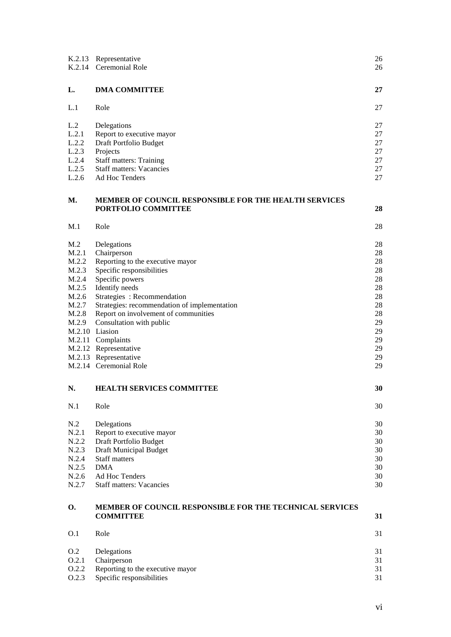| K.2.13         | Representative<br>K.2.14 Ceremonial Role                                     | 26<br>26 |
|----------------|------------------------------------------------------------------------------|----------|
| L.             | <b>DMA COMMITTEE</b>                                                         | 27       |
| L.1            | Role                                                                         | 27       |
| L.2            | Delegations                                                                  | 27       |
| L.2.1          | Report to executive mayor                                                    | 27       |
| L.2.2          | Draft Portfolio Budget                                                       | 27       |
| L.2.3          | Projects                                                                     | 27       |
| L.2.4          | <b>Staff matters: Training</b>                                               | 27       |
| L.2.5          | <b>Staff matters: Vacancies</b>                                              | 27       |
| L.2.6          | Ad Hoc Tenders                                                               | 27       |
| М.             | MEMBER OF COUNCIL RESPONSIBLE FOR THE HEALTH SERVICES                        |          |
|                | PORTFOLIO COMMITTEE                                                          | 28       |
| M.1            | Role                                                                         | 28       |
| M.2            | Delegations                                                                  | 28       |
| M.2.1          | Chairperson                                                                  | 28       |
| M.2.2          | Reporting to the executive mayor                                             | 28       |
| M.2.3          | Specific responsibilities                                                    | 28       |
| M.2.4<br>M.2.5 | Specific powers<br>Identify needs                                            | 28<br>28 |
| M.2.6          | Strategies: Recommendation                                                   | 28       |
| M.2.7          | Strategies: recommendation of implementation                                 | 28       |
| M.2.8          | Report on involvement of communities                                         | 28       |
| M.2.9          | Consultation with public                                                     | 29       |
|                | M.2.10 Liasion                                                               | 29       |
|                | M.2.11 Complaints                                                            | 29       |
|                | M.2.12 Representative                                                        | 29       |
|                | M.2.13 Representative                                                        | 29       |
|                | M.2.14 Ceremonial Role                                                       | 29       |
| N.             | <b>HEALTH SERVICES COMMITTEE</b>                                             | 30       |
| N.1            | Role                                                                         | 30       |
| N.2            | Delegations                                                                  | 30       |
| N.2.1          | Report to executive mayor                                                    | 30       |
| N.2.2          | Draft Portfolio Budget                                                       | 30       |
| N.2.3          | Draft Municipal Budget                                                       | 30       |
| N.2.4          | <b>Staff matters</b>                                                         | 30       |
| N.2.5          | <b>DMA</b>                                                                   | 30       |
| N.2.6          | Ad Hoc Tenders                                                               | 30       |
| N.2.7          | <b>Staff matters: Vacancies</b>                                              | 30       |
| О.             | MEMBER OF COUNCIL RESPONSIBLE FOR THE TECHNICAL SERVICES<br><b>COMMITTEE</b> | 31       |
| O.1            | Role                                                                         | 31       |
| O.2            | Delegations                                                                  | 31       |
| 0.2.1          | Chairperson                                                                  | 31       |
| 0.2.2          | Reporting to the executive mayor                                             | 31       |
| 0.2.3          | Specific responsibilities                                                    | 31       |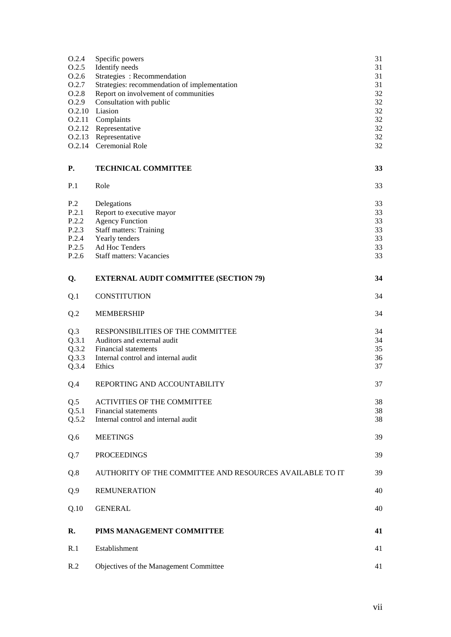| O.2.4<br>0.2.5<br>0.2.6<br>O.2.7<br>O.2.8<br>0.2.9                    | Specific powers<br>Identify needs<br>Strategies: Recommendation<br>Strategies: recommendation of implementation<br>Report on involvement of communities<br>Consultation with public<br>O.2.10 Liasion<br>O.2.11 Complaints<br>O.2.12 Representative<br>O.2.13 Representative<br>O.2.14 Ceremonial Role | 31<br>31<br>31<br>31<br>32<br>32<br>32<br>32<br>32<br>32<br>32 |
|-----------------------------------------------------------------------|--------------------------------------------------------------------------------------------------------------------------------------------------------------------------------------------------------------------------------------------------------------------------------------------------------|----------------------------------------------------------------|
| P.                                                                    | <b>TECHNICAL COMMITTEE</b>                                                                                                                                                                                                                                                                             | 33                                                             |
| P.1                                                                   | Role                                                                                                                                                                                                                                                                                                   | 33                                                             |
| P <sub>.2</sub><br>P.2.1<br>P.2.2<br>P.2.3<br>P.2.4<br>P.2.5<br>P.2.6 | Delegations<br>Report to executive mayor<br><b>Agency Function</b><br><b>Staff matters: Training</b><br>Yearly tenders<br>Ad Hoc Tenders<br><b>Staff matters: Vacancies</b>                                                                                                                            | 33<br>33<br>33<br>33<br>33<br>33<br>33                         |
| Q.                                                                    | <b>EXTERNAL AUDIT COMMITTEE (SECTION 79)</b>                                                                                                                                                                                                                                                           | 34                                                             |
| Q <sub>1</sub>                                                        | <b>CONSTITUTION</b>                                                                                                                                                                                                                                                                                    | 34                                                             |
| Q.2                                                                   | <b>MEMBERSHIP</b>                                                                                                                                                                                                                                                                                      | 34                                                             |
| Q.3<br>Q.3.1<br>Q.3.2<br>Q.3.3<br>Q.3.4                               | RESPONSIBILITIES OF THE COMMITTEE<br>Auditors and external audit<br>Financial statements<br>Internal control and internal audit<br>Ethics                                                                                                                                                              | 34<br>34<br>35<br>36<br>37                                     |
| Q.4                                                                   | REPORTING AND ACCOUNTABILITY                                                                                                                                                                                                                                                                           | 37                                                             |
| Q.5<br>Q.5.1<br>Q.5.2                                                 | <b>ACTIVITIES OF THE COMMITTEE</b><br>Financial statements<br>Internal control and internal audit                                                                                                                                                                                                      | 38<br>38<br>38                                                 |
| Q.6                                                                   | <b>MEETINGS</b>                                                                                                                                                                                                                                                                                        | 39                                                             |
| Q.7                                                                   | <b>PROCEEDINGS</b>                                                                                                                                                                                                                                                                                     | 39                                                             |
| Q.8                                                                   | AUTHORITY OF THE COMMITTEE AND RESOURCES AVAILABLE TO IT                                                                                                                                                                                                                                               | 39                                                             |
| Q.9                                                                   | <b>REMUNERATION</b>                                                                                                                                                                                                                                                                                    | 40                                                             |
| Q.10                                                                  | <b>GENERAL</b>                                                                                                                                                                                                                                                                                         | 40                                                             |
| R.                                                                    | PIMS MANAGEMENT COMMITTEE                                                                                                                                                                                                                                                                              | 41                                                             |
| R.1                                                                   | Establishment                                                                                                                                                                                                                                                                                          | 41                                                             |
| R.2                                                                   | Objectives of the Management Committee                                                                                                                                                                                                                                                                 | 41                                                             |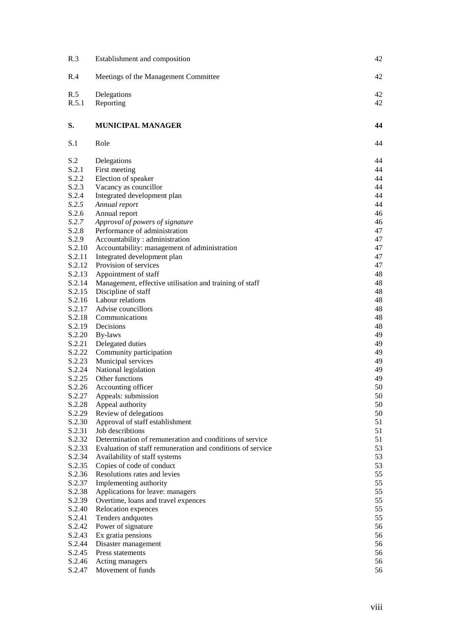| R.3    | Establishment and composition                              | 42       |  |  |
|--------|------------------------------------------------------------|----------|--|--|
| R.4    | Meetings of the Management Committee                       | 42       |  |  |
| R.5    | Delegations                                                |          |  |  |
| R.5.1  | Reporting                                                  | 42<br>42 |  |  |
| S.     | MUNICIPAL MANAGER                                          | 44       |  |  |
| S.1    | Role                                                       | 44       |  |  |
| S.2    | Delegations                                                | 44       |  |  |
| S.2.1  | First meeting                                              | 44       |  |  |
| S.2.2  | Election of speaker                                        | 44       |  |  |
| S.2.3  | Vacancy as councillor                                      | 44       |  |  |
| S.2.4  | Integrated development plan                                | 44       |  |  |
| S.2.5  | Annual report                                              | 44       |  |  |
| S.2.6  | Annual report                                              | 46       |  |  |
| S.2.7  | Approval of powers of signature                            | 46       |  |  |
| S.2.8  | Performance of administration                              | 47       |  |  |
| S.2.9  | Accountability: administration                             | 47       |  |  |
| S.2.10 | Accountability: management of administration               | 47       |  |  |
| S.2.11 | Integrated development plan                                | 47       |  |  |
|        | S.2.12 Provision of services                               | 47       |  |  |
| S.2.13 | Appointment of staff                                       | 48       |  |  |
| S.2.14 | Management, effective utilisation and training of staff    | 48       |  |  |
| S.2.15 | Discipline of staff                                        | 48       |  |  |
| S.2.16 | Labour relations                                           | 48       |  |  |
| S.2.17 | Advise councillors                                         | 48       |  |  |
| S.2.18 | Communications                                             | 48       |  |  |
| S.2.19 | Decisions                                                  | 48       |  |  |
| S.2.20 | By-laws                                                    | 49       |  |  |
| S.2.21 | Delegated duties                                           | 49       |  |  |
| S.2.22 | Community participation                                    | 49       |  |  |
| S.2.23 | Municipal services                                         | 49       |  |  |
| S.2.24 | National legislation                                       | 49       |  |  |
| S.2.25 | Other functions                                            | 49       |  |  |
| S.2.26 | Accounting officer                                         | 50       |  |  |
| S.2.27 | Appeals: submission                                        | 50       |  |  |
| S.2.28 | Appeal authority                                           | 50       |  |  |
| S.2.29 | Review of delegations                                      | 50       |  |  |
| S.2.30 | Approval of staff establishment                            | 51       |  |  |
| S.2.31 | Job describtions                                           | 51       |  |  |
| S.2.32 | Determination of remuneration and conditions of service    | 51       |  |  |
| S.2.33 | Evaluation of staff remuneration and conditions of service | 53       |  |  |
| S.2.34 | Availability of staff systems                              | 53       |  |  |
| S.2.35 | Copies of code of conduct                                  | 53       |  |  |
| S.2.36 | Resolutions rates and levies                               | 55       |  |  |
| S.2.37 | Implementing authority                                     | 55       |  |  |
| S.2.38 | Applications for leave: managers                           | 55       |  |  |
| S.2.39 | Overtime, loans and travel expences                        | 55       |  |  |
| S.2.40 | Relocation expences                                        | 55       |  |  |
| S.2.41 | Tenders and<br>quotes                                      | 55       |  |  |
| S.2.42 | Power of signature                                         | 56       |  |  |
| S.2.43 | Ex gratia pensions                                         | 56       |  |  |
| S.2.44 | Disaster management                                        | 56       |  |  |
| S.2.45 | Press statements                                           | 56       |  |  |
| S.2.46 | Acting managers                                            | 56       |  |  |
| S.2.47 | Movement of funds                                          | 56       |  |  |
|        |                                                            |          |  |  |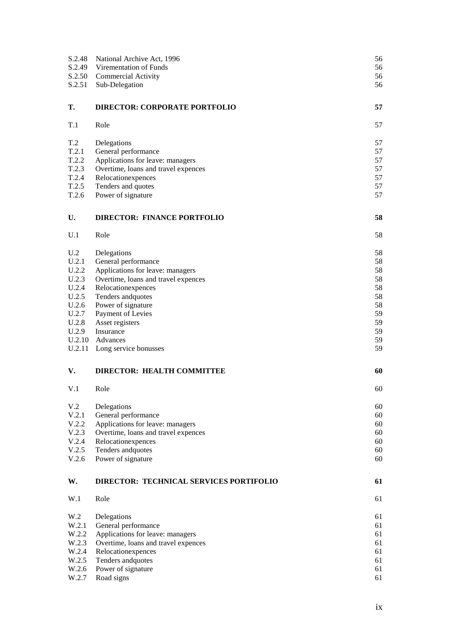| S.2.48<br>S.2.49<br>S.2.50<br>S.2.51 | National Archive Act, 1996<br>Virementation of Funds<br><b>Commercial Activity</b><br>Sub-Delegation | 56<br>56<br>56<br>56 |
|--------------------------------------|------------------------------------------------------------------------------------------------------|----------------------|
| Т.                                   | <b>DIRECTOR: CORPORATE PORTFOLIO</b>                                                                 | 57                   |
| T.1                                  | Role                                                                                                 | 57                   |
| T.2                                  | Delegations                                                                                          | 57                   |
| T.2.1                                | General performance                                                                                  | 57                   |
| T.2.2                                | Applications for leave: managers                                                                     | 57                   |
| T.2.3                                | Overtime, loans and travel expences                                                                  | 57                   |
| T.2.4                                | Relocationexpences                                                                                   | 57                   |
| T.2.5<br>T.2.6                       | Tenders and quotes<br>Power of signature                                                             | 57<br>57             |
| U.                                   | <b>DIRECTOR: FINANCE PORTFOLIO</b>                                                                   | 58                   |
| U.1                                  | Role                                                                                                 | 58                   |
| U.2                                  | Delegations                                                                                          | 58                   |
| U.2.1                                | General performance                                                                                  | 58                   |
| U.2.2                                | Applications for leave: managers                                                                     | 58                   |
| U.2.3                                | Overtime, loans and travel expences                                                                  | 58                   |
| U.2.4                                | Relocation<br>expences                                                                               | 58                   |
| U.2.5                                | Tenders and<br>quotes                                                                                | 58                   |
| U.2.6                                | Power of signature                                                                                   | 58                   |
| U.2.7                                | Payment of Levies                                                                                    | 59                   |
| U.2.8                                | Asset registers                                                                                      | 59                   |
| U.2.9<br>U.2.10                      | Insurance<br>Advances                                                                                | 59<br>59             |
| U.2.11                               | Long service bonusses                                                                                | 59                   |
| V.                                   | <b>DIRECTOR: HEALTH COMMITTEE</b>                                                                    | 60                   |
| V.1                                  | Role                                                                                                 | 60                   |
| V <sub>.2</sub>                      | Delegations                                                                                          | 60                   |
| V.2.1                                | General performance                                                                                  | 60                   |
| V.2.2                                | Applications for leave: managers                                                                     | 60                   |
| V.2.3                                | Overtime, loans and travel expences                                                                  | 60                   |
| V.2.4                                | Relocationexpences                                                                                   | 60                   |
| V.2.5                                | Tenders and<br>quotes                                                                                | 60                   |
| V.2.6                                | Power of signature                                                                                   | 60                   |
| W.                                   | DIRECTOR: TECHNICAL SERVICES PORTIFOLIO                                                              | 61                   |
| W.1                                  | Role                                                                                                 | 61                   |
| W.2                                  | Delegations                                                                                          | 61                   |
| W.2.1                                | General performance                                                                                  | 61                   |
| W.2.2                                | Applications for leave: managers                                                                     | 61                   |
| W.2.3                                | Overtime, loans and travel expences                                                                  | 61                   |
| W.2.4                                | Relocationexpences                                                                                   | 61                   |
| W.2.5                                | Tenders and<br>quotes                                                                                | 61                   |
| W.2.6                                | Power of signature                                                                                   | 61                   |
| W.2.7                                | Road signs                                                                                           | 61                   |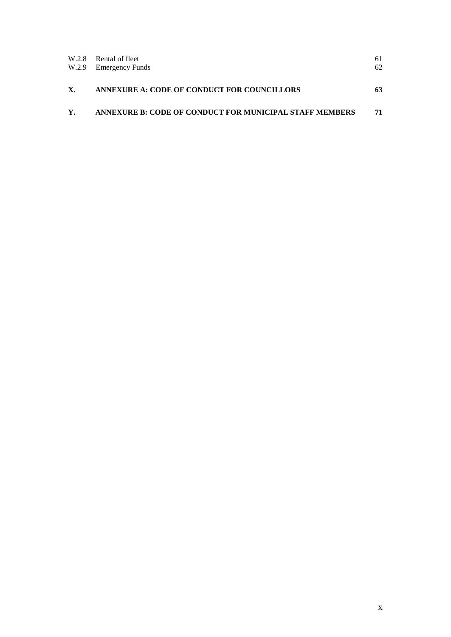|    | W.2.8 Rental of fleet<br>W.2.9 Emergency Funds          | 61<br>62 |
|----|---------------------------------------------------------|----------|
| X. | ANNEXURE A: CODE OF CONDUCT FOR COUNCILLORS             | 63       |
| Y. | ANNEXURE B: CODE OF CONDUCT FOR MUNICIPAL STAFF MEMBERS | 71       |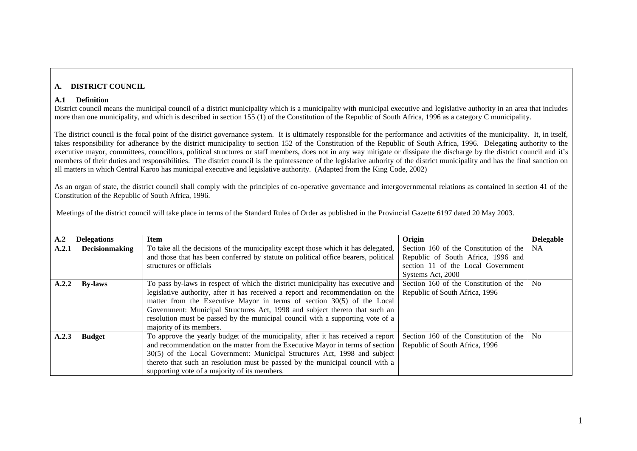#### **A. DISTRICT COUNCIL**

#### **A.1 Definition**

District council means the municipal council of a district municipality which is a municipality with municipal executive and legislative authority in an area that includes more than one municipality, and which is described in section 155 (1) of the Constitution of the Republic of South Africa, 1996 as a category C municipality.

The district council is the focal point of the district governance system. It is ultimately responsible for the performance and activities of the municipality. It, in itself, takes responsibility for adherance by the district municipality to section 152 of the Constitution of the Republic of South Africa, 1996. Delegating authority to the executive mayor, committees, councillors, political structures or staff members, does not in any way mitigate or dissipate the discharge by the district council and it's members of their duties and responsibilities. The district council is the quintessence of the legislative auhority of the district municipality and has the final sanction on all matters in which Central Karoo has municipal executive and legislative authority. (Adapted from the King Code, 2002)

As an organ of state, the district council shall comply with the principles of co-operative governance and intergovernmental relations as contained in section 41 of the Constitution of the Republic of South Africa, 1996.

<span id="page-10-5"></span><span id="page-10-4"></span><span id="page-10-3"></span><span id="page-10-2"></span><span id="page-10-1"></span><span id="page-10-0"></span>

| $\mathbf{A.2}$ | <b>Delegations</b>    | <b>Item</b>                                                                         | Origin                                 | <b>Delegable</b> |
|----------------|-----------------------|-------------------------------------------------------------------------------------|----------------------------------------|------------------|
| A.2.1          | <b>Decisionmaking</b> | To take all the decisions of the municipality except those which it has delegated,  | Section 160 of the Constitution of the | <b>NA</b>        |
|                |                       | and those that has been conferred by statute on political office bearers, political | Republic of South Africa, 1996 and     |                  |
|                |                       | structures or officials                                                             | section 11 of the Local Government     |                  |
|                |                       |                                                                                     | Systems Act, 2000                      |                  |
| A.2.2          | <b>By-laws</b>        | To pass by-laws in respect of which the district municipality has executive and     | Section 160 of the Constitution of the | N <sub>0</sub>   |
|                |                       | legislative authority, after it has received a report and recommendation on the     | Republic of South Africa, 1996         |                  |
|                |                       | matter from the Executive Mayor in terms of section 30(5) of the Local              |                                        |                  |
|                |                       | Government: Municipal Structures Act, 1998 and subject thereto that such an         |                                        |                  |
|                |                       | resolution must be passed by the municipal council with a supporting vote of a      |                                        |                  |
|                |                       | majority of its members.                                                            |                                        |                  |
| A.2.3          | <b>Budget</b>         | To approve the yearly budget of the municipality, after it has received a report    | Section 160 of the Constitution of the | N <sub>0</sub>   |
|                |                       | and recommendation on the matter from the Executive Mayor in terms of section       | Republic of South Africa, 1996         |                  |
|                |                       | 30(5) of the Local Government: Municipal Structures Act, 1998 and subject           |                                        |                  |
|                |                       | thereto that such an resolution must be passed by the municipal council with a      |                                        |                  |
|                |                       | supporting vote of a majority of its members.                                       |                                        |                  |

Meetings of the district council will take place in terms of the Standard Rules of Order as published in the Provincial Gazette 6197 dated 20 May 2003.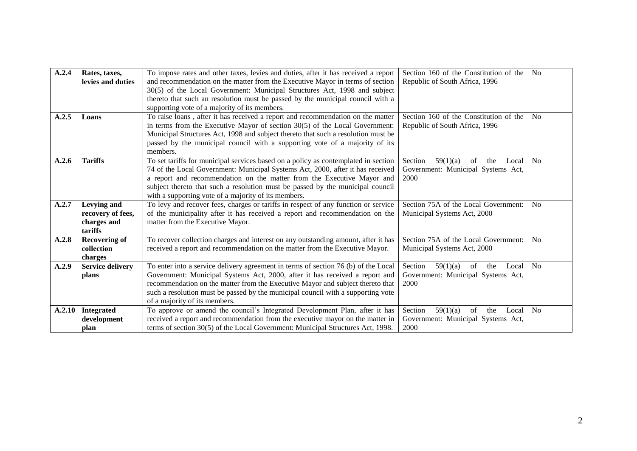<span id="page-11-6"></span><span id="page-11-5"></span><span id="page-11-4"></span><span id="page-11-3"></span><span id="page-11-2"></span><span id="page-11-1"></span><span id="page-11-0"></span>

| A.2.4  | Rates, taxes,           | To impose rates and other taxes, levies and duties, after it has received a report | Section 160 of the Constitution of the    | N <sub>o</sub> |
|--------|-------------------------|------------------------------------------------------------------------------------|-------------------------------------------|----------------|
|        | levies and duties       | and recommendation on the matter from the Executive Mayor in terms of section      | Republic of South Africa, 1996            |                |
|        |                         | 30(5) of the Local Government: Municipal Structures Act, 1998 and subject          |                                           |                |
|        |                         | thereto that such an resolution must be passed by the municipal council with a     |                                           |                |
|        |                         | supporting vote of a majority of its members.                                      |                                           |                |
| A.2.5  | Loans                   | To raise loans, after it has received a report and recommendation on the matter    | Section 160 of the Constitution of the    | N <sub>o</sub> |
|        |                         | in terms from the Executive Mayor of section $30(5)$ of the Local Government:      | Republic of South Africa, 1996            |                |
|        |                         | Municipal Structures Act, 1998 and subject thereto that such a resolution must be  |                                           |                |
|        |                         | passed by the municipal council with a supporting vote of a majority of its        |                                           |                |
|        |                         | members.                                                                           |                                           |                |
| A.2.6  | <b>Tariffs</b>          | To set tariffs for municipal services based on a policy as contemplated in section | Section<br>of<br>59(1)(a)<br>the<br>Local | N <sub>o</sub> |
|        |                         | 74 of the Local Government: Municipal Systems Act, 2000, after it has received     | Government: Municipal Systems Act,        |                |
|        |                         | a report and recommendation on the matter from the Executive Mayor and             | 2000                                      |                |
|        |                         | subject thereto that such a resolution must be passed by the municipal council     |                                           |                |
|        |                         | with a supporting vote of a majority of its members.                               |                                           |                |
| A.2.7  | Levying and             | To levy and recover fees, charges or tariffs in respect of any function or service | Section 75A of the Local Government:      | N <sub>o</sub> |
|        | recovery of fees,       | of the municipality after it has received a report and recommendation on the       | Municipal Systems Act, 2000               |                |
|        | charges and             | matter from the Executive Mayor.                                                   |                                           |                |
|        | tariffs                 |                                                                                    |                                           |                |
| A.2.8  | <b>Recovering of</b>    | To recover collection charges and interest on any outstanding amount, after it has | Section 75A of the Local Government:      | N <sub>o</sub> |
|        | collection              | received a report and recommendation on the matter from the Executive Mayor.       | Municipal Systems Act, 2000               |                |
|        | charges                 |                                                                                    |                                           |                |
| A.2.9  | <b>Service delivery</b> | To enter into a service delivery agreement in terms of section 76 (b) of the Local | Section<br>59(1)(a)<br>of<br>the<br>Local | N <sub>o</sub> |
|        | plans                   | Government: Municipal Systems Act, 2000, after it has received a report and        | Government: Municipal Systems Act,        |                |
|        |                         | recommendation on the matter from the Executive Mayor and subject thereto that     | 2000                                      |                |
|        |                         | such a resolution must be passed by the municipal council with a supporting vote   |                                           |                |
|        |                         | of a majority of its members.                                                      |                                           |                |
| A.2.10 | <b>Integrated</b>       | To approve or amend the council's Integrated Development Plan, after it has        | Section<br>of<br>59(1)(a)<br>the<br>Local | N <sub>o</sub> |
|        | development             | received a report and recommendation from the executive mayor on the matter in     | Government: Municipal Systems Act,        |                |
|        | plan                    | terms of section 30(5) of the Local Government: Municipal Structures Act, 1998.    | 2000                                      |                |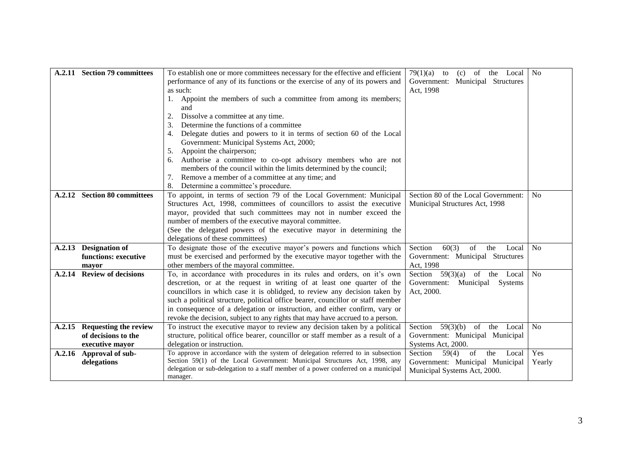<span id="page-12-5"></span><span id="page-12-4"></span><span id="page-12-3"></span><span id="page-12-2"></span><span id="page-12-1"></span><span id="page-12-0"></span>

|        | A.2.11 Section 79 committees | To establish one or more committees necessary for the effective and efficient      | 79(1)(a)<br>$(c)$ of<br>the Local      | N <sub>o</sub> |
|--------|------------------------------|------------------------------------------------------------------------------------|----------------------------------------|----------------|
|        |                              |                                                                                    | to                                     |                |
|        |                              | performance of any of its functions or the exercise of any of its powers and       | Government: Municipal Structures       |                |
|        |                              | as such:                                                                           | Act, 1998                              |                |
|        |                              | Appoint the members of such a committee from among its members;                    |                                        |                |
|        |                              | and                                                                                |                                        |                |
|        |                              | Dissolve a committee at any time.                                                  |                                        |                |
|        |                              | Determine the functions of a committee<br>3.                                       |                                        |                |
|        |                              | Delegate duties and powers to it in terms of section 60 of the Local<br>4.         |                                        |                |
|        |                              | Government: Municipal Systems Act, 2000;                                           |                                        |                |
|        |                              | Appoint the chairperson;                                                           |                                        |                |
|        |                              | Authorise a committee to co-opt advisory members who are not<br>6.                 |                                        |                |
|        |                              | members of the council within the limits determined by the council;                |                                        |                |
|        |                              | Remove a member of a committee at any time; and                                    |                                        |                |
|        |                              | Determine a committee's procedure.<br>8.                                           |                                        |                |
| A.2.12 | <b>Section 80 committees</b> | To appoint, in terms of section 79 of the Local Government: Municipal              | Section 80 of the Local Government:    | N <sub>o</sub> |
|        |                              |                                                                                    |                                        |                |
|        |                              | Structures Act, 1998, committees of councillors to assist the executive            | Municipal Structures Act, 1998         |                |
|        |                              | mayor, provided that such committees may not in number exceed the                  |                                        |                |
|        |                              | number of members of the executive mayoral committee.                              |                                        |                |
|        |                              | (See the delegated powers of the executive mayor in determining the                |                                        |                |
|        |                              | delegations of these committees)                                                   |                                        |                |
| A.2.13 | <b>Designation of</b>        | To designate those of the executive mayor's powers and functions which             | 60(3)<br>of<br>Section<br>the<br>Local | N <sub>o</sub> |
|        | functions: executive         | must be exercised and performed by the executive mayor together with the           | Government: Municipal Structures       |                |
|        | mayor                        | other members of the mayoral committee.                                            | Act, 1998                              |                |
| A.2.14 | <b>Review of decisions</b>   | To, in accordance with procedures in its rules and orders, on it's own             | Section $59(3)(a)$ of the Local        | N <sub>o</sub> |
|        |                              | descretion, or at the request in writing of at least one quarter of the            | Municipal<br>Government:<br>Systems    |                |
|        |                              | councillors in which case it is oblidged, to review any decision taken by          | Act, 2000.                             |                |
|        |                              | such a political structure, political office bearer, councillor or staff member    |                                        |                |
|        |                              | in consequence of a delegation or instruction, and either confirm, vary or         |                                        |                |
|        |                              | revoke the decision, subject to any rights that may have accrued to a person.      |                                        |                |
| A.2.15 | <b>Requesting the review</b> | To instruct the executive mayor to review any decision taken by a political        | 59(3)(b)<br>of the Local<br>Section    | N <sub>o</sub> |
|        | of decisions to the          | structure, political office bearer, councillor or staff member as a result of a    | Government: Municipal Municipal        |                |
|        | executive mayor              | delegation or instruction.                                                         | Systems Act, 2000.                     |                |
| A.2.16 | Approval of sub-             | To approve in accordance with the system of delegation referred to in subsection   | Section<br>59(4)<br>of<br>the<br>Local | Yes            |
|        | delegations                  | Section 59(1) of the Local Government: Municipal Structures Act, 1998, any         | Government: Municipal Municipal        | Yearly         |
|        |                              | delegation or sub-delegation to a staff member of a power conferred on a municipal | Municipal Systems Act, 2000.           |                |
|        |                              | manager.                                                                           |                                        |                |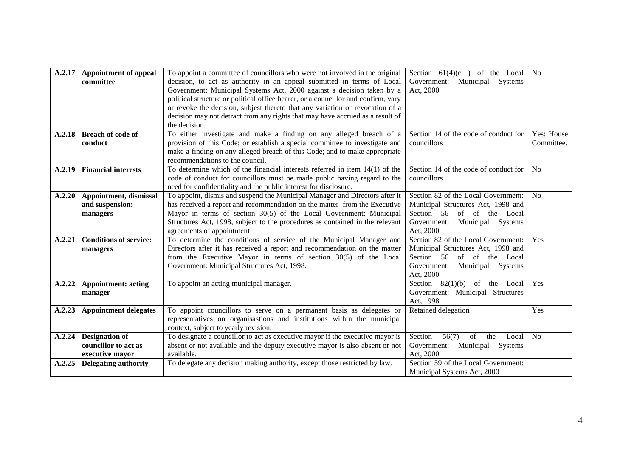<span id="page-13-8"></span><span id="page-13-7"></span><span id="page-13-6"></span><span id="page-13-5"></span><span id="page-13-4"></span><span id="page-13-3"></span><span id="page-13-2"></span><span id="page-13-1"></span><span id="page-13-0"></span>

| A.2.17 | <b>Appointment of appeal</b><br>committee | To appoint a committee of councillors who were not involved in the original<br>decision, to act as authority in an appeal submitted in terms of Local<br>Government: Municipal Systems Act, 2000 against a decision taken by a<br>political structure or political office bearer, or a councillor and confirm, vary<br>or revoke the decision, subjest thereto that any variation or revocation of a<br>decision may not detract from any rights that may have accrued as a result of<br>the decision. | Section $61(4)(c)$ of the Local<br>Government: Municipal<br>Systems<br>Act, 2000 | N <sub>o</sub>           |
|--------|-------------------------------------------|--------------------------------------------------------------------------------------------------------------------------------------------------------------------------------------------------------------------------------------------------------------------------------------------------------------------------------------------------------------------------------------------------------------------------------------------------------------------------------------------------------|----------------------------------------------------------------------------------|--------------------------|
| A.2.18 | <b>Breach of code of</b><br>conduct       | To either investigate and make a finding on any alleged breach of a<br>provision of this Code; or establish a special committee to investigate and                                                                                                                                                                                                                                                                                                                                                     | Section 14 of the code of conduct for<br>councillors                             | Yes: House<br>Committee. |
|        |                                           | make a finding on any alleged breach of this Code; and to make appropriate<br>recommendations to the council.                                                                                                                                                                                                                                                                                                                                                                                          |                                                                                  |                          |
| A.2.19 | <b>Financial interests</b>                | To determine which of the financial interests referred in item $14(1)$ of the<br>code of conduct for councillors must be made public having regard to the<br>need for confidentiality and the public interest for disclosure.                                                                                                                                                                                                                                                                          | Section 14 of the code of conduct for<br>councillors                             | <b>No</b>                |
| A.2.20 | Appointment, dismissal                    | To appoint, dismis and suspend the Municipal Manager and Directors after it                                                                                                                                                                                                                                                                                                                                                                                                                            | Section 82 of the Local Government:                                              | N <sub>o</sub>           |
|        | and suspension:<br>managers               | has received a report and recommendation on the matter from the Executive<br>Mayor in terms of section 30(5) of the Local Government: Municipal                                                                                                                                                                                                                                                                                                                                                        | Municipal Structures Act, 1998 and<br>Section 56 of of the Local                 |                          |
|        |                                           | Structures Act, 1998, subject to the procedures as contained in the relevant<br>agreements of appointment                                                                                                                                                                                                                                                                                                                                                                                              | Government:<br>Municipal Systems<br>Act, 2000                                    |                          |
| A.2.21 | <b>Conditions of service:</b>             | To determine the conditions of service of the Municipal Manager and                                                                                                                                                                                                                                                                                                                                                                                                                                    | Section 82 of the Local Government:                                              | Yes                      |
|        | managers                                  | Directors after it has received a report and recommendation on the matter<br>from the Executive Mayor in terms of section 30(5) of the Local                                                                                                                                                                                                                                                                                                                                                           | Municipal Structures Act, 1998 and<br>Section 56 of of the Local                 |                          |
|        |                                           | Government: Municipal Structures Act, 1998.                                                                                                                                                                                                                                                                                                                                                                                                                                                            | Government:<br>Municipal Systems<br>Act, 2000                                    |                          |
| A.2.22 | <b>Appointment: acting</b><br>manager     | To appoint an acting municipal manager.                                                                                                                                                                                                                                                                                                                                                                                                                                                                | Section $82(1)(b)$ of the Local<br>Government: Municipal Structures<br>Act, 1998 | Yes                      |
| A.2.23 | <b>Appointment delegates</b>              | To appoint councillors to serve on a permanent basis as delegates or                                                                                                                                                                                                                                                                                                                                                                                                                                   | Retained delegation                                                              | Yes                      |
|        |                                           | representatives on organisastions and institutions within the municipal<br>context, subject to yearly revision.                                                                                                                                                                                                                                                                                                                                                                                        |                                                                                  |                          |
| A.2.24 | <b>Designation of</b>                     | To designate a councillor to act as executive mayor if the executive mayor is                                                                                                                                                                                                                                                                                                                                                                                                                          | Section<br>56(7)<br>of<br>the<br>Local                                           | No                       |
|        | councillor to act as<br>executive mayor   | absent or not available and the deputy executive mayor is also absent or not<br>available.                                                                                                                                                                                                                                                                                                                                                                                                             | Government:<br>Municipal<br>Systems<br>Act, 2000                                 |                          |
| A.2.25 | <b>Delegating authority</b>               | To delegate any decision making authority, except those restricted by law.                                                                                                                                                                                                                                                                                                                                                                                                                             | Section 59 of the Local Government:<br>Municipal Systems Act, 2000               |                          |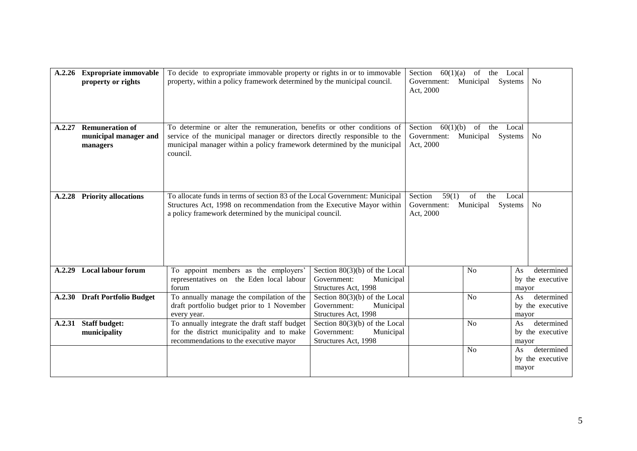<span id="page-14-5"></span><span id="page-14-4"></span><span id="page-14-3"></span><span id="page-14-2"></span><span id="page-14-1"></span><span id="page-14-0"></span>

| A.2.26 | <b>Expropriate immovable</b><br>property or rights          | To decide to expropriate immovable property or rights in or to immovable<br>property, within a policy framework determined by the municipal council.                                                                                        |                                                                                     | 60(1)(a)<br>Section<br>Government: Municipal<br>Act, 2000 | of the<br>Systems                 | Local<br>N <sub>o</sub>                                                                        |
|--------|-------------------------------------------------------------|---------------------------------------------------------------------------------------------------------------------------------------------------------------------------------------------------------------------------------------------|-------------------------------------------------------------------------------------|-----------------------------------------------------------|-----------------------------------|------------------------------------------------------------------------------------------------|
| A.2.27 | <b>Remuneration of</b><br>municipal manager and<br>managers | To determine or alter the remuneration, benefits or other conditions of<br>service of the municipal manager or directors directly responsible to the<br>municipal manager within a policy framework determined by the municipal<br>council. |                                                                                     | Section<br>60(1)(b)<br>Government:<br>Act, 2000           | of<br>the<br>Municipal<br>Systems | Local<br>N <sub>o</sub>                                                                        |
| A.2.28 | <b>Priority allocations</b>                                 | To allocate funds in terms of section 83 of the Local Government: Municipal<br>Structures Act, 1998 on recommendation from the Executive Mayor within<br>a policy framework determined by the municipal council.                            |                                                                                     | Section<br>59(1)<br>Government:<br>Act, 2000              | of<br>the<br>Municipal<br>Systems | Local<br>N <sub>o</sub>                                                                        |
| A.2.29 | <b>Local labour forum</b>                                   | To appoint members as the employers'<br>representatives on the Eden local labour<br>forum                                                                                                                                                   | Section $80(3)(b)$ of the Local<br>Government:<br>Municipal<br>Structures Act, 1998 |                                                           | N <sub>0</sub>                    | determined<br>As<br>by the executive<br>mayor                                                  |
|        | A.2.30 Draft Portfolio Budget                               | To annually manage the compilation of the<br>draft portfolio budget prior to 1 November<br>every year.                                                                                                                                      | Section $80(3)(b)$ of the Local<br>Government:<br>Municipal<br>Structures Act, 1998 |                                                           | N <sub>o</sub>                    | determined<br>As<br>by the executive<br>mayor                                                  |
| A.2.31 | <b>Staff budget:</b><br>municipality                        | To annually integrate the draft staff budget<br>for the district municipality and to make<br>recommendations to the executive mayor                                                                                                         | Section $80(3)(b)$ of the Local<br>Government:<br>Municipal<br>Structures Act, 1998 |                                                           | No<br>No                          | determined<br>As<br>by the executive<br>mayor<br>determined<br>As<br>by the executive<br>mayor |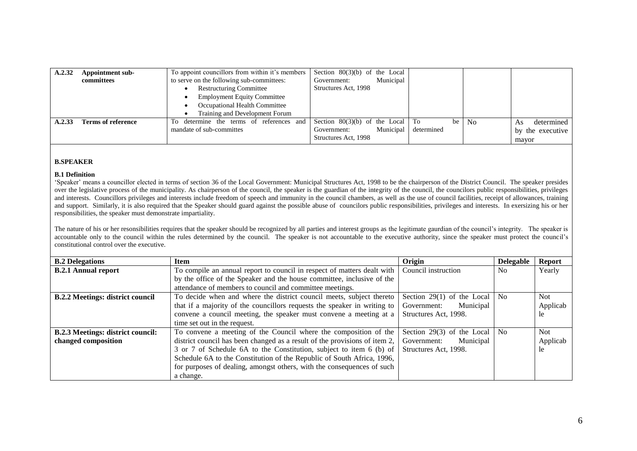| A.2.32 | Appointment sub-<br>committees | To appoint councillors from within it's members<br>to serve on the following sub-committees:<br><b>Restructuring Committee</b><br><b>Employment Equity Committee</b><br>Occupational Health Committee | Section $80(3)(b)$ of the Local<br>Municipal<br>Government:<br>Structures Act, 1998    |                  |                |                                               |
|--------|--------------------------------|-------------------------------------------------------------------------------------------------------------------------------------------------------------------------------------------------------|----------------------------------------------------------------------------------------|------------------|----------------|-----------------------------------------------|
|        |                                | Training and Development Forum                                                                                                                                                                        |                                                                                        |                  |                |                                               |
| A.2.33 | Terms of reference             | To determine the terms of references and<br>mandate of sub-committes                                                                                                                                  | Section $80(3)(b)$ of the Local To<br>Municipal<br>Government:<br>Structures Act, 1998 | be<br>determined | N <sub>o</sub> | determined<br>As<br>by the executive<br>mayor |

#### **B.SPEAKER**

#### **B.1 Definition**

"Speaker" means a councillor elected in terms of section 36 of the Local Government: Municipal Structures Act, 1998 to be the chairperson of the District Council. The speaker presides over the legislative process of the municipality. As chairperson of the council, the speaker is the guardian of the integrity of the council, the councilors public responsibilities, privileges and interests. Councillors privileges and interests include freedom of speech and immunity in the council chambers, as well as the use of council facilities, receipt of allowances, training and support. Similarly, it is also required that the Speaker should guard against the possible abuse of councilors public responsibilities, privileges and interests. In exersizing his or her responsibilities, the speaker must demonstrate impartiality.

The nature of his or her resonsibilities requires that the speaker should be recognized by all parties and interest groups as the legitimate gaurdian of the council"s integrity. The speaker is accountable only to the council within the rules determined by the council. The speaker is not accountable to the executive authority, since the speaker must protect the council"s constitutional control over the executive.

<span id="page-15-6"></span><span id="page-15-5"></span><span id="page-15-4"></span><span id="page-15-3"></span><span id="page-15-2"></span><span id="page-15-1"></span><span id="page-15-0"></span>

| <b>B.2 Delegations</b>                   | <b>Item</b>                                                                | Origin                             | <b>Delegable</b> | <b>Report</b> |
|------------------------------------------|----------------------------------------------------------------------------|------------------------------------|------------------|---------------|
| <b>B.2.1 Annual report</b>               | To compile an annual report to council in respect of matters dealt with    | Council instruction                | N <sub>0</sub>   | Yearly        |
|                                          | by the office of the Speaker and the house committee, inclusive of the     |                                    |                  |               |
|                                          | attendance of members to council and committee meetings.                   |                                    |                  |               |
| <b>B.2.2 Meetings: district council</b>  | To decide when and where the district council meets, subject thereto       | Section 29(1) of the Local $\vert$ | No.              | <b>Not</b>    |
|                                          | that if a majority of the councillors requests the speaker in writing to   | Municipal<br>Government:           |                  | Applicab      |
|                                          | convene a council meeting, the speaker must convene a meeting at a         | Structures Act, 1998.              |                  | -le           |
|                                          | time set out in the request.                                               |                                    |                  |               |
| <b>B.2.3 Meetings: district council:</b> | To convene a meeting of the Council where the composition of the           | Section 29(3) of the Local         | N <sub>0</sub>   | <b>Not</b>    |
| changed composition                      | district council has been changed as a result of the provisions of item 2, | Municipal<br>Government:           |                  | Applicab      |
|                                          | 3 or 7 of Schedule 6A to the Constitution, subject to item 6 (b) of        | Structures Act, 1998.              |                  | -le           |
|                                          | Schedule 6A to the Constitution of the Republic of South Africa, 1996,     |                                    |                  |               |
|                                          | for purposes of dealing, amongst others, with the consequences of such     |                                    |                  |               |
|                                          | a change.                                                                  |                                    |                  |               |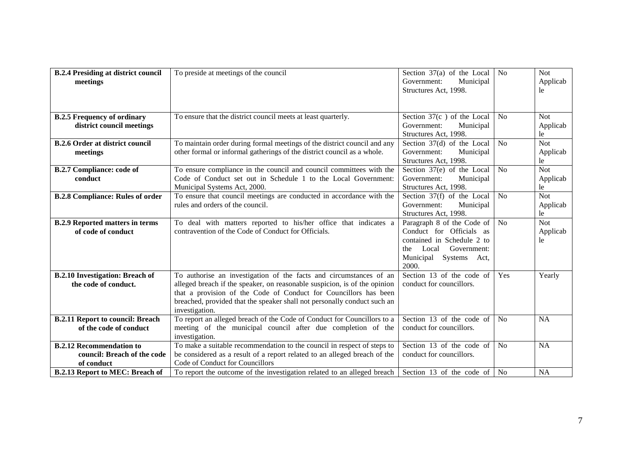<span id="page-16-9"></span><span id="page-16-8"></span><span id="page-16-7"></span><span id="page-16-6"></span><span id="page-16-5"></span><span id="page-16-4"></span><span id="page-16-3"></span><span id="page-16-2"></span><span id="page-16-1"></span><span id="page-16-0"></span>

| <b>B.2.4 Presiding at district council</b><br>meetings                       | To preside at meetings of the council                                                                                                                                                                                                                                                                             | Section $37(a)$ of the Local<br>Government:<br>Municipal<br>Structures Act, 1998.                                                                      | No             | <b>Not</b><br>Applicab<br>le  |
|------------------------------------------------------------------------------|-------------------------------------------------------------------------------------------------------------------------------------------------------------------------------------------------------------------------------------------------------------------------------------------------------------------|--------------------------------------------------------------------------------------------------------------------------------------------------------|----------------|-------------------------------|
| <b>B.2.5 Frequency of ordinary</b><br>district council meetings              | To ensure that the district council meets at least quarterly.                                                                                                                                                                                                                                                     | Section $37(c)$ of the Local<br>Government:<br>Municipal<br>Structures Act, 1998.                                                                      | N <sub>0</sub> | <b>Not</b><br>Applicab<br>le  |
| <b>B.2.6 Order at district council</b><br>meetings                           | To maintain order during formal meetings of the district council and any<br>other formal or informal gatherings of the district council as a whole.                                                                                                                                                               | Section 37(d) of the Local<br>Government:<br>Municipal<br>Structures Act, 1998.                                                                        | N <sub>0</sub> | Not<br>Applicab<br>le         |
| <b>B.2.7 Compliance: code of</b><br>conduct                                  | To ensure compliance in the council and council committees with the<br>Code of Conduct set out in Schedule 1 to the Local Government:<br>Municipal Systems Act, 2000.                                                                                                                                             | Section $37(e)$ of the Local<br>Government:<br>Municipal<br>Structures Act, 1998.                                                                      | N <sub>o</sub> | Not<br>Applicab<br>le         |
| <b>B.2.8 Compliance: Rules of order</b>                                      | To ensure that council meetings are conducted in accordance with the<br>rules and orders of the council.                                                                                                                                                                                                          | Section 37(f) of the Local<br>Government:<br>Municipal<br>Structures Act, 1998.                                                                        | N <sub>o</sub> | <b>Not</b><br>Applicab<br>le  |
| <b>B.2.9 Reported matters in terms</b><br>of code of conduct                 | To deal with matters reported to his/her office that indicates a<br>contravention of the Code of Conduct for Officials.                                                                                                                                                                                           | Paragraph 8 of the Code of<br>Conduct for Officials as<br>contained in Schedule 2 to<br>Local<br>Government:<br>the<br>Municipal Systems Act,<br>2000. | No             | <b>Not</b><br>Applicab<br>le. |
| <b>B.2.10 Investigation: Breach of</b><br>the code of conduct.               | To authorise an investigation of the facts and circumstances of an<br>alleged breach if the speaker, on reasonable suspicion, is of the opinion<br>that a provision of the Code of Conduct for Councillors has been<br>breached, provided that the speaker shall not personally conduct such an<br>investigation. | Section 13 of the code of<br>conduct for councillors.                                                                                                  | Yes            | Yearly                        |
| <b>B.2.11 Report to council: Breach</b><br>of the code of conduct            | To report an alleged breach of the Code of Conduct for Councillors to a<br>meeting of the municipal council after due completion of the<br>investigation.                                                                                                                                                         | Section 13 of the code of<br>conduct for councillors.                                                                                                  | <b>No</b>      | <b>NA</b>                     |
| <b>B.2.12 Recommendation to</b><br>council: Breach of the code<br>of conduct | To make a suitable recommendation to the council in respect of steps to<br>be considered as a result of a report related to an alleged breach of the<br>Code of Conduct for Councillors                                                                                                                           | Section 13 of the code of<br>conduct for councillors.                                                                                                  | <b>No</b>      | <b>NA</b>                     |
| <b>B.2.13 Report to MEC: Breach of</b>                                       | To report the outcome of the investigation related to an alleged breach                                                                                                                                                                                                                                           | Section 13 of the code of $\vert$ No                                                                                                                   |                | <b>NA</b>                     |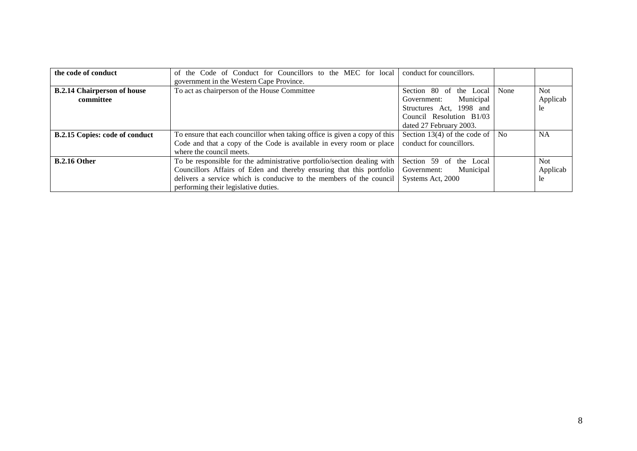<span id="page-17-1"></span><span id="page-17-0"></span>

| the code of conduct                   | of the Code of Conduct for Councillors to the MEC for local               | conduct for councillors.     |                |           |
|---------------------------------------|---------------------------------------------------------------------------|------------------------------|----------------|-----------|
|                                       | government in the Western Cape Province.                                  |                              |                |           |
| <b>B.2.14 Chairperson of house</b>    | To act as chairperson of the House Committee                              | Section 80 of the Local      | None           | Not.      |
| committee                             |                                                                           | Municipal<br>Government:     |                | Applicab  |
|                                       |                                                                           | Structures Act, 1998 and     |                | 1e        |
|                                       |                                                                           | Council Resolution B1/03     |                |           |
|                                       |                                                                           | dated 27 February 2003.      |                |           |
| <b>B.2.15 Copies: code of conduct</b> | To ensure that each councillor when taking office is given a copy of this | Section 13(4) of the code of | N <sub>o</sub> | <b>NA</b> |
|                                       | Code and that a copy of the Code is available in every room or place      | conduct for councillors.     |                |           |
|                                       | where the council meets.                                                  |                              |                |           |
| <b>B.2.16 Other</b>                   | To be responsible for the administrative portfolio/section dealing with   | Section 59 of<br>the Local   |                | Not.      |
|                                       | Councillors Affairs of Eden and thereby ensuring that this portfolio      | Municipal<br>Government:     |                | Applicab  |
|                                       | delivers a service which is conducive to the members of the council       | Systems Act, 2000            |                | 1e        |
|                                       | performing their legislative duties.                                      |                              |                |           |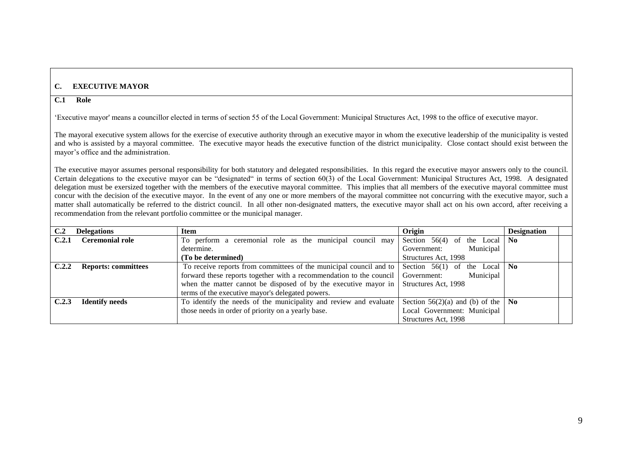# **C. EXECUTIVE MAYOR**

#### **C.1 Role**

"Executive mayor' means a councillor elected in terms of section 55 of the Local Government: Municipal Structures Act, 1998 to the office of executive mayor.

The mayoral executive system allows for the exercise of executive authority through an executive mayor in whom the executive leadership of the municipality is vested and who is assisted by a mayoral committee. The executive mayor heads the executive function of the district municipality. Close contact should exist between the mayor"s office and the administration.

The executive mayor assumes personal responsibility for both statutory and delegated responsibilities. In this regard the executive mayor answers only to the council. Certain delegations to the executive mayor can be "designated" in terms of section 60(3) of the Local Government: Municipal Structures Act, 1998. A designated delegation must be exersized together with the members of the executive mayoral committee. This implies that all members of the executive mayoral committee must concur with the decision of the executive mayor. In the event of any one or more members of the mayoral committee not concurring with the executive mayor, such a matter shall automatically be referred to the district council. In all other non-designated matters, the executive mayor shall act on his own accord, after receiving a recommendation from the relevant portfolio committee or the municipal manager.

<span id="page-18-5"></span><span id="page-18-4"></span><span id="page-18-3"></span><span id="page-18-2"></span><span id="page-18-1"></span><span id="page-18-0"></span>

| C.2   | <b>Delegations</b>         | <b>Item</b>                                                                                  | Origin                                     | <b>Designation</b> |
|-------|----------------------------|----------------------------------------------------------------------------------------------|--------------------------------------------|--------------------|
| C.2.1 | <b>Ceremonial role</b>     | To perform a ceremonial role as the municipal council may                                    | Section $56(4)$ of the Local $\vert$ No    |                    |
|       |                            | determine.                                                                                   | Municipal<br>Government:                   |                    |
|       |                            | (To be determined)                                                                           | Structures Act, 1998                       |                    |
| C.2.2 | <b>Reports: committees</b> | To receive reports from committees of the municipal council and to                           | Section $56(1)$ of the Local $\vert$ No    |                    |
|       |                            | forward these reports together with a recommendation to the council                          | Municipal<br>Government:                   |                    |
|       |                            | when the matter cannot be disposed of by the executive mayor in $\vert$ Structures Act, 1998 |                                            |                    |
|       |                            | terms of the executive mayor's delegated powers.                                             |                                            |                    |
| C.2.3 | <b>Identify needs</b>      | To identify the needs of the municipality and review and evaluate                            | Section 56(2)(a) and (b) of the $\vert$ No |                    |
|       |                            | those needs in order of priority on a yearly base.                                           | Local Government: Municipal                |                    |
|       |                            |                                                                                              | Structures Act, 1998                       |                    |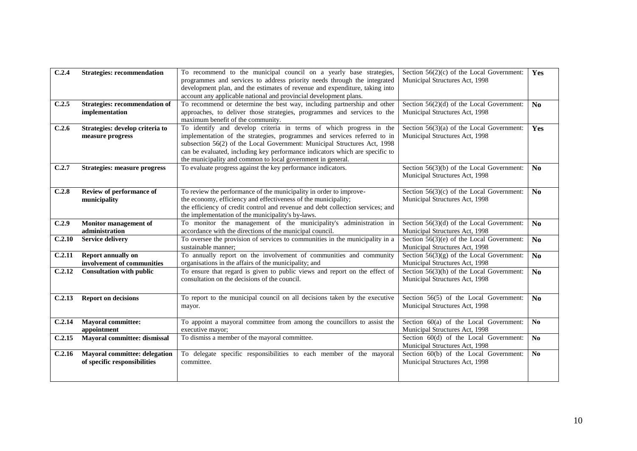<span id="page-19-12"></span><span id="page-19-11"></span><span id="page-19-10"></span><span id="page-19-9"></span><span id="page-19-8"></span><span id="page-19-7"></span><span id="page-19-6"></span><span id="page-19-5"></span><span id="page-19-4"></span><span id="page-19-3"></span><span id="page-19-2"></span><span id="page-19-1"></span><span id="page-19-0"></span>

| C.2.4  | <b>Strategies: recommendation</b>       | To recommend to the municipal council on a yearly base strategies,<br>programmes and services to address priority needs through the integrated | Section $56(2)(c)$ of the Local Government:<br>Municipal Structures Act, 1998 | Yes            |
|--------|-----------------------------------------|------------------------------------------------------------------------------------------------------------------------------------------------|-------------------------------------------------------------------------------|----------------|
|        |                                         | development plan, and the estimates of revenue and expenditure, taking into                                                                    |                                                                               |                |
|        |                                         | account any applicable national and provincial development plans.                                                                              |                                                                               |                |
| C.2.5  | <b>Strategies: recommendation of</b>    | To recommend or determine the best way, including partnership and other                                                                        | Section $56(2)(d)$ of the Local Government:                                   | N <sub>0</sub> |
|        | implementation                          | approaches, to deliver those strategies, programmes and services to the                                                                        | Municipal Structures Act, 1998                                                |                |
|        |                                         | maximum benefit of the community.                                                                                                              |                                                                               |                |
| C.2.6  | Strategies: develop criteria to         | To identify and develop criteria in terms of which progress in the                                                                             | Section $56(3)(a)$ of the Local Government:                                   | Yes            |
|        | measure progress                        | implementation of the strategies, programmes and services referred to in                                                                       | Municipal Structures Act, 1998                                                |                |
|        |                                         | subsection 56(2) of the Local Government: Municipal Structures Act, 1998                                                                       |                                                                               |                |
|        |                                         | can be evaluated, including key performance indicators which are specific to                                                                   |                                                                               |                |
|        |                                         | the municipality and common to local government in general.                                                                                    |                                                                               |                |
| C.2.7  | <b>Strategies: measure progress</b>     | To evaluate progress against the key performance indicators.                                                                                   | Section $56(3)(b)$ of the Local Government:                                   | N <sub>0</sub> |
|        |                                         |                                                                                                                                                | Municipal Structures Act, 1998                                                |                |
|        |                                         |                                                                                                                                                |                                                                               |                |
| C.2.8  | Review of performance of                | To review the performance of the municipality in order to improve-                                                                             | Section $56(3)(c)$ of the Local Government:                                   | N <sub>0</sub> |
|        | municipality                            | the economy, efficiency and effectiveness of the municipality;                                                                                 | Municipal Structures Act, 1998                                                |                |
|        |                                         | the efficiency of credit control and revenue and debt collection services; and                                                                 |                                                                               |                |
|        |                                         | the implementation of the municipality's by-laws.<br>To monitor the management of the municipality's administration in                         |                                                                               |                |
| C.2.9  | Monitor management of<br>administration | accordance with the directions of the municipal council.                                                                                       | Section $56(3)(d)$ of the Local Government:<br>Municipal Structures Act, 1998 | N <sub>0</sub> |
| C.2.10 | <b>Service delivery</b>                 | To oversee the provision of services to communities in the municipality in a                                                                   | Section $56(3)(e)$ of the Local Government:                                   | No             |
|        |                                         | sustainable manner;                                                                                                                            | Municipal Structures Act, 1998                                                |                |
| C.2.11 | Report annually on                      | To annually report on the involvement of communities and community                                                                             | Section $56(3)(g)$ of the Local Government:                                   | N <sub>0</sub> |
|        | involvement of communities              | organisations in the affairs of the municipality; and                                                                                          | Municipal Structures Act, 1998                                                |                |
| C.2.12 | <b>Consultation with public</b>         | To ensure that regard is given to public views and report on the effect of                                                                     | Section $56(3)(h)$ of the Local Government:                                   | N <sub>0</sub> |
|        |                                         | consultation on the decisions of the council.                                                                                                  | Municipal Structures Act, 1998                                                |                |
|        |                                         |                                                                                                                                                |                                                                               |                |
| C.2.13 | <b>Report on decisions</b>              | To report to the municipal council on all decisions taken by the executive                                                                     | Section 56(5) of the Local Government:                                        | N <sub>0</sub> |
|        |                                         | mayor.                                                                                                                                         | Municipal Structures Act, 1998                                                |                |
|        |                                         |                                                                                                                                                |                                                                               |                |
| C.2.14 | <b>Mayoral committee:</b>               | To appoint a mayoral committee from among the councillors to assist the                                                                        | Section 60(a) of the Local Government:                                        | N <sub>0</sub> |
|        | appointment                             | executive mayor;                                                                                                                               | Municipal Structures Act, 1998                                                |                |
| C.2.15 | Mayoral committee: dismissal            | To dismiss a member of the mayoral committee.                                                                                                  | Section $60(d)$ of the Local Government:                                      | N <sub>0</sub> |
|        |                                         |                                                                                                                                                | Municipal Structures Act, 1998                                                |                |
| C.2.16 | <b>Mayoral committee: delegation</b>    | To delegate specific responsibilities to each member of the mayoral                                                                            | Section 60(b) of the Local Government:                                        | N <sub>0</sub> |
|        | of specific responsibilities            | committee.                                                                                                                                     | Municipal Structures Act, 1998                                                |                |
|        |                                         |                                                                                                                                                |                                                                               |                |
|        |                                         |                                                                                                                                                |                                                                               |                |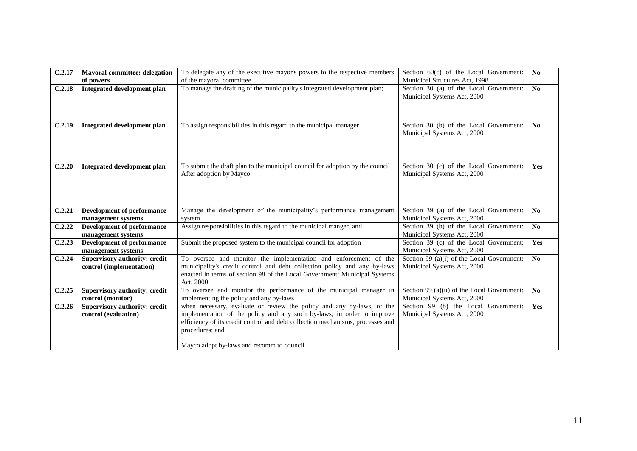<span id="page-20-9"></span><span id="page-20-8"></span><span id="page-20-7"></span><span id="page-20-6"></span><span id="page-20-5"></span><span id="page-20-4"></span><span id="page-20-3"></span><span id="page-20-2"></span><span id="page-20-1"></span><span id="page-20-0"></span>

| C.2.17 | <b>Mayoral committee: delegation</b>                      | To delegate any of the executive mayor's powers to the respective members                                                                                                                                                                                                                         | Section $60(c)$ of the Local Government:                                   | N <sub>0</sub>         |
|--------|-----------------------------------------------------------|---------------------------------------------------------------------------------------------------------------------------------------------------------------------------------------------------------------------------------------------------------------------------------------------------|----------------------------------------------------------------------------|------------------------|
|        | of powers                                                 | of the mayoral committee.                                                                                                                                                                                                                                                                         | Municipal Structures Act, 1998                                             |                        |
| C.2.18 | <b>Integrated development plan</b>                        | To manage the drafting of the municipality's integrated development plan;                                                                                                                                                                                                                         | Section 30 (a) of the Local Government:<br>Municipal Systems Act, 2000     | $\mathbf{N}\mathbf{o}$ |
| C.2.19 | <b>Integrated development plan</b>                        | To assign responsibilities in this regard to the municipal manager                                                                                                                                                                                                                                | Section 30 (b) of the Local Government:<br>Municipal Systems Act, 2000     | No                     |
| C.2.20 | <b>Integrated development plan</b>                        | To submit the draft plan to the municipal council for adoption by the council<br>After adoption by Mayco                                                                                                                                                                                          | Section 30 (c) of the Local Government:<br>Municipal Systems Act, 2000     | Yes                    |
| C.2.21 | <b>Development of performance</b><br>management systems   | Manage the development of the municipality's performance management<br>system                                                                                                                                                                                                                     | Section 39 (a) of the Local Government:<br>Municipal Systems Act, 2000     | N <sub>o</sub>         |
| C.2.22 | <b>Development of performance</b><br>management systems   | Assign responsibilities in this regard to the municipal manger, and                                                                                                                                                                                                                               | Section 39 (b) of the Local Government:<br>Municipal Systems Act, 2000     | $\overline{No}$        |
| C.2.23 | <b>Development of performance</b><br>management systems   | Submit the proposed system to the municipal council for adoption                                                                                                                                                                                                                                  | Section 39 (c) of the Local Government:<br>Municipal Systems Act, 2000     | Yes                    |
| C.2.24 | Supervisory authority: credit<br>control (implementation) | To oversee and monitor the implementation and enforcement of the<br>municipality's credit control and debt collection policy and any by-laws<br>enacted in terms of section 98 of the Local Government: Municipal Systems<br>Act, 2000.                                                           | Section 99 (a)(i) of the Local Government:<br>Municipal Systems Act, 2000  | $\mathbf{N}\mathbf{o}$ |
| C.2.25 | <b>Supervisory authority: credit</b><br>control (monitor) | To oversee and monitor the performance of the municipal manager in<br>implementing the policy and any by-laws                                                                                                                                                                                     | Section 99 (a)(ii) of the Local Government:<br>Municipal Systems Act, 2000 | N <sub>0</sub>         |
| C.2.26 | Supervisory authority: credit<br>control (evaluation)     | when necessary, evaluate or review the policy and any by-laws, or the<br>implementation of the policy and any such by-laws, in order to improve<br>efficiency of its credit control and debt collection mechanisms, processes and<br>procedures; and<br>Mayco adopt by-laws and recomm to council | Section 99 (b) the Local Government:<br>Municipal Systems Act, 2000        | Yes                    |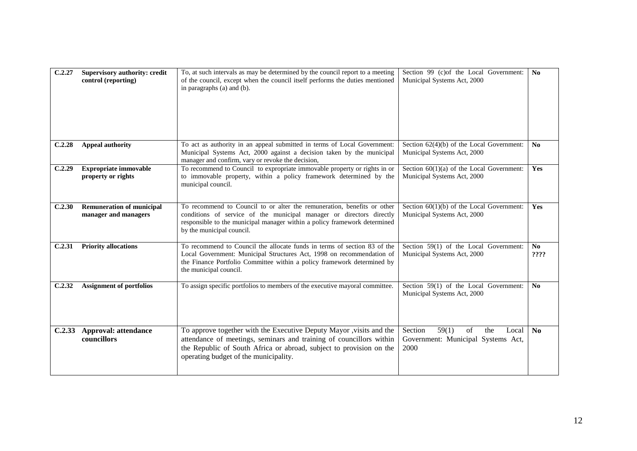<span id="page-21-6"></span><span id="page-21-5"></span><span id="page-21-4"></span><span id="page-21-3"></span><span id="page-21-2"></span><span id="page-21-1"></span><span id="page-21-0"></span>

| C.2.27 | <b>Supervisory authority: credit</b><br>control (reporting) | To, at such intervals as may be determined by the council report to a meeting<br>of the council, except when the council itself performs the duties mentioned<br>in paragraphs (a) and (b).                                                                 | Section 99 (c) of the Local Government:<br>Municipal Systems Act, 2000               | No             |
|--------|-------------------------------------------------------------|-------------------------------------------------------------------------------------------------------------------------------------------------------------------------------------------------------------------------------------------------------------|--------------------------------------------------------------------------------------|----------------|
| C.2.28 | <b>Appeal authority</b>                                     | To act as authority in an appeal submitted in terms of Local Government:<br>Municipal Systems Act, 2000 against a decision taken by the municipal<br>manager and confirm, vary or revoke the decision,                                                      | Section $62(4)(b)$ of the Local Government:<br>Municipal Systems Act, 2000           | No             |
| C.2.29 | <b>Expropriate immovable</b><br>property or rights          | To recommend to Council to expropriate immovable property or rights in or<br>to immovable property, within a policy framework determined by the<br>municipal council.                                                                                       | Section $60(1)(a)$ of the Local Government:<br>Municipal Systems Act, 2000           | Yes            |
| C.2.30 | <b>Remuneration of municipal</b><br>manager and managers    | To recommend to Council to or alter the remuneration, benefits or other<br>conditions of service of the municipal manager or directors directly<br>responsible to the municipal manager within a policy framework determined<br>by the municipal council.   | Section $60(1)(b)$ of the Local Government:<br>Municipal Systems Act, 2000           | Yes            |
| C.2.31 | <b>Priority allocations</b>                                 | To recommend to Council the allocate funds in terms of section 83 of the<br>Local Government: Municipal Structures Act, 1998 on recommendation of<br>the Finance Portfolio Committee within a policy framework determined by<br>the municipal council.      | Section 59(1) of the Local Government:<br>Municipal Systems Act, 2000                | No<br>????     |
| C.2.32 | <b>Assignment of portfolios</b>                             | To assign specific portfolios to members of the executive mayoral committee.                                                                                                                                                                                | Section 59(1) of the Local Government:<br>Municipal Systems Act, 2000                | N <sub>0</sub> |
| C.2.33 | <b>Approval: attendance</b><br>councillors                  | To approve together with the Executive Deputy Mayor , visits and the<br>attendance of meetings, seminars and training of councillors within<br>the Republic of South Africa or abroad, subject to provision on the<br>operating budget of the municipality. | 59(1)<br>Section<br>of<br>the<br>Local<br>Government: Municipal Systems Act,<br>2000 | N <sub>0</sub> |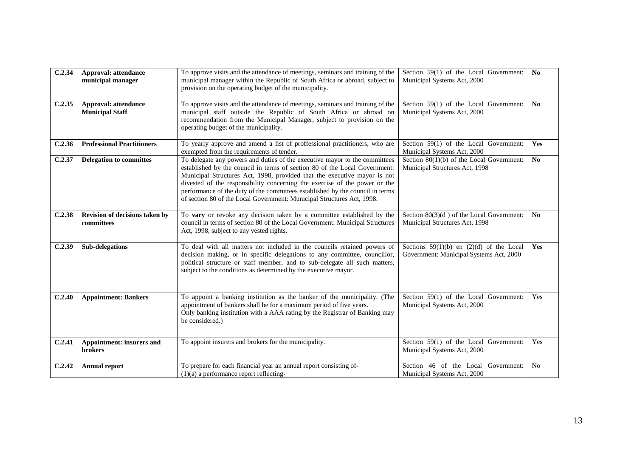<span id="page-22-8"></span><span id="page-22-7"></span><span id="page-22-6"></span><span id="page-22-5"></span><span id="page-22-4"></span><span id="page-22-3"></span><span id="page-22-2"></span><span id="page-22-1"></span><span id="page-22-0"></span>

| C.2.34 | <b>Approval: attendance</b><br>municipal manager   | To approve visits and the attendance of meetings, seminars and training of the<br>municipal manager within the Republic of South Africa or abroad, subject to<br>provision on the operating budget of the municipality.                                                                                                                                                                                                                                                       | Section 59(1) of the Local Government:<br>Municipal Systems Act, 2000                   | N <sub>0</sub> |
|--------|----------------------------------------------------|-------------------------------------------------------------------------------------------------------------------------------------------------------------------------------------------------------------------------------------------------------------------------------------------------------------------------------------------------------------------------------------------------------------------------------------------------------------------------------|-----------------------------------------------------------------------------------------|----------------|
| C.2.35 | Approval: attendance<br><b>Municipal Staff</b>     | To approve visits and the attendance of meetings, seminars and training of the<br>municipal staff outside the Republic of South Africa or abroad on<br>recommendation from the Municipal Manager, subject to provision on the<br>operating budget of the municipality.                                                                                                                                                                                                        | Section 59(1) of the Local Government:<br>Municipal Systems Act, 2000                   | No             |
| C.2.36 | <b>Professional Practitioners</b>                  | To yearly approve and amend a list of proffessional practitioners, who are<br>exempted from the requirements of tender.                                                                                                                                                                                                                                                                                                                                                       | Section 59(1) of the Local Government:<br>Municipal Systems Act, 2000                   | Yes            |
| C.2.37 | <b>Delegation to committes</b>                     | To delegate any powers and duties of the executive mayor to the committees<br>established by the council in terms of section 80 of the Local Government:<br>Municipal Structures Act, 1998, provided that the executive mayor is not<br>divested of the responsibility concerning the exercise of the power or the<br>performance of the duty of the committees established by the council in terms<br>of section 80 of the Local Government: Municipal Structures Act, 1998. | Section $80(1)(b)$ of the Local Government:<br>Municipal Structures Act, 1998           | N <sub>0</sub> |
| C.2.38 | Revision of decisions taken by<br>committees       | To vary or revoke any decision taken by a committee established by the<br>council in terms of section 80 of the Local Government: Municipal Structures<br>Act, 1998, subject to any vested rights.                                                                                                                                                                                                                                                                            | Section $80(3)(d)$ of the Local Government:<br>Municipal Structures Act, 1998           | No             |
| C.2.39 | Sub-delegations                                    | To deal with all matters not included in the councils retained powers of<br>decision making, or in specific delegations to any committee, councillor,<br>political structure or staff member, and to sub-delegate all such matters,<br>subject to the conditions as determined by the executive mayor.                                                                                                                                                                        | Sections $59(1)(b)$ en $(2)(d)$ of the Local<br>Government: Municipal Systems Act, 2000 | Yes            |
| C.2.40 | <b>Appointment: Bankers</b>                        | To appoint a banking institution as the banker of the municipality. (The<br>appointment of bankers shall be for a maximum period of five years.<br>Only banking institution with a AAA rating by the Registrar of Banking may<br>be considered.)                                                                                                                                                                                                                              | Section 59(1) of the Local Government:<br>Municipal Systems Act, 2000                   | Yes            |
| C.2.41 | <b>Appointment: insurers and</b><br><b>brokers</b> | To appoint insurers and brokers for the municipality.                                                                                                                                                                                                                                                                                                                                                                                                                         | Section 59(1) of the Local Government:<br>Municipal Systems Act, 2000                   | Yes            |
| C.2.42 | <b>Annual report</b>                               | To prepare for each financial year an annual report consisting of-<br>$(1)(a)$ a performance report reflecting-                                                                                                                                                                                                                                                                                                                                                               | Section 46 of the Local Government:<br>Municipal Systems Act, 2000                      | No             |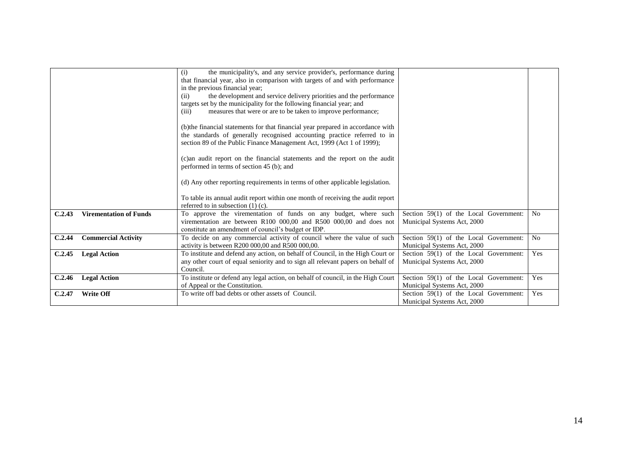<span id="page-23-4"></span><span id="page-23-3"></span><span id="page-23-2"></span><span id="page-23-1"></span><span id="page-23-0"></span>

|        |                               | the municipality's, and any service provider's, performance during<br>(i)<br>that financial year, also in comparison with targets of and with performance<br>in the previous financial year;<br>the development and service delivery priorities and the performance<br>(ii)<br>targets set by the municipality for the following financial year; and<br>measures that were or are to be taken to improve performance;<br>(iii) |                                                                       |                |
|--------|-------------------------------|--------------------------------------------------------------------------------------------------------------------------------------------------------------------------------------------------------------------------------------------------------------------------------------------------------------------------------------------------------------------------------------------------------------------------------|-----------------------------------------------------------------------|----------------|
|        |                               | (b) the financial statements for that financial year prepared in accordance with<br>the standards of generally recognised accounting practice referred to in<br>section 89 of the Public Finance Management Act, 1999 (Act 1 of 1999);                                                                                                                                                                                         |                                                                       |                |
|        |                               | (c) an audit report on the financial statements and the report on the audit<br>performed in terms of section 45 (b); and                                                                                                                                                                                                                                                                                                       |                                                                       |                |
|        |                               | (d) Any other reporting requirements in terms of other applicable legislation.<br>To table its annual audit report within one month of receiving the audit report                                                                                                                                                                                                                                                              |                                                                       |                |
|        |                               | referred to in subsection $(1)$ $(c)$ .                                                                                                                                                                                                                                                                                                                                                                                        |                                                                       |                |
| C.2.43 | <b>Virementation of Funds</b> | To approve the virementation of funds on any budget, where such<br>virementation are between R100 000,00 and R500 000,00 and does not<br>constitute an amendment of council's budget or IDP.                                                                                                                                                                                                                                   | Section 59(1) of the Local Government:<br>Municipal Systems Act, 2000 | N <sub>0</sub> |
| C.2.44 | <b>Commercial Activity</b>    | To decide on any commercial activity of council where the value of such<br>activity is between R200 000,00 and R500 000,00.                                                                                                                                                                                                                                                                                                    | Section 59(1) of the Local Government:<br>Municipal Systems Act, 2000 | No             |
| C.2.45 | <b>Legal Action</b>           | To institute and defend any action, on behalf of Council, in the High Court or<br>any other court of equal seniority and to sign all relevant papers on behalf of<br>Council.                                                                                                                                                                                                                                                  | Section 59(1) of the Local Government:<br>Municipal Systems Act, 2000 | Yes            |
| C.2.46 | <b>Legal Action</b>           | To institute or defend any legal action, on behalf of council, in the High Court<br>of Appeal or the Constitution.                                                                                                                                                                                                                                                                                                             | Section 59(1) of the Local Government:<br>Municipal Systems Act, 2000 | Yes            |
| C.2.47 | <b>Write Off</b>              | To write off bad debts or other assets of Council.                                                                                                                                                                                                                                                                                                                                                                             | Section 59(1) of the Local Government:<br>Municipal Systems Act, 2000 | Yes            |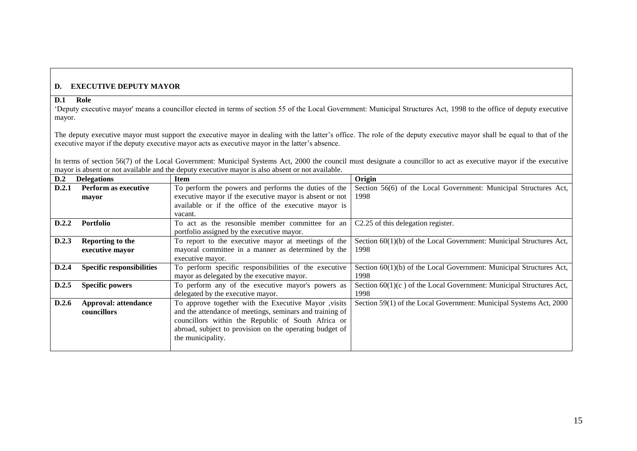## **D. EXECUTIVE DEPUTY MAYOR**

# **D.1 Role**

"Deputy executive mayor' means a councillor elected in terms of section 55 of the Local Government: Municipal Structures Act, 1998 to the office of deputy executive mayor.

The deputy executive mayor must support the executive mayor in dealing with the latter"s office. The role of the deputy executive mayor shall be equal to that of the executive mayor if the deputy executive mayor acts as executive mayor in the latter"s absence.

In terms of section 56(7) of the Local Government: Municipal Systems Act, 2000 the council must designate a councillor to act as executive mayor if the executive mayor is absent or not available and the deputy executive mayor is also absent or not available.

<span id="page-24-8"></span><span id="page-24-7"></span><span id="page-24-6"></span><span id="page-24-5"></span><span id="page-24-4"></span><span id="page-24-3"></span><span id="page-24-2"></span><span id="page-24-1"></span><span id="page-24-0"></span>

| D.2   | <b>Delegations</b>               | <b>Item</b>                                              | Origin                                                                |
|-------|----------------------------------|----------------------------------------------------------|-----------------------------------------------------------------------|
| D.2.1 | <b>Perform as executive</b>      | To perform the powers and performs the duties of the     | Section 56(6) of the Local Government: Municipal Structures Act,      |
|       | mayor                            | executive mayor if the executive mayor is absent or not  | 1998                                                                  |
|       |                                  | available or if the office of the executive mayor is     |                                                                       |
|       |                                  | vacant.                                                  |                                                                       |
| D.2.2 | <b>Portfolio</b>                 | To act as the resonsible member committee for an         | C2.25 of this delegation register.                                    |
|       |                                  | portfolio assigned by the executive mayor.               |                                                                       |
| D.2.3 | <b>Reporting to the</b>          | To report to the executive mayor at meetings of the      | Section 60(1)(b) of the Local Government: Municipal Structures Act,   |
|       | executive mayor                  | mayoral committee in a manner as determined by the       | 1998                                                                  |
|       |                                  | executive mayor.                                         |                                                                       |
| D.2.4 | <b>Specific responsibilities</b> | To perform specific responsibilities of the executive    | Section $60(1)(b)$ of the Local Government: Municipal Structures Act, |
|       |                                  | mayor as delegated by the executive mayor.               | 1998                                                                  |
| D.2.5 | <b>Specific powers</b>           | To perform any of the executive mayor's powers as        | Section $60(1)(c)$ of the Local Government: Municipal Structures Act, |
|       |                                  | delegated by the executive mayor.                        | 1998                                                                  |
| D.2.6 | <b>Approval: attendance</b>      | To approve together with the Executive Mayor , visits    | Section 59(1) of the Local Government: Municipal Systems Act, 2000    |
|       | councillors                      | and the attendance of meetings, seminars and training of |                                                                       |
|       |                                  | councillors within the Republic of South Africa or       |                                                                       |
|       |                                  | abroad, subject to provision on the operating budget of  |                                                                       |
|       |                                  | the municipality.                                        |                                                                       |
|       |                                  |                                                          |                                                                       |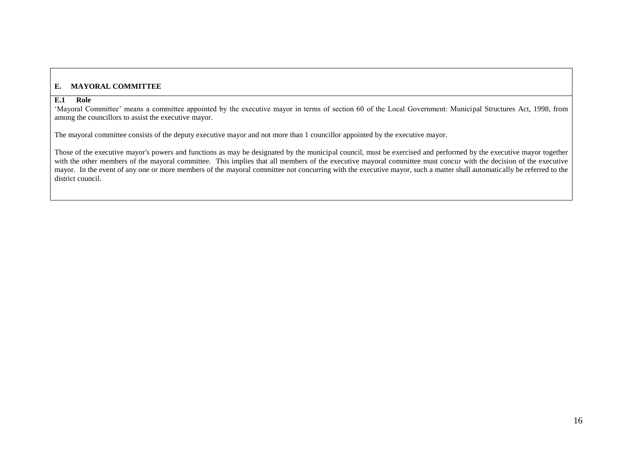#### **E. MAYORAL COMMITTEE**

#### **E.1 Role**

'Mayoral Committee' means a committee appointed by the executive mayor in terms of section 60 of the Local Government: Municipal Structures Act, 1998, from among the councillors to assist the executive mayor.

The mayoral committee consists of the deputy executive mayor and not more than 1 councillor appointed by the executive mayor.

<span id="page-25-1"></span><span id="page-25-0"></span>Those of the executive mayor's powers and functions as may be designated by the municipal council, must be exercised and performed by the executive mayor together with the other members of the mayoral committee. This implies that all members of the executive mayoral committee must concur with the decision of the executive mayor. In the event of any one or more members of the mayoral committee not concurring with the executive mayor, such a matter shall automatically be referred to the district council.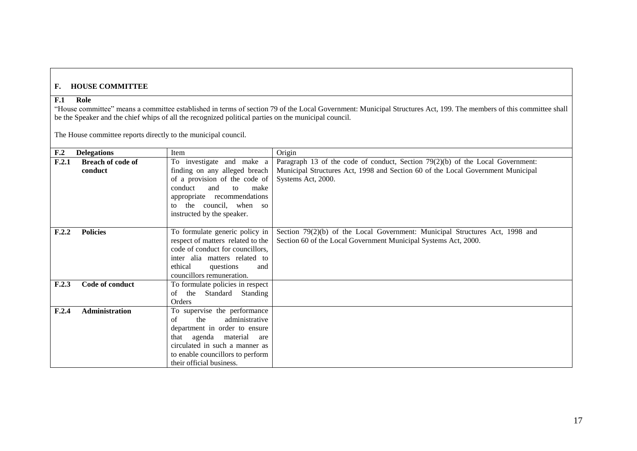# **F. HOUSE COMMITTEE**

#### **F.1 Role**

"House committee" means a committee established in terms of section 79 of the Local Government: Municipal Structures Act, 199. The members of this committee shall be the Speaker and the chief whips of all the recognized political parties on the municipal council.

The House committee reports directly to the municipal council.

<span id="page-26-6"></span><span id="page-26-5"></span><span id="page-26-4"></span><span id="page-26-3"></span><span id="page-26-2"></span><span id="page-26-1"></span><span id="page-26-0"></span>

| F <sub>.2</sub> | <b>Delegations</b>       | Item                              | Origin                                                                           |
|-----------------|--------------------------|-----------------------------------|----------------------------------------------------------------------------------|
| F.2.1           | <b>Breach of code of</b> | To investigate and make a         | Paragraph 13 of the code of conduct, Section $79(2)(b)$ of the Local Government: |
|                 | conduct                  | finding on any alleged breach     | Municipal Structures Act, 1998 and Section 60 of the Local Government Municipal  |
|                 |                          | of a provision of the code of     | Systems Act, 2000.                                                               |
|                 |                          | and<br>conduct<br>to<br>make      |                                                                                  |
|                 |                          | appropriate recommendations       |                                                                                  |
|                 |                          | to the council, when so           |                                                                                  |
|                 |                          | instructed by the speaker.        |                                                                                  |
|                 |                          |                                   |                                                                                  |
| F.2.2           | <b>Policies</b>          | To formulate generic policy in    | Section 79(2)(b) of the Local Government: Municipal Structures Act, 1998 and     |
|                 |                          | respect of matters related to the | Section 60 of the Local Government Municipal Systems Act, 2000.                  |
|                 |                          | code of conduct for councillors,  |                                                                                  |
|                 |                          | inter alia matters related to     |                                                                                  |
|                 |                          | ethical<br>questions<br>and       |                                                                                  |
|                 |                          | councillors remuneration.         |                                                                                  |
| F.2.3           | Code of conduct          | To formulate policies in respect  |                                                                                  |
|                 |                          | Standard Standing<br>the<br>of    |                                                                                  |
|                 |                          | Orders                            |                                                                                  |
| F.2.4           | <b>Administration</b>    | To supervise the performance      |                                                                                  |
|                 |                          | administrative<br>the<br>of       |                                                                                  |
|                 |                          | department in order to ensure     |                                                                                  |
|                 |                          | that agenda material<br>are       |                                                                                  |
|                 |                          | circulated in such a manner as    |                                                                                  |
|                 |                          | to enable councillors to perform  |                                                                                  |
|                 |                          | their official business.          |                                                                                  |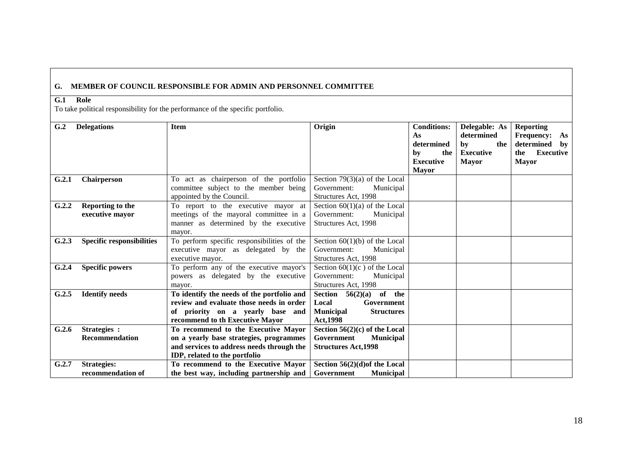## **G. MEMBER OF COUNCIL RESPONSIBLE FOR ADMIN AND PERSONNEL COMMITTEE**

#### **G.1 Role**

To take political responsibility for the performance of the specific portfolio.

<span id="page-27-9"></span><span id="page-27-8"></span><span id="page-27-7"></span><span id="page-27-6"></span><span id="page-27-5"></span><span id="page-27-4"></span><span id="page-27-3"></span><span id="page-27-2"></span><span id="page-27-1"></span><span id="page-27-0"></span>

| G.2   | <b>Delegations</b>               | <b>Item</b>                                 | Origin                                | <b>Conditions:</b> | Delegable: As    | <b>Reporting</b>        |
|-------|----------------------------------|---------------------------------------------|---------------------------------------|--------------------|------------------|-------------------------|
|       |                                  |                                             |                                       | As                 | determined       | <b>Frequency:</b><br>As |
|       |                                  |                                             |                                       | determined         | by<br>the        | determined by           |
|       |                                  |                                             |                                       | the<br>bv          | <b>Executive</b> | <b>Executive</b><br>the |
|       |                                  |                                             |                                       | <b>Executive</b>   | <b>Mayor</b>     | <b>Mayor</b>            |
|       |                                  |                                             |                                       | <b>Mayor</b>       |                  |                         |
| G.2.1 | Chairperson                      | To act as chairperson of the portfolio      | Section $79(3)(a)$ of the Local       |                    |                  |                         |
|       |                                  | committee subject to the member being       | Government:<br>Municipal              |                    |                  |                         |
|       |                                  | appointed by the Council.                   | Structures Act, 1998                  |                    |                  |                         |
| G.2.2 | Reporting to the                 | To report to the executive mayor at         | Section $60(1)(a)$ of the Local       |                    |                  |                         |
|       | executive mayor                  | meetings of the mayoral committee in a      | Government:<br>Municipal              |                    |                  |                         |
|       |                                  | manner as determined by the executive       | Structures Act, 1998                  |                    |                  |                         |
|       |                                  | mayor.                                      |                                       |                    |                  |                         |
| G.2.3 | <b>Specific responsibilities</b> | To perform specific responsibilities of the | Section $60(1)(b)$ of the Local       |                    |                  |                         |
|       |                                  | executive mayor as delegated by the         | Government:<br>Municipal              |                    |                  |                         |
|       |                                  | executive mayor.                            | Structures Act, 1998                  |                    |                  |                         |
| G.2.4 | <b>Specific powers</b>           | To perform any of the executive mayor's     | Section $60(1)(c)$ of the Local       |                    |                  |                         |
|       |                                  | powers as delegated by the executive        | Government:<br>Municipal              |                    |                  |                         |
|       |                                  | mayor.                                      | Structures Act, 1998                  |                    |                  |                         |
| G.2.5 | <b>Identify needs</b>            | To identify the needs of the portfolio and  | Section $56(2)(a)$ of the             |                    |                  |                         |
|       |                                  | review and evaluate those needs in order    | Local<br>Government                   |                    |                  |                         |
|       |                                  | of priority on a yearly base and            | <b>Municipal</b><br><b>Structures</b> |                    |                  |                         |
|       |                                  | recommend to th Executive Mayor             | <b>Act, 1998</b>                      |                    |                  |                         |
| G.2.6 | Strategies :                     | To recommend to the Executive Mayor         | Section $56(2)(c)$ of the Local       |                    |                  |                         |
|       | Recommendation                   | on a yearly base strategies, programmes     | Government<br><b>Municipal</b>        |                    |                  |                         |
|       |                                  | and services to address needs through the   | <b>Structures Act, 1998</b>           |                    |                  |                         |
|       |                                  | IDP, related to the portfolio               |                                       |                    |                  |                         |
| G.2.7 | <b>Strategies:</b>               | To recommend to the Executive Mayor         | Section $56(2)(d)$ of the Local       |                    |                  |                         |
|       | recommendation of                | the best way, including partnership and     | <b>Municipal</b><br>Government        |                    |                  |                         |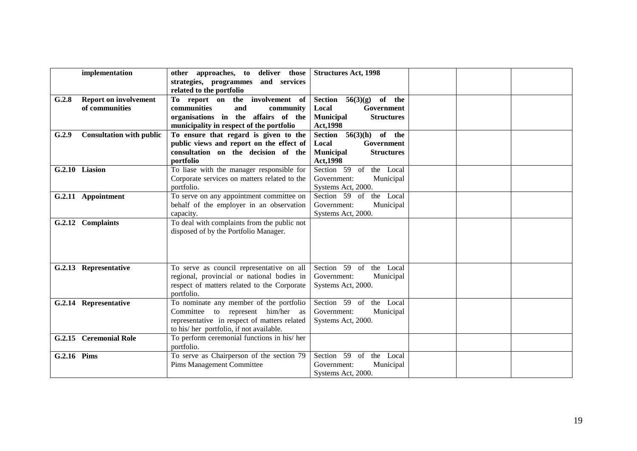<span id="page-28-8"></span><span id="page-28-7"></span><span id="page-28-6"></span><span id="page-28-5"></span><span id="page-28-4"></span><span id="page-28-3"></span><span id="page-28-2"></span><span id="page-28-1"></span><span id="page-28-0"></span>

|             | implementation                                 | other approaches, to deliver those<br>strategies, programmes and services<br>related to the portfolio                                                                   | <b>Structures Act, 1998</b>                                                                                             |  |
|-------------|------------------------------------------------|-------------------------------------------------------------------------------------------------------------------------------------------------------------------------|-------------------------------------------------------------------------------------------------------------------------|--|
| G.2.8       | <b>Report on involvement</b><br>of communities | To report on the involvement of<br><b>communities</b><br>and<br>community<br>organisations in the affairs of the<br>municipality in respect of the portfolio            | of the<br>Section $56(3)(g)$<br>Local<br>Government<br><b>Municipal</b><br><b>Structures</b><br>Act, 1998               |  |
| G.2.9       | <b>Consultation with public</b>                | To ensure that regard is given to the<br>public views and report on the effect of<br>consultation on the decision of the<br>portfolio                                   | Section<br>$56(3)(h)$ of the<br>Local<br><b>Government</b><br><b>Structures</b><br><b>Municipal</b><br><b>Act, 1998</b> |  |
|             | G.2.10 Liasion                                 | To liase with the manager responsible for<br>Corporate services on matters related to the<br>portfolio.                                                                 | Section 59 of the Local<br>Government:<br>Municipal<br>Systems Act, 2000.                                               |  |
|             | G.2.11 Appointment                             | To serve on any appointment committee on<br>behalf of the employer in an observation<br>capacity.                                                                       | the Local<br>Section 59 of<br>Government:<br>Municipal<br>Systems Act, 2000.                                            |  |
|             | G.2.12 Complaints                              | To deal with complaints from the public not<br>disposed of by the Portfolio Manager.                                                                                    |                                                                                                                         |  |
|             | G.2.13 Representative                          | To serve as council representative on all<br>regional, provincial or national bodies in<br>respect of matters related to the Corporate<br>portfolio.                    | Section 59 of the Local<br>Government:<br>Municipal<br>Systems Act, 2000.                                               |  |
|             | G.2.14 Representative                          | To nominate any member of the portfolio<br>Committee to represent him/her as<br>representative in respect of matters related<br>to his/her portfolio, if not available. | Section 59 of the Local<br>Municipal<br>Government:<br>Systems Act, 2000.                                               |  |
|             | G.2.15 Ceremonial Role                         | To perform ceremonial functions in his/ her<br>portfolio.                                                                                                               |                                                                                                                         |  |
| G.2.16 Pims |                                                | To serve as Chairperson of the section 79<br><b>Pims Management Committee</b>                                                                                           | Section 59 of the Local<br>Municipal<br>Government:<br>Systems Act, 2000.                                               |  |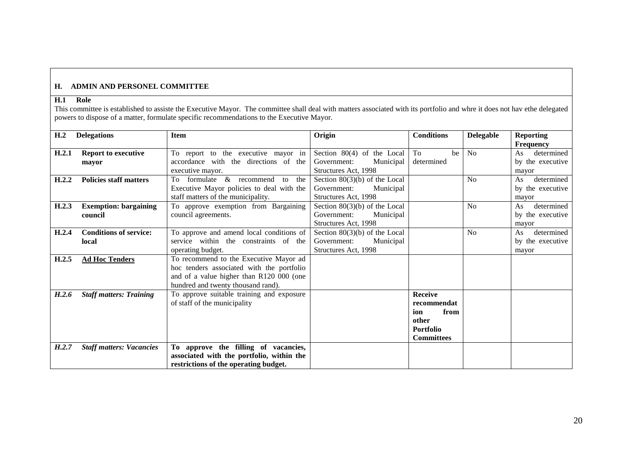#### **H. ADMIN AND PERSONEL COMMITTEE**

#### **H.1 Role**

This committee is established to assiste the Executive Mayor. The committee shall deal with matters associated with its portfolio and whre it does not hav ethe delegated powers to dispose of a matter, formulate specific recommendations to the Executive Mayor.

<span id="page-29-9"></span><span id="page-29-8"></span><span id="page-29-7"></span><span id="page-29-6"></span><span id="page-29-5"></span><span id="page-29-4"></span><span id="page-29-3"></span><span id="page-29-2"></span><span id="page-29-1"></span><span id="page-29-0"></span>

| H <sub>.2</sub> | <b>Delegations</b>              | <b>Item</b>                               | Origin                          | <b>Conditions</b> | <b>Delegable</b> | <b>Reporting</b> |
|-----------------|---------------------------------|-------------------------------------------|---------------------------------|-------------------|------------------|------------------|
|                 |                                 |                                           |                                 |                   |                  | <b>Frequency</b> |
| H.2.1           | <b>Report to executive</b>      | To report to the executive mayor in       | Section $80(4)$ of the Local    | To<br>be          | N <sub>o</sub>   | determined<br>As |
|                 | mayor                           | accordance with the directions of the     | Government:<br>Municipal        | determined        |                  | by the executive |
|                 |                                 | executive mayor.                          | Structures Act, 1998            |                   |                  | mayor            |
| H.2.2           | <b>Policies staff matters</b>   | To formulate & recommend<br>the<br>to     | Section $80(3)(b)$ of the Local |                   | No               | determined<br>As |
|                 |                                 | Executive Mayor policies to deal with the | Government:<br>Municipal        |                   |                  | by the executive |
|                 |                                 | staff matters of the municipality.        | Structures Act, 1998            |                   |                  | mayor            |
| H.2.3           | <b>Exemption: bargaining</b>    | To approve exemption from Bargaining      | Section $80(3)(b)$ of the Local |                   | No               | determined<br>As |
|                 | council                         | council agreements.                       | Municipal<br>Government:        |                   |                  | by the executive |
|                 |                                 |                                           | Structures Act, 1998            |                   |                  | mayor            |
| H.2.4           | <b>Conditions of service:</b>   | To approve and amend local conditions of  | Section $80(3)(b)$ of the Local |                   | N <sub>o</sub>   | determined<br>As |
|                 | local                           | service within the constraints of the     | Government:<br>Municipal        |                   |                  | by the executive |
|                 |                                 | operating budget.                         | Structures Act, 1998            |                   |                  | mayor            |
| H.2.5           | <b>Ad Hoc Tenders</b>           | To recommend to the Executive Mayor ad    |                                 |                   |                  |                  |
|                 |                                 | hoc tenders associated with the portfolio |                                 |                   |                  |                  |
|                 |                                 | and of a value higher than R120 000 (one  |                                 |                   |                  |                  |
|                 |                                 | hundred and twenty thousand rand).        |                                 |                   |                  |                  |
| H.2.6           | <b>Staff matters: Training</b>  | To approve suitable training and exposure |                                 | <b>Receive</b>    |                  |                  |
|                 |                                 | of staff of the municipality              |                                 | recommendat       |                  |                  |
|                 |                                 |                                           |                                 | from<br>ion       |                  |                  |
|                 |                                 |                                           |                                 | other             |                  |                  |
|                 |                                 |                                           |                                 | <b>Portfolio</b>  |                  |                  |
|                 |                                 |                                           |                                 | <b>Committees</b> |                  |                  |
| H.2.7           | <b>Staff matters: Vacancies</b> | To approve the filling of vacancies,      |                                 |                   |                  |                  |
|                 |                                 | associated with the portfolio, within the |                                 |                   |                  |                  |
|                 |                                 | restrictions of the operating budget.     |                                 |                   |                  |                  |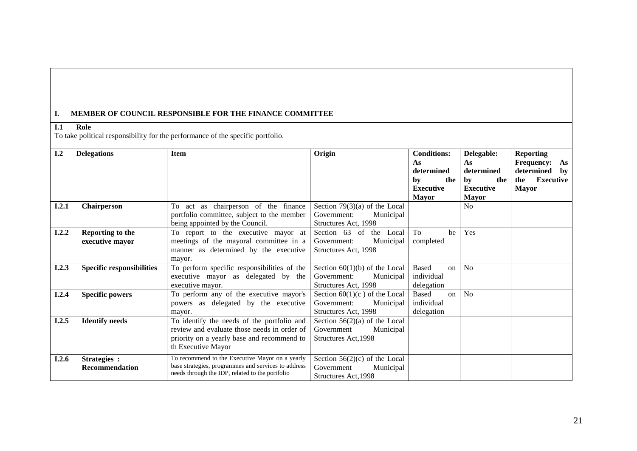#### **I. MEMBER OF COUNCIL RESPONSIBLE FOR THE FINANCE COMMITTEE**

## **I.1 Role**

To take political responsibility for the performance of the specific portfolio.

<span id="page-30-8"></span><span id="page-30-7"></span><span id="page-30-6"></span><span id="page-30-5"></span><span id="page-30-4"></span><span id="page-30-3"></span><span id="page-30-2"></span><span id="page-30-1"></span><span id="page-30-0"></span>

| I.2   | <b>Delegations</b>               | <b>Item</b>                                         | Origin                          | <b>Conditions:</b> | Delegable:       | <b>Reporting</b>        |
|-------|----------------------------------|-----------------------------------------------------|---------------------------------|--------------------|------------------|-------------------------|
|       |                                  |                                                     |                                 | As                 | As               | <b>Frequency:</b><br>As |
|       |                                  |                                                     |                                 | determined         | determined       | determined<br>by        |
|       |                                  |                                                     |                                 | by<br>the          | the<br>by        | <b>Executive</b><br>the |
|       |                                  |                                                     |                                 | <b>Executive</b>   | <b>Executive</b> | <b>Mayor</b>            |
|       |                                  |                                                     |                                 | <b>Mayor</b>       | <b>Mayor</b>     |                         |
| I.2.1 | Chairperson                      | To act as chairperson of the finance                | Section $79(3)(a)$ of the Local |                    | N <sub>o</sub>   |                         |
|       |                                  | portfolio committee, subject to the member          | Municipal<br>Government:        |                    |                  |                         |
|       |                                  | being appointed by the Council.                     | Structures Act, 1998            |                    |                  |                         |
| I.2.2 | Reporting to the                 | To report to the executive mayor at                 | Section 63 of<br>the Local      | To<br>be           | Yes              |                         |
|       | executive mayor                  | meetings of the mayoral committee in a              | Municipal<br>Government:        | completed          |                  |                         |
|       |                                  | manner as determined by the executive               | Structures Act, 1998            |                    |                  |                         |
|       |                                  | mayor.                                              |                                 |                    |                  |                         |
| I.2.3 | <b>Specific responsibilities</b> | To perform specific responsibilities of the         | Section $60(1)(b)$ of the Local | <b>Based</b><br>on | No               |                         |
|       |                                  | executive mayor as delegated by the                 | Government:<br>Municipal        | individual         |                  |                         |
|       |                                  | executive mayor.                                    | Structures Act, 1998            | delegation         |                  |                         |
| I.2.4 | <b>Specific powers</b>           | To perform any of the executive mayor's             | Section $60(1)(c)$ of the Local | Based<br>on        | No               |                         |
|       |                                  | powers as delegated by the executive                | Government:<br>Municipal        | individual         |                  |                         |
|       |                                  | mayor.                                              | Structures Act, 1998            | delegation         |                  |                         |
| I.2.5 | <b>Identify needs</b>            | To identify the needs of the portfolio and          | Section $56(2)(a)$ of the Local |                    |                  |                         |
|       |                                  | review and evaluate those needs in order of         | Government<br>Municipal         |                    |                  |                         |
|       |                                  | priority on a yearly base and recommend to          | Structures Act, 1998            |                    |                  |                         |
|       |                                  | th Executive Mayor                                  |                                 |                    |                  |                         |
| I.2.6 | Strategies :                     | To recommend to the Executive Mayor on a yearly     | Section $56(2)(c)$ of the Local |                    |                  |                         |
|       | <b>Recommendation</b>            | base strategies, programmes and services to address | Municipal<br>Government         |                    |                  |                         |
|       |                                  | needs through the IDP, related to the portfolio     | Structures Act, 1998            |                    |                  |                         |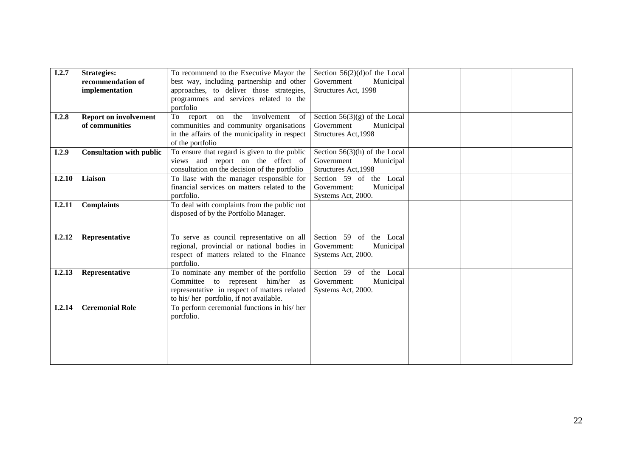<span id="page-31-7"></span><span id="page-31-6"></span><span id="page-31-5"></span><span id="page-31-4"></span><span id="page-31-3"></span><span id="page-31-2"></span><span id="page-31-1"></span><span id="page-31-0"></span>

| I.2.7  | <b>Strategies:</b>              | To recommend to the Executive Mayor the       | Section $56(2)(d)$ of the Local |  |  |
|--------|---------------------------------|-----------------------------------------------|---------------------------------|--|--|
|        | recommendation of               | best way, including partnership and other     | Government<br>Municipal         |  |  |
|        | implementation                  | approaches, to deliver those strategies,      | Structures Act, 1998            |  |  |
|        |                                 | programmes and services related to the        |                                 |  |  |
|        |                                 | portfolio                                     |                                 |  |  |
| I.2.8  | <b>Report on involvement</b>    | To<br>report on the involvement<br>of         | Section $56(3)(g)$ of the Local |  |  |
|        | of communities                  | communities and community organisations       | Government<br>Municipal         |  |  |
|        |                                 | in the affairs of the municipality in respect | Structures Act, 1998            |  |  |
|        |                                 | of the portfolio                              |                                 |  |  |
| I.2.9  | <b>Consultation with public</b> | To ensure that regard is given to the public  | Section $56(3)(h)$ of the Local |  |  |
|        |                                 | views and report on the effect of             | Government<br>Municipal         |  |  |
|        |                                 | consultation on the decision of the portfolio | Structures Act, 1998            |  |  |
| I.2.10 | Liaison                         | To liase with the manager responsible for     | Section 59 of<br>the Local      |  |  |
|        |                                 | financial services on matters related to the  | Government:<br>Municipal        |  |  |
|        |                                 | portfolio.                                    | Systems Act, 2000.              |  |  |
| I.2.11 | <b>Complaints</b>               | To deal with complaints from the public not   |                                 |  |  |
|        |                                 | disposed of by the Portfolio Manager.         |                                 |  |  |
|        |                                 |                                               |                                 |  |  |
| I.2.12 | Representative                  | To serve as council representative on all     | Section 59 of the Local         |  |  |
|        |                                 | regional, provincial or national bodies in    | Government:<br>Municipal        |  |  |
|        |                                 | respect of matters related to the Finance     | Systems Act, 2000.              |  |  |
|        |                                 | portfolio.                                    |                                 |  |  |
| I.2.13 | Representative                  | To nominate any member of the portfolio       | Section 59 of the Local         |  |  |
|        |                                 | Committee to represent him/her as             | Government:<br>Municipal        |  |  |
|        |                                 | representative in respect of matters related  | Systems Act, 2000.              |  |  |
|        |                                 | to his/her portfolio, if not available.       |                                 |  |  |
| I.2.14 | <b>Ceremonial Role</b>          | To perform ceremonial functions in his/ her   |                                 |  |  |
|        |                                 | portfolio.                                    |                                 |  |  |
|        |                                 |                                               |                                 |  |  |
|        |                                 |                                               |                                 |  |  |
|        |                                 |                                               |                                 |  |  |
|        |                                 |                                               |                                 |  |  |
|        |                                 |                                               |                                 |  |  |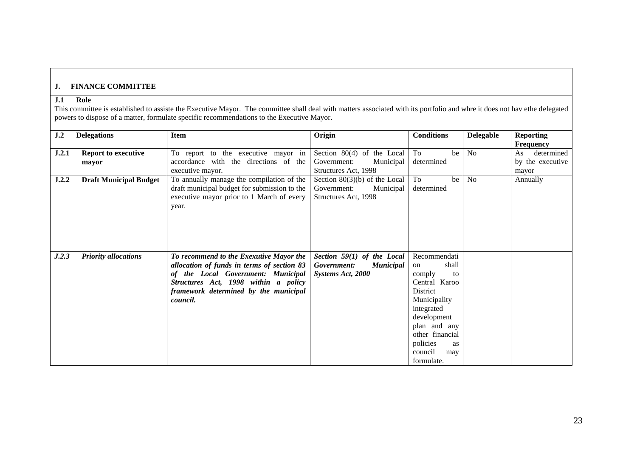# **J. FINANCE COMMITTEE**

#### **J.1 Role**

This committee is established to assiste the Executive Mayor. The committee shall deal with matters associated with its portfolio and whre it does not hav ethe delegated powers to dispose of a matter, formulate specific recommendations to the Executive Mayor.

<span id="page-32-5"></span><span id="page-32-4"></span><span id="page-32-3"></span><span id="page-32-2"></span><span id="page-32-1"></span><span id="page-32-0"></span>

| J.2   | <b>Delegations</b>            | <b>Item</b>                                  | Origin                          | <b>Conditions</b> | <b>Delegable</b> | <b>Reporting</b> |
|-------|-------------------------------|----------------------------------------------|---------------------------------|-------------------|------------------|------------------|
|       |                               |                                              |                                 |                   |                  | <b>Frequency</b> |
| J.2.1 | <b>Report to executive</b>    | To report to the executive mayor in          | Section 80(4) of the Local      | To<br>be          | N <sub>o</sub>   | determined<br>As |
|       | mayor                         | accordance with the directions of the        | Government:<br>Municipal        | determined        |                  | by the executive |
|       |                               | executive mayor.                             | Structures Act, 1998            |                   |                  | mayor            |
| J.2.2 | <b>Draft Municipal Budget</b> | To annually manage the compilation of the    | Section $80(3)(b)$ of the Local | To<br>be          | N <sub>o</sub>   | Annually         |
|       |                               | draft municipal budget for submission to the | Municipal<br>Government:        | determined        |                  |                  |
|       |                               | executive mayor prior to 1 March of every    | Structures Act, 1998            |                   |                  |                  |
|       |                               | year.                                        |                                 |                   |                  |                  |
|       |                               |                                              |                                 |                   |                  |                  |
|       |                               |                                              |                                 |                   |                  |                  |
|       |                               |                                              |                                 |                   |                  |                  |
|       |                               |                                              |                                 |                   |                  |                  |
|       |                               |                                              |                                 |                   |                  |                  |
| J.2.3 | <b>Priority allocations</b>   | To recommend to the Exexutive Mayor the      | Section 59(1) of the Local      | Recommendati      |                  |                  |
|       |                               | allocation of funds in terms of section 83   | Government:<br><b>Municipal</b> | shall<br>on       |                  |                  |
|       |                               | of the Local Government: Municipal           | Systems Act, 2000               | comply<br>to      |                  |                  |
|       |                               | Structures Act, 1998 within a policy         |                                 | Central Karoo     |                  |                  |
|       |                               | framework determined by the municipal        |                                 | District          |                  |                  |
|       |                               | council.                                     |                                 | Municipality      |                  |                  |
|       |                               |                                              |                                 | integrated        |                  |                  |
|       |                               |                                              |                                 | development       |                  |                  |
|       |                               |                                              |                                 | plan and any      |                  |                  |
|       |                               |                                              |                                 | other financial   |                  |                  |
|       |                               |                                              |                                 | policies<br>as    |                  |                  |
|       |                               |                                              |                                 | council<br>may    |                  |                  |
|       |                               |                                              |                                 | formulate.        |                  |                  |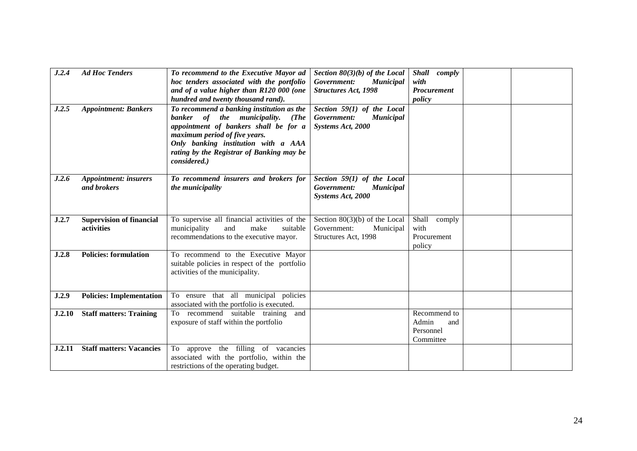<span id="page-33-7"></span><span id="page-33-6"></span><span id="page-33-5"></span><span id="page-33-4"></span><span id="page-33-3"></span><span id="page-33-2"></span><span id="page-33-1"></span><span id="page-33-0"></span>

| J.2.4  | <b>Ad Hoc Tenders</b>           | To recommend to the Executive Mayor ad        | Section $80(3)(b)$ of the Local | Shall comply |  |
|--------|---------------------------------|-----------------------------------------------|---------------------------------|--------------|--|
|        |                                 | hoc tenders associated with the portfolio     | Government:<br><b>Municipal</b> | with         |  |
|        |                                 | and of a value higher than R120 000 (one      | <b>Structures Act, 1998</b>     | Procurement  |  |
|        |                                 | hundred and twenty thousand rand).            |                                 | policy       |  |
| J.2.5  | <b>Appointment: Bankers</b>     | To recommend a banking institution as the     | Section 59(1) of the Local      |              |  |
|        |                                 | banker of the municipality.<br>(The           | Government:<br><b>Municipal</b> |              |  |
|        |                                 | appointment of bankers shall be for a         | Systems Act, 2000               |              |  |
|        |                                 | maximum period of five years.                 |                                 |              |  |
|        |                                 | Only banking institution with a AAA           |                                 |              |  |
|        |                                 | rating by the Registrar of Banking may be     |                                 |              |  |
|        |                                 | considered.)                                  |                                 |              |  |
|        |                                 |                                               |                                 |              |  |
| J.2.6  | <b>Appointment:</b> insurers    | To recommend insurers and brokers for         | Section 59(1) of the Local      |              |  |
|        | and brokers                     | the municipality                              | Government:<br><b>Municipal</b> |              |  |
|        |                                 |                                               | Systems Act, 2000               |              |  |
|        |                                 |                                               |                                 |              |  |
|        |                                 |                                               |                                 |              |  |
| J.2.7  | <b>Supervision of financial</b> | To supervise all financial activities of the  | Section $80(3)(b)$ of the Local | Shall comply |  |
|        | activities                      | municipality<br>and<br>make<br>suitable       | Government:<br>Municipal        | with         |  |
|        |                                 | recommendations to the executive mayor.       | Structures Act, 1998            | Procurement  |  |
|        |                                 |                                               |                                 | policy       |  |
| J.2.8  | <b>Policies: formulation</b>    | To recommend to the Executive Mayor           |                                 |              |  |
|        |                                 | suitable policies in respect of the portfolio |                                 |              |  |
|        |                                 | activities of the municipality.               |                                 |              |  |
|        |                                 |                                               |                                 |              |  |
| J.2.9  | <b>Policies: Implementation</b> | To ensure that all municipal policies         |                                 |              |  |
|        |                                 | associated with the portfolio is executed.    |                                 |              |  |
| J.2.10 | <b>Staff matters: Training</b>  | To recommend suitable training<br>and         |                                 | Recommend to |  |
|        |                                 | exposure of staff within the portfolio        |                                 | Admin<br>and |  |
|        |                                 |                                               |                                 | Personnel    |  |
|        |                                 |                                               |                                 | Committee    |  |
| J.2.11 | <b>Staff matters: Vacancies</b> | To approve the filling of vacancies           |                                 |              |  |
|        |                                 | associated with the portfolio, within the     |                                 |              |  |
|        |                                 | restrictions of the operating budget.         |                                 |              |  |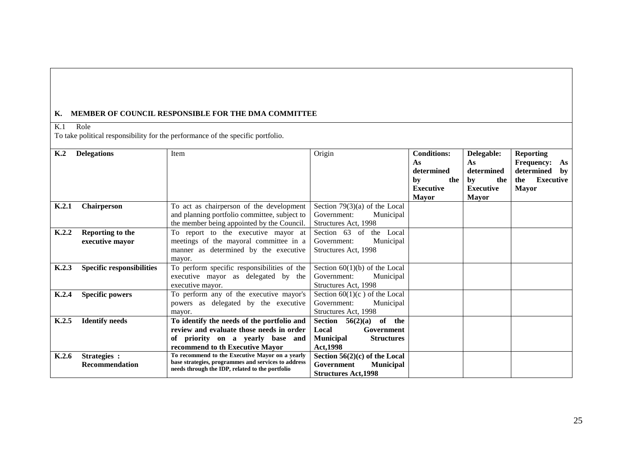#### **K. MEMBER OF COUNCIL RESPONSIBLE FOR THE DMA COMMITTEE**

K.1 Role

To take political responsibility for the performance of the specific portfolio.

<span id="page-34-8"></span><span id="page-34-7"></span><span id="page-34-6"></span><span id="page-34-5"></span><span id="page-34-4"></span><span id="page-34-3"></span><span id="page-34-2"></span><span id="page-34-1"></span><span id="page-34-0"></span>

| K <sub>2</sub> | <b>Delegations</b>               | <b>Item</b>                                                                                            | Origin                                | <b>Conditions:</b> | Delegable:       | <b>Reporting</b>        |
|----------------|----------------------------------|--------------------------------------------------------------------------------------------------------|---------------------------------------|--------------------|------------------|-------------------------|
|                |                                  |                                                                                                        |                                       | As                 | As               | <b>Frequency:</b><br>As |
|                |                                  |                                                                                                        |                                       | determined         | determined       | determined<br>by        |
|                |                                  |                                                                                                        |                                       | by<br>the          | by<br>the        | <b>Executive</b><br>the |
|                |                                  |                                                                                                        |                                       | <b>Executive</b>   | <b>Executive</b> | <b>Mayor</b>            |
|                |                                  |                                                                                                        |                                       | <b>Mayor</b>       | <b>Mayor</b>     |                         |
| K.2.1          | Chairperson                      | To act as chairperson of the development                                                               | Section $79(3)(a)$ of the Local       |                    |                  |                         |
|                |                                  | and planning portfolio committee, subject to                                                           | Government:<br>Municipal              |                    |                  |                         |
|                |                                  | the member being appointed by the Council.                                                             | Structures Act, 1998                  |                    |                  |                         |
| K.2.2          | Reporting to the                 | To report to the executive mayor at                                                                    | Section 63 of<br>the Local            |                    |                  |                         |
|                | executive mayor                  | meetings of the mayoral committee in a                                                                 | Municipal<br>Government:              |                    |                  |                         |
|                |                                  | manner as determined by the executive                                                                  | Structures Act, 1998                  |                    |                  |                         |
|                |                                  | mayor.                                                                                                 |                                       |                    |                  |                         |
| K.2.3          | <b>Specific responsibilities</b> | To perform specific responsibilities of the                                                            | Section $60(1)(b)$ of the Local       |                    |                  |                         |
|                |                                  | executive mayor as delegated by the                                                                    | Government:<br>Municipal              |                    |                  |                         |
|                |                                  | executive mayor.                                                                                       | Structures Act, 1998                  |                    |                  |                         |
| K.2.4          | <b>Specific powers</b>           | To perform any of the executive mayor's                                                                | Section $60(1)(c)$ of the Local       |                    |                  |                         |
|                |                                  | powers as delegated by the executive                                                                   | Municipal<br>Government:              |                    |                  |                         |
|                |                                  | mayor.                                                                                                 | Structures Act, 1998                  |                    |                  |                         |
| K.2.5          | <b>Identify needs</b>            | To identify the needs of the portfolio and                                                             | the<br>Section<br>56(2)(a)<br>of      |                    |                  |                         |
|                |                                  | review and evaluate those needs in order                                                               | Government<br>Local                   |                    |                  |                         |
|                |                                  | of priority on a yearly base and                                                                       | <b>Municipal</b><br><b>Structures</b> |                    |                  |                         |
|                |                                  | recommend to th Executive Mayor                                                                        | <b>Act, 1998</b>                      |                    |                  |                         |
| K.2.6          | Strategies :                     | To recommend to the Executive Mayor on a yearly                                                        | Section $56(2)(c)$ of the Local       |                    |                  |                         |
|                | <b>Recommendation</b>            | base strategies, programmes and services to address<br>needs through the IDP, related to the portfolio | Government<br><b>Municipal</b>        |                    |                  |                         |
|                |                                  |                                                                                                        | <b>Structures Act, 1998</b>           |                    |                  |                         |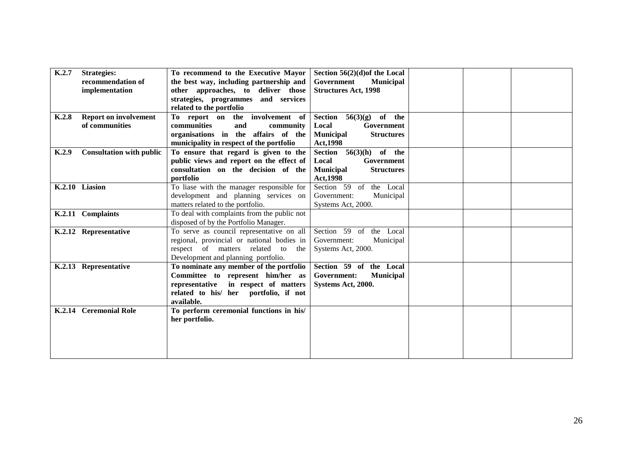<span id="page-35-7"></span><span id="page-35-6"></span><span id="page-35-5"></span><span id="page-35-4"></span><span id="page-35-3"></span><span id="page-35-2"></span><span id="page-35-1"></span><span id="page-35-0"></span>

| K.2.7 | <b>Strategies:</b>              | To recommend to the Executive Mayor         | Section $56(2)(d)$ of the Local       |  |  |
|-------|---------------------------------|---------------------------------------------|---------------------------------------|--|--|
|       | recommendation of               | the best way, including partnership and     | Government<br><b>Municipal</b>        |  |  |
|       | implementation                  | other approaches, to deliver those          | <b>Structures Act, 1998</b>           |  |  |
|       |                                 | strategies, programmes and services         |                                       |  |  |
|       |                                 | related to the portfolio                    |                                       |  |  |
| K.2.8 | <b>Report on involvement</b>    | To report on the involvement of             | of the<br>Section<br>56(3)(g)         |  |  |
|       | of communities                  |                                             |                                       |  |  |
|       |                                 | communities<br>and<br>community             | Government<br>Local                   |  |  |
|       |                                 | organisations in the affairs of the         | <b>Municipal</b><br><b>Structures</b> |  |  |
|       |                                 | municipality in respect of the portfolio    | <b>Act, 1998</b>                      |  |  |
| K.2.9 | <b>Consultation with public</b> | To ensure that regard is given to the       | Section $56(3)(h)$<br>of the          |  |  |
|       |                                 | public views and report on the effect of    | Government<br>Local                   |  |  |
|       |                                 | consultation on the decision of the         | <b>Municipal</b><br><b>Structures</b> |  |  |
|       |                                 | portfolio                                   | <b>Act, 1998</b>                      |  |  |
|       | K.2.10 Liasion                  | To liase with the manager responsible for   | Section 59 of the Local               |  |  |
|       |                                 | development and planning services on        | Government:<br>Municipal              |  |  |
|       |                                 | matters related to the portfolio.           | Systems Act, 2000.                    |  |  |
|       | K.2.11 Complaints               | To deal with complaints from the public not |                                       |  |  |
|       |                                 | disposed of by the Portfolio Manager.       |                                       |  |  |
|       |                                 | To serve as council representative on all   | Section 59 of                         |  |  |
|       | K.2.12 Representative           |                                             | the Local                             |  |  |
|       |                                 | regional, provincial or national bodies in  | Government:<br>Municipal              |  |  |
|       |                                 | respect of matters related to the           | Systems Act, 2000.                    |  |  |
|       |                                 | Development and planning portfolio.         |                                       |  |  |
|       | K.2.13 Representative           | To nominate any member of the portfolio     | Section 59 of the Local               |  |  |
|       |                                 | Committee to represent him/her as           | Government:<br><b>Municipal</b>       |  |  |
|       |                                 | representative in respect of matters        | Systems Act, 2000.                    |  |  |
|       |                                 | related to his/ her portfolio, if not       |                                       |  |  |
|       |                                 | available.                                  |                                       |  |  |
|       | K.2.14 Ceremonial Role          | To perform ceremonial functions in his/     |                                       |  |  |
|       |                                 | her portfolio.                              |                                       |  |  |
|       |                                 |                                             |                                       |  |  |
|       |                                 |                                             |                                       |  |  |
|       |                                 |                                             |                                       |  |  |
|       |                                 |                                             |                                       |  |  |
|       |                                 |                                             |                                       |  |  |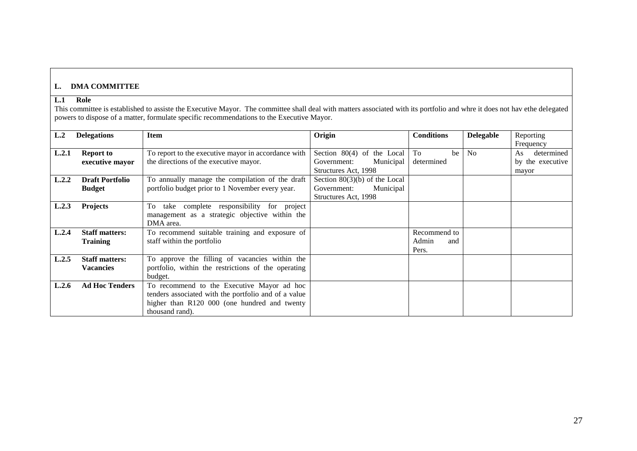# **L. DMA COMMITTEE**

# **L.1 Role**

This committee is established to assiste the Executive Mayor. The committee shall deal with matters associated with its portfolio and whre it does not hav ethe delegated powers to dispose of a matter, formulate specific recommendations to the Executive Mayor.

| L.2   | <b>Delegations</b>     | <b>Item</b>                                          | Origin                          | <b>Conditions</b> | <b>Delegable</b> | Reporting        |
|-------|------------------------|------------------------------------------------------|---------------------------------|-------------------|------------------|------------------|
|       |                        |                                                      |                                 |                   |                  | Frequency        |
| L.2.1 | <b>Report to</b>       | To report to the executive mayor in accordance with  | Section 80(4) of the Local      | To<br>be          | <b>No</b>        | determined<br>As |
|       | executive mayor        | the directions of the executive mayor.               | Municipal<br>Government:        | determined        |                  | by the executive |
|       |                        |                                                      | Structures Act, 1998            |                   |                  | mayor            |
| L.2.2 | <b>Draft Portfolio</b> | To annually manage the compilation of the draft      | Section $80(3)(b)$ of the Local |                   |                  |                  |
|       | <b>Budget</b>          | portfolio budget prior to 1 November every year.     | Government:<br>Municipal        |                   |                  |                  |
|       |                        |                                                      | Structures Act, 1998            |                   |                  |                  |
| L.2.3 | <b>Projects</b>        | take complete responsibility for project<br>To.      |                                 |                   |                  |                  |
|       |                        | management as a strategic objective within the       |                                 |                   |                  |                  |
|       |                        | DMA area.                                            |                                 |                   |                  |                  |
| L.2.4 | <b>Staff matters:</b>  | To recommend suitable training and exposure of       |                                 | Recommend to      |                  |                  |
|       | <b>Training</b>        | staff within the portfolio                           |                                 | Admin<br>and      |                  |                  |
|       |                        |                                                      |                                 | Pers.             |                  |                  |
| L.2.5 | <b>Staff matters:</b>  | To approve the filling of vacancies within the       |                                 |                   |                  |                  |
|       | <b>Vacancies</b>       | portfolio, within the restrictions of the operating  |                                 |                   |                  |                  |
|       |                        | budget.                                              |                                 |                   |                  |                  |
| L.2.6 | <b>Ad Hoc Tenders</b>  | To recommend to the Executive Mayor ad hoc           |                                 |                   |                  |                  |
|       |                        | tenders associated with the portfolio and of a value |                                 |                   |                  |                  |
|       |                        | higher than R120 000 (one hundred and twenty         |                                 |                   |                  |                  |
|       |                        | thousand rand).                                      |                                 |                   |                  |                  |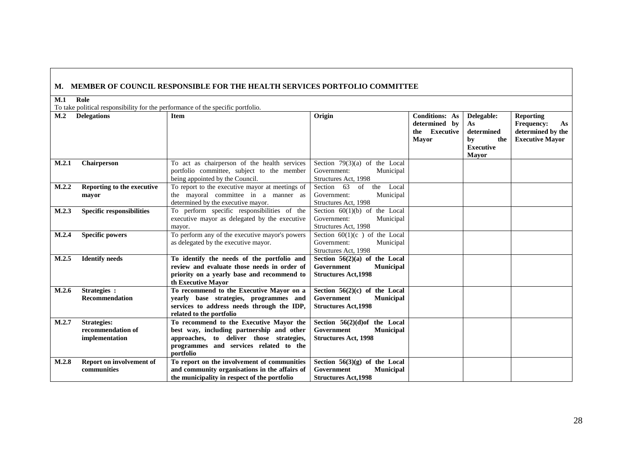# **M. MEMBER OF COUNCIL RESPONSIBLE FOR THE HEALTH SERVICES PORTFOLIO COMMITTEE**

#### **M.1 Role**

To take political responsibility for the performance of the specific portfolio.

|                |                                                           | To take pointed responsibility for the performance of the specific portrollor.                                                                                                          |                                                                                                  |                                                                         |                                                                                 |                                                                                            |
|----------------|-----------------------------------------------------------|-----------------------------------------------------------------------------------------------------------------------------------------------------------------------------------------|--------------------------------------------------------------------------------------------------|-------------------------------------------------------------------------|---------------------------------------------------------------------------------|--------------------------------------------------------------------------------------------|
| M <sub>1</sub> | <b>Delegations</b>                                        | <b>Item</b>                                                                                                                                                                             | Origin                                                                                           | <b>Conditions: As</b><br>determined by<br>the Executive<br><b>Mayor</b> | Delegable:<br>As<br>determined<br>by<br>the<br><b>Executive</b><br><b>Mayor</b> | <b>Reporting</b><br><b>Frequency:</b><br>As<br>determined by the<br><b>Executive Mayor</b> |
| M.2.1          | Chairperson                                               | To act as chairperson of the health services<br>portfolio committee, subject to the member<br>being appointed by the Council.                                                           | Section $79(3)(a)$ of the Local<br>Government:<br>Municipal<br>Structures Act, 1998              |                                                                         |                                                                                 |                                                                                            |
| M.2.2          | Reporting to the executive<br>mayor                       | To report to the executive mayor at meetings of<br>the mayoral committee in a manner as<br>determined by the executive mayor.                                                           | Section 63<br>Local<br>of<br>the<br>Municipal<br>Government:<br>Structures Act, 1998             |                                                                         |                                                                                 |                                                                                            |
| M.2.3          | <b>Specific responsibilities</b>                          | To perform specific responsibilities of the<br>executive mayor as delegated by the executive<br>mayor.                                                                                  | Section $60(1)(b)$ of the Local<br>Municipal<br>Government:<br>Structures Act, 1998              |                                                                         |                                                                                 |                                                                                            |
| M.2.4          | <b>Specific powers</b>                                    | To perform any of the executive mayor's powers<br>as delegated by the executive mayor.                                                                                                  | Section $60(1)(c)$ of the Local<br>Government:<br>Municipal<br>Structures Act, 1998              |                                                                         |                                                                                 |                                                                                            |
| M.2.5          | <b>Identify needs</b>                                     | To identify the needs of the portfolio and<br>review and evaluate those needs in order of<br>priority on a yearly base and recommend to<br>th Executive Mayor                           | Section $56(2)(a)$ of the Local<br>Government<br><b>Municipal</b><br><b>Structures Act, 1998</b> |                                                                         |                                                                                 |                                                                                            |
| M.2.6          | Strategies :<br><b>Recommendation</b>                     | To recommend to the Executive Mayor on a<br>yearly base strategies, programmes and<br>services to address needs through the IDP,<br>related to the portfolio                            | Section $56(2)(c)$ of the Local<br>Government<br><b>Municipal</b><br><b>Structures Act, 1998</b> |                                                                         |                                                                                 |                                                                                            |
| M.2.7          | <b>Strategies:</b><br>recommendation of<br>implementation | To recommend to the Executive Mayor the<br>best way, including partnership and other<br>approaches, to deliver those strategies,<br>programmes and services related to the<br>portfolio | Section $56(2)(d)$ of the Local<br>Government<br><b>Municipal</b><br><b>Structures Act, 1998</b> |                                                                         |                                                                                 |                                                                                            |
| M.2.8          | Report on involvement of<br>communities                   | To report on the involvement of communities<br>and community organisations in the affairs of<br>the municipality in respect of the portfolio                                            | Section $56(3)(g)$ of the Local<br>Government<br><b>Municipal</b><br><b>Structures Act, 1998</b> |                                                                         |                                                                                 |                                                                                            |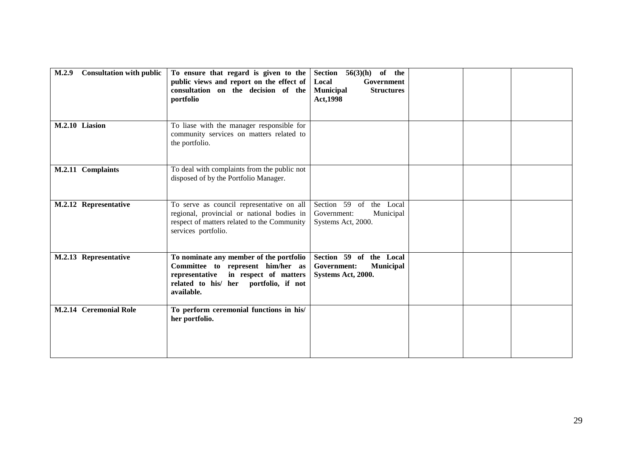| M.2.9 | <b>Consultation with public</b> | To ensure that regard is given to the<br>public views and report on the effect of<br>consultation on the decision of the<br>portfolio                                          | of the<br>Section $56(3)(h)$<br>Local<br>Government<br><b>Municipal</b><br><b>Structures</b><br>Act, 1998 |  |  |
|-------|---------------------------------|--------------------------------------------------------------------------------------------------------------------------------------------------------------------------------|-----------------------------------------------------------------------------------------------------------|--|--|
|       | M.2.10 Liasion                  | To liase with the manager responsible for<br>community services on matters related to<br>the portfolio.                                                                        |                                                                                                           |  |  |
|       | M.2.11 Complaints               | To deal with complaints from the public not<br>disposed of by the Portfolio Manager.                                                                                           |                                                                                                           |  |  |
|       | M.2.12 Representative           | To serve as council representative on all<br>regional, provincial or national bodies in<br>respect of matters related to the Community<br>services portfolio.                  | Section 59 of the Local<br>Municipal<br>Government:<br>Systems Act, 2000.                                 |  |  |
|       | M.2.13 Representative           | To nominate any member of the portfolio<br>Committee to represent him/her as<br>representative<br>in respect of matters<br>related to his/ her portfolio, if not<br>available. | Section 59 of the Local<br>Government:<br><b>Municipal</b><br>Systems Act, 2000.                          |  |  |
|       | M.2.14 Ceremonial Role          | To perform ceremonial functions in his/<br>her portfolio.                                                                                                                      |                                                                                                           |  |  |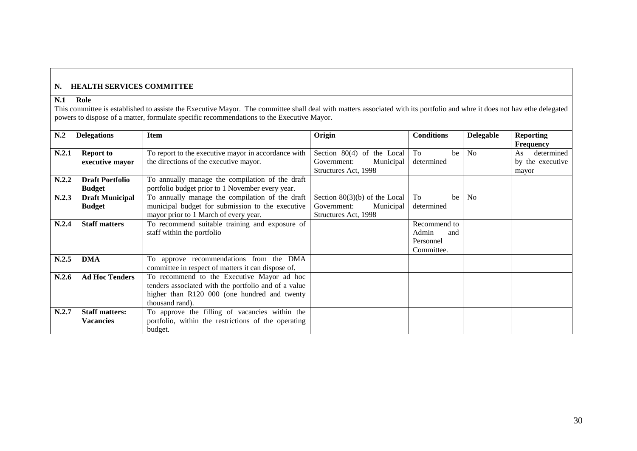# **N. HEALTH SERVICES COMMITTEE**

# **N.1 Role**

This committee is established to assiste the Executive Mayor. The committee shall deal with matters associated with its portfolio and whre it does not hav ethe delegated powers to dispose of a matter, formulate specific recommendations to the Executive Mayor.

| N <sub>0</sub> | <b>Delegations</b>                      | <b>Item</b>                                                                                                                                                           | Origin                                                                              | <b>Conditions</b>                                       | <b>Delegable</b> | <b>Reporting</b><br>Frequency                 |
|----------------|-----------------------------------------|-----------------------------------------------------------------------------------------------------------------------------------------------------------------------|-------------------------------------------------------------------------------------|---------------------------------------------------------|------------------|-----------------------------------------------|
| N.2.1          | <b>Report to</b><br>executive mayor     | To report to the executive mayor in accordance with<br>the directions of the executive mayor.                                                                         | Section 80(4) of the Local<br>Government:<br>Municipal<br>Structures Act, 1998      | To<br>be<br>determined                                  | N <sub>0</sub>   | determined<br>As<br>by the executive<br>mayor |
| N.2.2          | <b>Draft Portfolio</b><br><b>Budget</b> | To annually manage the compilation of the draft<br>portfolio budget prior to 1 November every year.                                                                   |                                                                                     |                                                         |                  |                                               |
| N.2.3          | <b>Draft Municipal</b><br><b>Budget</b> | To annually manage the compilation of the draft<br>municipal budget for submission to the executive<br>mayor prior to 1 March of every year.                          | Section $80(3)(b)$ of the Local<br>Government:<br>Municipal<br>Structures Act, 1998 | To<br>be<br>determined                                  | N <sub>0</sub>   |                                               |
| N.2.4          | <b>Staff matters</b>                    | To recommend suitable training and exposure of<br>staff within the portfolio                                                                                          |                                                                                     | Recommend to<br>Admin<br>and<br>Personnel<br>Committee. |                  |                                               |
| N.2.5          | <b>DMA</b>                              | To approve recommendations from the DMA<br>committee in respect of matters it can dispose of.                                                                         |                                                                                     |                                                         |                  |                                               |
| N.2.6          | <b>Ad Hoc Tenders</b>                   | To recommend to the Executive Mayor ad hoc<br>tenders associated with the portfolio and of a value<br>higher than R120 000 (one hundred and twenty<br>thousand rand). |                                                                                     |                                                         |                  |                                               |
| N.2.7          | <b>Staff matters:</b><br>Vacancies      | To approve the filling of vacancies within the<br>portfolio, within the restrictions of the operating<br>budget.                                                      |                                                                                     |                                                         |                  |                                               |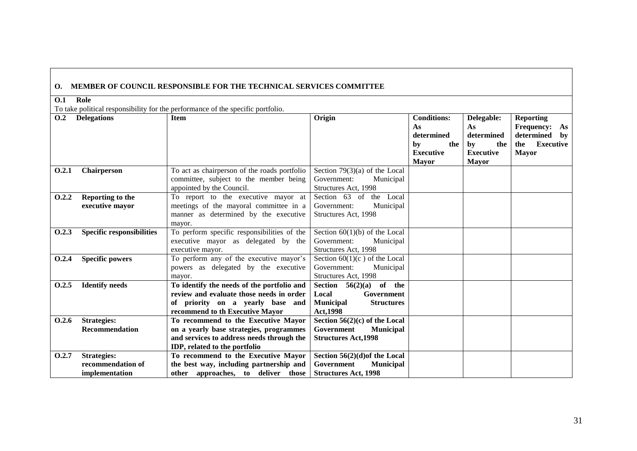# **O. MEMBER OF COUNCIL RESPONSIBLE FOR THE TECHNICAL SERVICES COMMITTEE**

## **O.1 Role**

To take political responsibility for the performance of the specific portfolio.

| 0.2   | <b>Delegations</b>               | <b>Item</b>                                  | Origin                                | <b>Conditions:</b> | Delegable:       | <b>Reporting</b>        |
|-------|----------------------------------|----------------------------------------------|---------------------------------------|--------------------|------------------|-------------------------|
|       |                                  |                                              |                                       | As                 | As               | <b>Frequency:</b><br>As |
|       |                                  |                                              |                                       | determined         | determined       | determined<br>by        |
|       |                                  |                                              |                                       | bv<br>the          | the<br>by        | Executive<br>the        |
|       |                                  |                                              |                                       | <b>Executive</b>   | <b>Executive</b> | <b>Mayor</b>            |
|       |                                  |                                              |                                       | <b>Mayor</b>       | <b>Mayor</b>     |                         |
| 0.2.1 | Chairperson                      | To act as chairperson of the roads portfolio | Section $79(3)(a)$ of the Local       |                    |                  |                         |
|       |                                  | committee, subject to the member being       | Government:<br>Municipal              |                    |                  |                         |
|       |                                  | appointed by the Council.                    | Structures Act, 1998                  |                    |                  |                         |
| 0.2.2 | Reporting to the                 | To report to the executive mayor at          | Section 63 of<br>the Local            |                    |                  |                         |
|       | executive mayor                  | meetings of the mayoral committee in a       | Municipal<br>Government:              |                    |                  |                         |
|       |                                  | manner as determined by the executive        | Structures Act, 1998                  |                    |                  |                         |
|       |                                  | mayor.                                       |                                       |                    |                  |                         |
| 0.2.3 | <b>Specific responsibilities</b> | To perform specific responsibilities of the  | Section $60(1)(b)$ of the Local       |                    |                  |                         |
|       |                                  | executive mayor as delegated by the          | Government:<br>Municipal              |                    |                  |                         |
|       |                                  | executive mayor.                             | Structures Act, 1998                  |                    |                  |                         |
| 0.2.4 | <b>Specific powers</b>           | To perform any of the executive mayor's      | Section $60(1)(c)$ of the Local       |                    |                  |                         |
|       |                                  | powers as delegated by the executive         | Government:<br>Municipal              |                    |                  |                         |
|       |                                  | mayor.                                       | Structures Act, 1998                  |                    |                  |                         |
| 0.2.5 | <b>Identify needs</b>            | To identify the needs of the portfolio and   | Section $56(2)(a)$ of the             |                    |                  |                         |
|       |                                  | review and evaluate those needs in order     | Government<br>Local                   |                    |                  |                         |
|       |                                  | of priority on a yearly base and             | <b>Municipal</b><br><b>Structures</b> |                    |                  |                         |
|       |                                  | recommend to th Executive Mayor              | <b>Act.1998</b>                       |                    |                  |                         |
| 0.2.6 | <b>Strategies:</b>               | To recommend to the Executive Mayor          | Section $56(2)(c)$ of the Local       |                    |                  |                         |
|       | <b>Recommendation</b>            | on a yearly base strategies, programmes      | Government<br><b>Municipal</b>        |                    |                  |                         |
|       |                                  | and services to address needs through the    | <b>Structures Act, 1998</b>           |                    |                  |                         |
|       |                                  | IDP, related to the portfolio                |                                       |                    |                  |                         |
| 0.2.7 | <b>Strategies:</b>               | To recommend to the Executive Mayor          | Section $56(2)(d)$ of the Local       |                    |                  |                         |
|       | recommendation of                | the best way, including partnership and      | Government<br><b>Municipal</b>        |                    |                  |                         |
|       | implementation                   | other approaches, to deliver those           | <b>Structures Act, 1998</b>           |                    |                  |                         |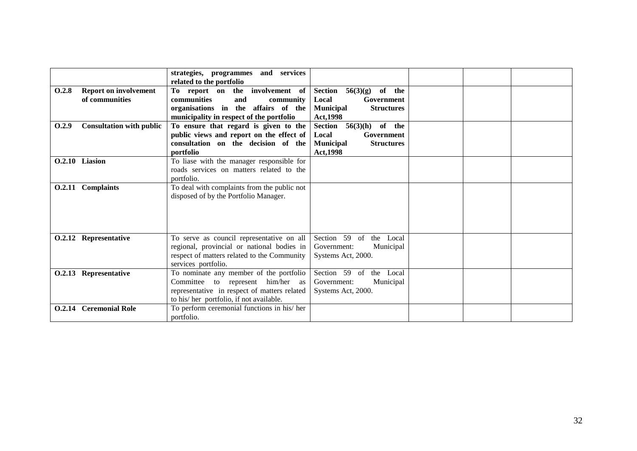|       |                                 | services<br>strategies, programmes and       |                                          |  |  |
|-------|---------------------------------|----------------------------------------------|------------------------------------------|--|--|
|       |                                 | related to the portfolio                     |                                          |  |  |
| 0.2.8 | <b>Report on involvement</b>    | the involvement of<br>To report on           | Section<br>of the<br>56(3)(g)            |  |  |
|       | of communities                  | <b>communities</b><br>and<br>community       | Local<br>Government                      |  |  |
|       |                                 | organisations in the affairs of the          | <b>Municipal</b><br><b>Structures</b>    |  |  |
|       |                                 | municipality in respect of the portfolio     | Act, 1998                                |  |  |
| 0.2.9 | <b>Consultation with public</b> | To ensure that regard is given to the        | of the<br>Section<br>56(3)(h)            |  |  |
|       |                                 | public views and report on the effect of     | Local<br>Government                      |  |  |
|       |                                 | consultation on the decision of the          | <b>Municipal</b><br><b>Structures</b>    |  |  |
|       |                                 | portfolio                                    | <b>Act, 1998</b>                         |  |  |
|       | O.2.10 Liasion                  | To liase with the manager responsible for    |                                          |  |  |
|       |                                 | roads services on matters related to the     |                                          |  |  |
|       |                                 | portfolio.                                   |                                          |  |  |
|       | O.2.11 Complaints               | To deal with complaints from the public not  |                                          |  |  |
|       |                                 | disposed of by the Portfolio Manager.        |                                          |  |  |
|       |                                 |                                              |                                          |  |  |
|       |                                 |                                              |                                          |  |  |
|       |                                 |                                              |                                          |  |  |
|       |                                 |                                              |                                          |  |  |
|       | O.2.12 Representative           | To serve as council representative on all    | Section 59<br>the Local<br><sub>of</sub> |  |  |
|       |                                 | regional, provincial or national bodies in   | Municipal<br>Government:                 |  |  |
|       |                                 | respect of matters related to the Community  | Systems Act, 2000.                       |  |  |
|       |                                 | services portfolio.                          |                                          |  |  |
|       | O.2.13 Representative           | To nominate any member of the portfolio      | Section 59 of<br>the Local               |  |  |
|       |                                 | Committee to represent him/her as            | Municipal<br>Government:                 |  |  |
|       |                                 | representative in respect of matters related | Systems Act, 2000.                       |  |  |
|       |                                 | to his/her portfolio, if not available.      |                                          |  |  |
|       | <b>O.2.14</b> Ceremonial Role   | To perform ceremonial functions in his/ her  |                                          |  |  |
|       |                                 | portfolio.                                   |                                          |  |  |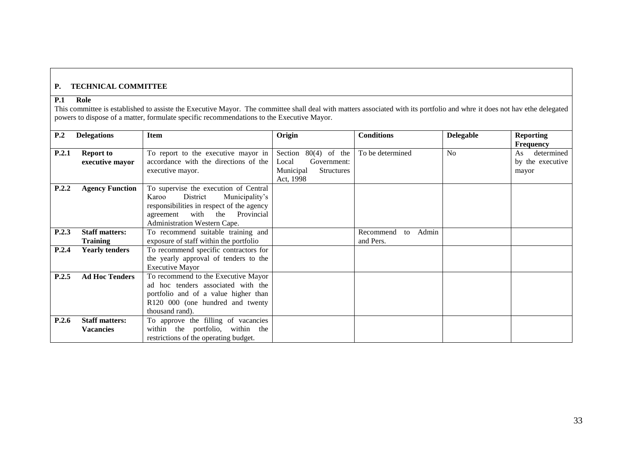# **P. TECHNICAL COMMITTEE**

## **P.1 Role**

This committee is established to assiste the Executive Mayor. The committee shall deal with matters associated with its portfolio and whre it does not hav ethe delegated powers to dispose of a matter, formulate specific recommendations to the Executive Mayor.

| P.2   | <b>Delegations</b>                        | <b>Item</b>                                                                                                                                                                                      | Origin                                                                                           | <b>Conditions</b>                     | <b>Delegable</b> | <b>Reporting</b>                                                  |
|-------|-------------------------------------------|--------------------------------------------------------------------------------------------------------------------------------------------------------------------------------------------------|--------------------------------------------------------------------------------------------------|---------------------------------------|------------------|-------------------------------------------------------------------|
| P.2.1 | <b>Report to</b><br>executive mayor       | To report to the executive mayor in<br>accordance with the directions of the<br>executive mayor.                                                                                                 | $80(4)$ of the<br>Section<br>Local<br>Government:<br>Municipal<br><b>Structures</b><br>Act, 1998 | To be determined                      | N <sub>o</sub>   | <b>Frequency</b><br>determined<br>As<br>by the executive<br>mayor |
| P.2.2 | <b>Agency Function</b>                    | To supervise the execution of Central<br>District<br>Municipality's<br>Karoo<br>responsibilities in respect of the agency<br>with the<br>Provincial<br>agreement<br>Administration Western Cape. |                                                                                                  |                                       |                  |                                                                   |
| P.2.3 | <b>Staff matters:</b><br><b>Training</b>  | To recommend suitable training and<br>exposure of staff within the portfolio                                                                                                                     |                                                                                                  | Admin<br>Recommend<br>to<br>and Pers. |                  |                                                                   |
| P.2.4 | <b>Yearly tenders</b>                     | To recommend specific contractors for<br>the yearly approval of tenders to the<br><b>Executive Mayor</b>                                                                                         |                                                                                                  |                                       |                  |                                                                   |
| P.2.5 | <b>Ad Hoc Tenders</b>                     | To recommend to the Executive Mayor<br>ad hoc tenders associated with the<br>portfolio and of a value higher than<br>R120 000 (one hundred and twenty<br>thousand rand).                         |                                                                                                  |                                       |                  |                                                                   |
| P.2.6 | <b>Staff matters:</b><br><b>Vacancies</b> | To approve the filling of vacancies<br>within the portfolio, within the<br>restrictions of the operating budget.                                                                                 |                                                                                                  |                                       |                  |                                                                   |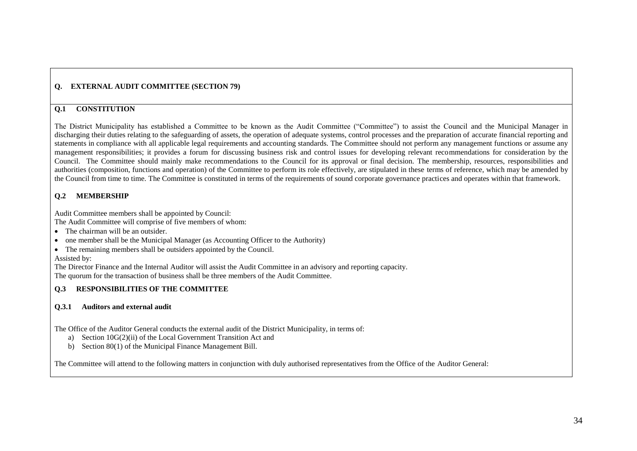# **Q. EXTERNAL AUDIT COMMITTEE (SECTION 79)**

# **Q.1 CONSTITUTION**

The District Municipality has established a Committee to be known as the Audit Committee ("Committee") to assist the Council and the Municipal Manager in discharging their duties relating to the safeguarding of assets, the operation of adequate systems, control processes and the preparation of accurate financial reporting and statements in compliance with all applicable legal requirements and accounting standards. The Committee should not perform any management functions or assume any management responsibilities; it provides a forum for discussing business risk and control issues for developing relevant recommendations for consideration by the Council. The Committee should mainly make recommendations to the Council for its approval or final decision. The membership, resources, responsibilities and authorities (composition, functions and operation) of the Committee to perform its role effectively, are stipulated in these terms of reference, which may be amended by the Council from time to time. The Committee is constituted in terms of the requirements of sound corporate governance practices and operates within that framework.

## **Q.2 MEMBERSHIP**

Audit Committee members shall be appointed by Council:

The Audit Committee will comprise of five members of whom:

- The chairman will be an outsider.
- one member shall be the Municipal Manager (as Accounting Officer to the Authority)
- The remaining members shall be outsiders appointed by the Council. Assisted by:

The Director Finance and the Internal Auditor will assist the Audit Committee in an advisory and reporting capacity. The quorum for the transaction of business shall be three members of the Audit Committee.

# **Q.3 RESPONSIBILITIES OF THE COMMITTEE**

## **Q.3.1 Auditors and external audit**

The Office of the Auditor General conducts the external audit of the District Municipality, in terms of:

- a) Section 10G(2)(ii) of the Local Government Transition Act and
- b) Section 80(1) of the Municipal Finance Management Bill.

The Committee will attend to the following matters in conjunction with duly authorised representatives from the Office of the Auditor General: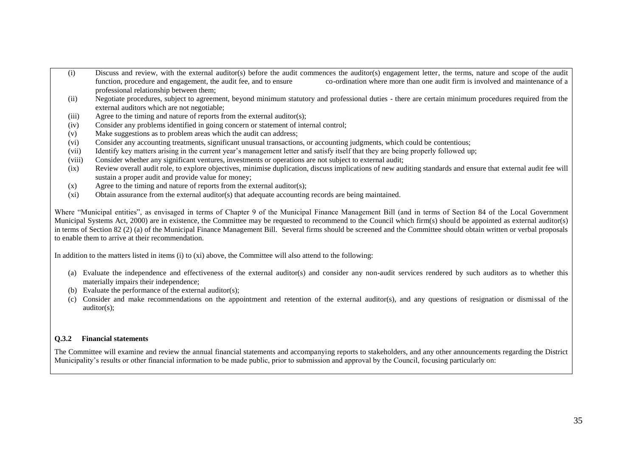- (i) Discuss and review, with the external auditor(s) before the audit commences the auditor(s) engagement letter, the terms, nature and scope of the audit function, procedure and engagement, the audit fee, and to ensure co-ordination where more than one audit firm is involved and maintenance of a professional relationship between them;
- (ii) Negotiate procedures, subject to agreement, beyond minimum statutory and professional duties there are certain minimum procedures required from the external auditors which are not negotiable;
- (iii) Agree to the timing and nature of reports from the external auditor(s);
- (iv) Consider any problems identified in going concern or statement of internal control;
- (v) Make suggestions as to problem areas which the audit can address;
- (vi) Consider any accounting treatments, significant unusual transactions, or accounting judgments, which could be contentious;
- (vii) Identify key matters arising in the current year"s management letter and satisfy itself that they are being properly followed up;
- (viii) Consider whether any significant ventures, investments or operations are not subject to external audit;
- (ix) Review overall audit role, to explore objectives, minimise duplication, discuss implications of new auditing standards and ensure that external audit fee will sustain a proper audit and provide value for money;
- $(x)$  Agree to the timing and nature of reports from the external auditor(s);
- (xi) Obtain assurance from the external auditor(s) that adequate accounting records are being maintained.

Where "Municipal entities", as envisaged in terms of Chapter 9 of the Municipal Finance Management Bill (and in terms of Section 84 of the Local Government Municipal Systems Act, 2000) are in existence, the Committee may be requested to recommend to the Council which firm(s) should be appointed as external auditor(s) in terms of Section 82 (2) (a) of the Municipal Finance Management Bill. Several firms should be screened and the Committee should obtain written or verbal proposals to enable them to arrive at their recommendation.

In addition to the matters listed in items (i) to (xi) above, the Committee will also attend to the following:

- (a) Evaluate the independence and effectiveness of the external auditor(s) and consider any non-audit services rendered by such auditors as to whether this materially impairs their independence;
- (b) Evaluate the performance of the external auditor(s);
- (c) Consider and make recommendations on the appointment and retention of the external auditor(s), and any questions of resignation or dismissal of the auditor(s);

#### **Q.3.2 Financial statements**

The Committee will examine and review the annual financial statements and accompanying reports to stakeholders, and any other announcements regarding the District Municipality"s results or other financial information to be made public, prior to submission and approval by the Council, focusing particularly on: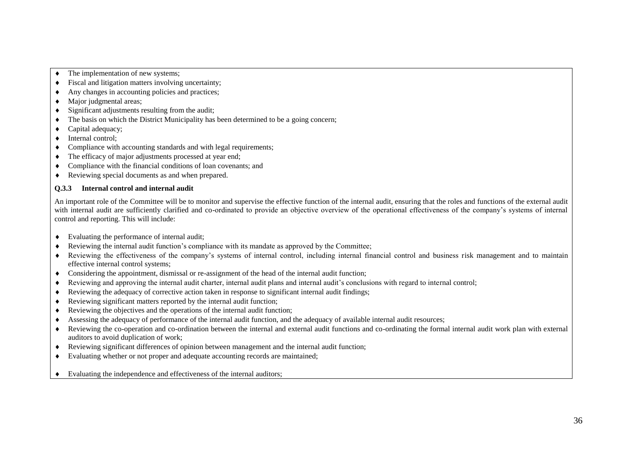- The implementation of new systems;
- Fiscal and litigation matters involving uncertainty;
- Any changes in accounting policies and practices:
- Major judgmental areas:
- $\bullet$  Significant adjustments resulting from the audit;
- $\bullet$  The basis on which the District Municipality has been determined to be a going concern;
- Capital adequacy:
- $\bullet$  Internal control:
- Compliance with accounting standards and with legal requirements;
- The efficacy of major adjustments processed at year end;
- Compliance with the financial conditions of loan covenants; and
- Reviewing special documents as and when prepared.

#### **Q.3.3 Internal control and internal audit**

An important role of the Committee will be to monitor and supervise the effective function of the internal audit, ensuring that the roles and functions of the external audit with internal audit are sufficiently clarified and co-ordinated to provide an objective overview of the operational effectiveness of the company's systems of internal control and reporting. This will include:

- Evaluating the performance of internal audit;
- Reviewing the internal audit function"s compliance with its mandate as approved by the Committee;
- Reviewing the effectiveness of the company"s systems of internal control, including internal financial control and business risk management and to maintain effective internal control systems;
- Considering the appointment, dismissal or re-assignment of the head of the internal audit function;
- Reviewing and approving the internal audit charter, internal audit plans and internal audit"s conclusions with regard to internal control;
- Reviewing the adequacy of corrective action taken in response to significant internal audit findings;
- Reviewing significant matters reported by the internal audit function;
- Reviewing the objectives and the operations of the internal audit function;
- Assessing the adequacy of performance of the internal audit function, and the adequacy of available internal audit resources;
- Reviewing the co-operation and co-ordination between the internal and external audit functions and co-ordinating the formal internal audit work plan with external auditors to avoid duplication of work;
- Reviewing significant differences of opinion between management and the internal audit function;
- Evaluating whether or not proper and adequate accounting records are maintained;
- Evaluating the independence and effectiveness of the internal auditors;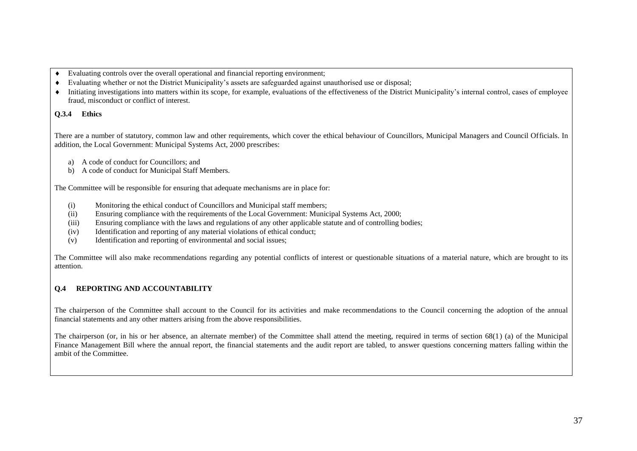- Evaluating controls over the overall operational and financial reporting environment;
- Evaluating whether or not the District Municipality"s assets are safeguarded against unauthorised use or disposal;
- Initiating investigations into matters within its scope, for example, evaluations of the effectiveness of the District Municipality"s internal control, cases of employee fraud, misconduct or conflict of interest.

#### **Q.3.4 Ethics**

There are a number of statutory, common law and other requirements, which cover the ethical behaviour of Councillors, Municipal Managers and Council Officials. In addition, the Local Government: Municipal Systems Act, 2000 prescribes:

- a) A code of conduct for Councillors; and
- b) A code of conduct for Municipal Staff Members.

The Committee will be responsible for ensuring that adequate mechanisms are in place for:

- (i) Monitoring the ethical conduct of Councillors and Municipal staff members;
- (ii) Ensuring compliance with the requirements of the Local Government: Municipal Systems Act, 2000;
- (iii) Ensuring compliance with the laws and regulations of any other applicable statute and of controlling bodies;
- (iv) Identification and reporting of any material violations of ethical conduct;
- (v) Identification and reporting of environmental and social issues;

The Committee will also make recommendations regarding any potential conflicts of interest or questionable situations of a material nature, which are brought to its attention.

# **Q.4 REPORTING AND ACCOUNTABILITY**

The chairperson of the Committee shall account to the Council for its activities and make recommendations to the Council concerning the adoption of the annual financial statements and any other matters arising from the above responsibilities.

The chairperson (or, in his or her absence, an alternate member) of the Committee shall attend the meeting, required in terms of section 68(1) (a) of the Municipal Finance Management Bill where the annual report, the financial statements and the audit report are tabled, to answer questions concerning matters falling within the ambit of the Committee.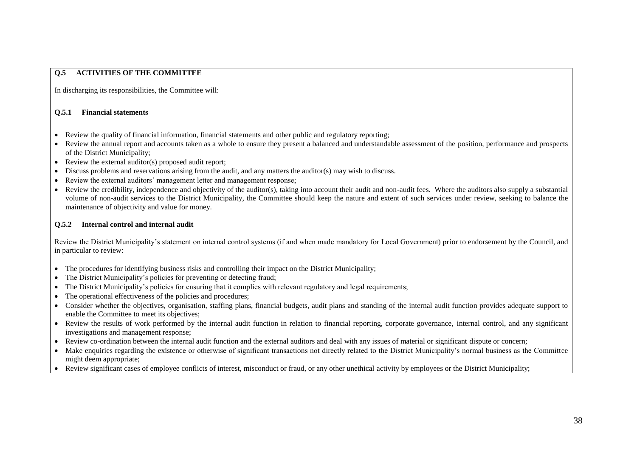# **Q.5 ACTIVITIES OF THE COMMITTEE**

In discharging its responsibilities, the Committee will:

#### **Q.5.1 Financial statements**

- Review the quality of financial information, financial statements and other public and regulatory reporting;
- Review the annual report and accounts taken as a whole to ensure they present a balanced and understandable assessment of the position, performance and prospects of the District Municipality;
- Review the external auditor(s) proposed audit report;
- Discuss problems and reservations arising from the audit, and any matters the auditor(s) may wish to discuss.
- Review the external auditors' management letter and management response;
- Review the credibility, independence and objectivity of the auditor(s), taking into account their audit and non-audit fees. Where the auditors also supply a substantial volume of non-audit services to the District Municipality, the Committee should keep the nature and extent of such services under review, seeking to balance the maintenance of objectivity and value for money.

## **Q.5.2 Internal control and internal audit**

Review the District Municipality"s statement on internal control systems (if and when made mandatory for Local Government) prior to endorsement by the Council, and in particular to review:

- The procedures for identifying business risks and controlling their impact on the District Municipality;
- The District Municipality's policies for preventing or detecting fraud;
- The District Municipality"s policies for ensuring that it complies with relevant regulatory and legal requirements;
- The operational effectiveness of the policies and procedures:
- Consider whether the objectives, organisation, staffing plans, financial budgets, audit plans and standing of the internal audit function provides adequate support to enable the Committee to meet its objectives;
- Review the results of work performed by the internal audit function in relation to financial reporting, corporate governance, internal control, and any significant investigations and management response;
- Review co-ordination between the internal audit function and the external auditors and deal with any issues of material or significant dispute or concern;
- Make enquiries regarding the existence or otherwise of significant transactions not directly related to the District Municipality's normal business as the Committee might deem appropriate;
- Review significant cases of employee conflicts of interest, misconduct or fraud, or any other unethical activity by employees or the District Municipality;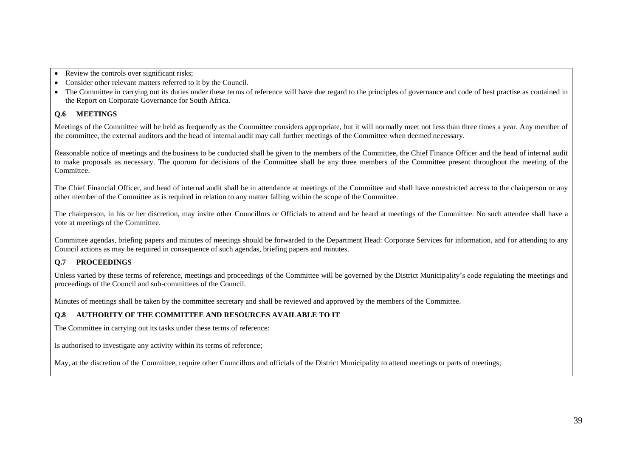• Review the controls over significant risks;

- Consider other relevant matters referred to it by the Council.
- The Committee in carrying out its duties under these terms of reference will have due regard to the principles of governance and code of best practise as contained in the Report on Corporate Governance for South Africa.

# **Q.6 MEETINGS**

Meetings of the Committee will be held as frequently as the Committee considers appropriate, but it will normally meet not less than three times a year. Any member of the committee, the external auditors and the head of internal audit may call further meetings of the Committee when deemed necessary.

Reasonable notice of meetings and the business to be conducted shall be given to the members of the Committee, the Chief Finance Officer and the head of internal audit to make proposals as necessary. The quorum for decisions of the Committee shall be any three members of the Committee present throughout the meeting of the Committee.

The Chief Financial Officer, and head of internal audit shall be in attendance at meetings of the Committee and shall have unrestricted access to the chairperson or any other member of the Committee as is required in relation to any matter falling within the scope of the Committee.

The chairperson, in his or her discretion, may invite other Councillors or Officials to attend and be heard at meetings of the Committee. No such attendee shall have a vote at meetings of the Committee.

Committee agendas, briefing papers and minutes of meetings should be forwarded to the Department Head: Corporate Services for information, and for attending to any Council actions as may be required in consequence of such agendas, briefing papers and minutes.

# **Q.7 PROCEEDINGS**

Unless varied by these terms of reference, meetings and proceedings of the Committee will be governed by the District Municipality"s code regulating the meetings and proceedings of the Council and sub-committees of the Council.

Minutes of meetings shall be taken by the committee secretary and shall be reviewed and approved by the members of the Committee.

# **Q.8 AUTHORITY OF THE COMMITTEE AND RESOURCES AVAILABLE TO IT**

The Committee in carrying out its tasks under these terms of reference:

Is authorised to investigate any activity within its terms of reference;

May, at the discretion of the Committee, require other Councillors and officials of the District Municipality to attend meetings or parts of meetings;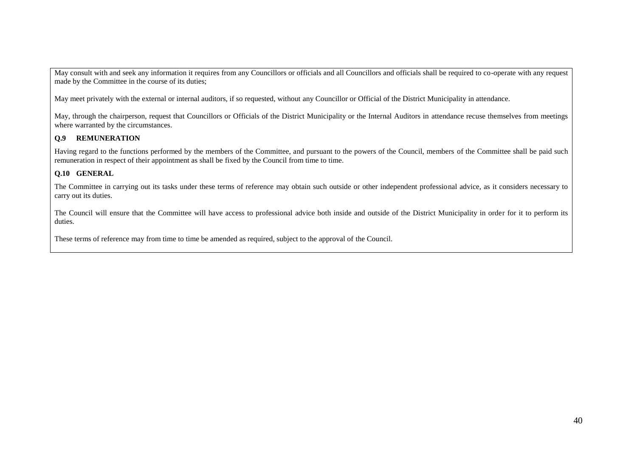May consult with and seek any information it requires from any Councillors or officials and all Councillors and officials shall be required to co-operate with any request made by the Committee in the course of its duties;

May meet privately with the external or internal auditors, if so requested, without any Councillor or Official of the District Municipality in attendance.

May, through the chairperson, request that Councillors or Officials of the District Municipality or the Internal Auditors in attendance recuse themselves from meetings where warranted by the circumstances.

# **Q.9 REMUNERATION**

Having regard to the functions performed by the members of the Committee, and pursuant to the powers of the Council, members of the Committee shall be paid such remuneration in respect of their appointment as shall be fixed by the Council from time to time.

## **Q.10 GENERAL**

The Committee in carrying out its tasks under these terms of reference may obtain such outside or other independent professional advice, as it considers necessary to carry out its duties.

The Council will ensure that the Committee will have access to professional advice both inside and outside of the District Municipality in order for it to perform its duties.

These terms of reference may from time to time be amended as required, subject to the approval of the Council.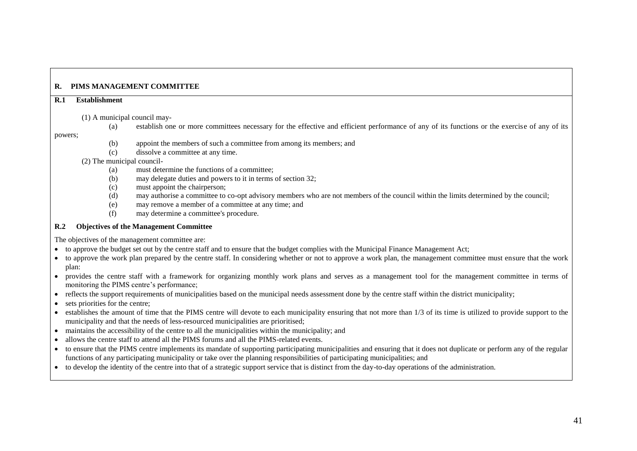# **R. PIMS MANAGEMENT COMMITTEE**

#### **R.1 Establishment**

#### (1) A municipal council may-

(a) establish one or more committees necessary for the effective and efficient performance of any of its functions or the exercise of any of its

#### powers;

- (b) appoint the members of such a committee from among its members; and
- (c) dissolve a committee at any time.

## (2) The municipal council-

- (a) must determine the functions of a committee;
- (b) may delegate duties and powers to it in terms of section 32;
- (c) must appoint the chairperson;
- (d) may authorise a committee to co-opt advisory members who are not members of the council within the limits determined by the council;
- (e) may remove a member of a committee at any time; and
- (f) may determine a committee's procedure.

## **R.2 Objectives of the Management Committee**

The objectives of the management committee are:

- to approve the budget set out by the centre staff and to ensure that the budget complies with the Municipal Finance Management Act;
- to approve the work plan prepared by the centre staff. In considering whether or not to approve a work plan, the management committee must ensure that the work plan:
- provides the centre staff with a framework for organizing monthly work plans and serves as a management tool for the management committee in terms of monitoring the PIMS centre's performance:
- reflects the support requirements of municipalities based on the municipal needs assessment done by the centre staff within the district municipality;
- sets priorities for the centre:
- establishes the amount of time that the PIMS centre will devote to each municipality ensuring that not more than 1/3 of its time is utilized to provide support to the municipality and that the needs of less-resourced municipalities are prioritised;
- maintains the accessibility of the centre to all the municipalities within the municipality; and
- allows the centre staff to attend all the PIMS forums and all the PIMS-related events.
- to ensure that the PIMS centre implements its mandate of supporting participating municipalities and ensuring that it does not duplicate or perform any of the regular functions of any participating municipality or take over the planning responsibilities of participating municipalities; and
- to develop the identity of the centre into that of a strategic support service that is distinct from the day-to-day operations of the administration.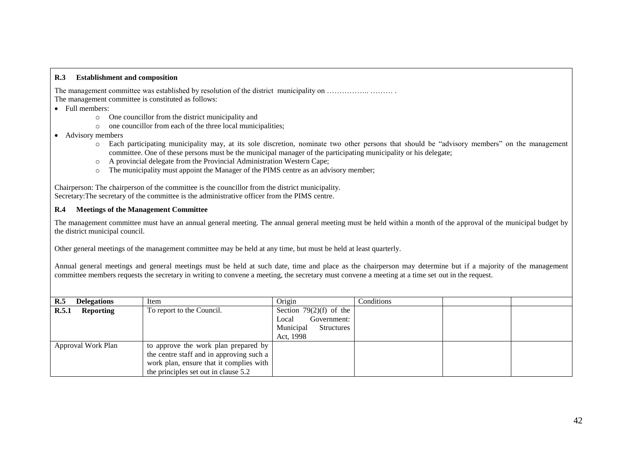#### **R.3 Establishment and composition**

The management committee was established by resolution of the district municipality on …………….. ……… . The management committee is constituted as follows:

- Full members:
	- o One councillor from the district municipality and
	- o one councillor from each of the three local municipalities;
- Advisory members
	- o Each participating municipality may, at its sole discretion, nominate two other persons that should be "advisory members" on the management committee. One of these persons must be the municipal manager of the participating municipality or his delegate;
	- o A provincial delegate from the Provincial Administration Western Cape;
	- $\circ$  The municipality must appoint the Manager of the PIMS centre as an advisory member;

Chairperson: The chairperson of the committee is the councillor from the district municipality. Secretary:The secretary of the committee is the administrative officer from the PIMS centre.

#### **R.4 Meetings of the Management Committee**

The management committee must have an annual general meeting. The annual general meeting must be held within a month of the approval of the municipal budget by the district municipal council.

Other general meetings of the management committee may be held at any time, but must be held at least quarterly.

Annual general meetings and general meetings must be held at such date, time and place as the chairperson may determine but if a majority of the management committee members requests the secretary in writing to convene a meeting, the secretary must convene a meeting at a time set out in the request.

| R.5<br><b>Delegations</b> | Item                                                                                                                                                                | Origin                                                                                     | Conditions |  |
|---------------------------|---------------------------------------------------------------------------------------------------------------------------------------------------------------------|--------------------------------------------------------------------------------------------|------------|--|
| R.5.1<br><b>Reporting</b> | To report to the Council.                                                                                                                                           | Section 79 $(2)(f)$ of the<br>Government:<br>Local<br>Municipal<br>Structures<br>Act, 1998 |            |  |
| Approval Work Plan        | to approve the work plan prepared by<br>the centre staff and in approving such a<br>work plan, ensure that it complies with<br>the principles set out in clause 5.2 |                                                                                            |            |  |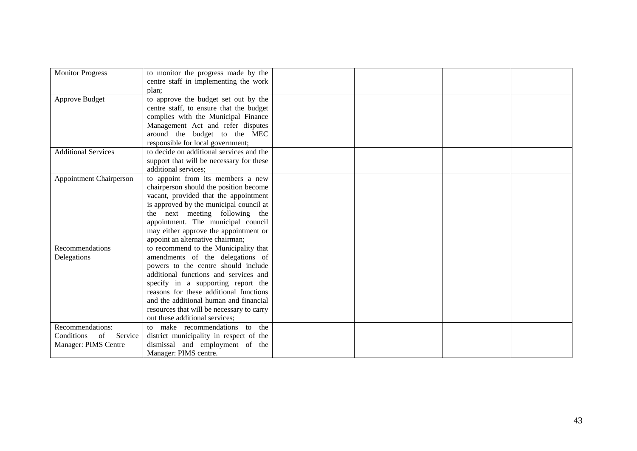| <b>Monitor Progress</b>        | to monitor the progress made by the       |  |  |
|--------------------------------|-------------------------------------------|--|--|
|                                | centre staff in implementing the work     |  |  |
|                                | plan;                                     |  |  |
| Approve Budget                 | to approve the budget set out by the      |  |  |
|                                | centre staff, to ensure that the budget   |  |  |
|                                | complies with the Municipal Finance       |  |  |
|                                | Management Act and refer disputes         |  |  |
|                                | around the budget to the MEC              |  |  |
|                                | responsible for local government;         |  |  |
| <b>Additional Services</b>     | to decide on additional services and the  |  |  |
|                                | support that will be necessary for these  |  |  |
|                                | additional services;                      |  |  |
| <b>Appointment Chairperson</b> | to appoint from its members a new         |  |  |
|                                | chairperson should the position become    |  |  |
|                                | vacant, provided that the appointment     |  |  |
|                                | is approved by the municipal council at   |  |  |
|                                | the next meeting following the            |  |  |
|                                | appointment. The municipal council        |  |  |
|                                | may either approve the appointment or     |  |  |
|                                | appoint an alternative chairman;          |  |  |
| Recommendations                | to recommend to the Municipality that     |  |  |
| Delegations                    | amendments of the delegations of          |  |  |
|                                | powers to the centre should include       |  |  |
|                                | additional functions and services and     |  |  |
|                                | specify in a supporting report the        |  |  |
|                                | reasons for these additional functions    |  |  |
|                                | and the additional human and financial    |  |  |
|                                | resources that will be necessary to carry |  |  |
|                                | out these additional services;            |  |  |
| Recommendations:               | to make recommendations to the            |  |  |
| Conditions<br>of<br>Service    | district municipality in respect of the   |  |  |
| Manager: PIMS Centre           | dismissal and employment of the           |  |  |
|                                | Manager: PIMS centre.                     |  |  |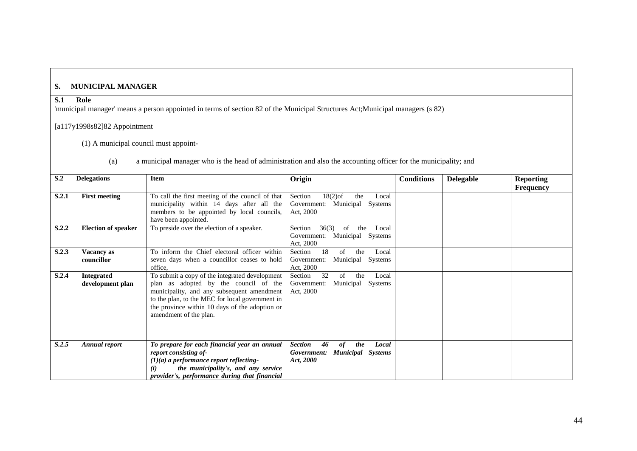# **S. MUNICIPAL MANAGER**

# **S.1 Role**

'municipal manager' means a person appointed in terms of section 82 of the Municipal Structures Act;Municipal managers (s 82)

# [a117y1998s82]82 Appointment

(1) A municipal council must appoint-

| (a) | a municipal manager who is the head of administration and also the accounting officer for the municipality; and |  |  |
|-----|-----------------------------------------------------------------------------------------------------------------|--|--|
|     |                                                                                                                 |  |  |

| S <sub>0</sub> | <b>Delegations</b>                    | <b>Item</b>                                                                                                                                                                                                                                                          | Origin                                                                                             | <b>Conditions</b> | <b>Delegable</b> | <b>Reporting</b><br><b>Frequency</b> |
|----------------|---------------------------------------|----------------------------------------------------------------------------------------------------------------------------------------------------------------------------------------------------------------------------------------------------------------------|----------------------------------------------------------------------------------------------------|-------------------|------------------|--------------------------------------|
| <b>S.2.1</b>   | <b>First meeting</b>                  | To call the first meeting of the council of that<br>municipality within 14 days after all the<br>members to be appointed by local councils,<br>have been appointed.                                                                                                  | $18(2)$ of<br>Section<br>the<br>Local<br>Municipal Systems<br>Government:<br>Act, 2000             |                   |                  |                                      |
| S.2.2          | <b>Election of speaker</b>            | To preside over the election of a speaker.                                                                                                                                                                                                                           | Section<br>36(3)<br>of<br>Local<br>the<br>Municipal Systems<br>Government:<br>Act, 2000            |                   |                  |                                      |
| S.2.3          | Vacancy as<br>councillor              | To inform the Chief electoral officer within<br>seven days when a councillor ceases to hold<br>office.                                                                                                                                                               | Section<br>18<br>of<br>the<br>Local<br>Municipal Systems<br>Government:<br>Act, 2000               |                   |                  |                                      |
| S.2.4          | <b>Integrated</b><br>development plan | To submit a copy of the integrated development<br>plan as adopted by the council of the<br>municipality, and any subsequent amendment<br>to the plan, to the MEC for local government in<br>the province within 10 days of the adoption or<br>amendment of the plan. | 32<br>Section<br>of<br>the<br>Local<br>Municipal Systems<br>Government:<br>Act, 2000               |                   |                  |                                      |
| S.2.5          | <b>Annual report</b>                  | To prepare for each financial year an annual<br>report consisting of-<br>$(1)(a)$ a performance report reflecting-<br>the municipality's, and any service<br>provider's, performance during that financial                                                           | <b>Section</b><br>the<br>Local<br>46<br>of<br><b>Municipal</b> Systems<br>Government:<br>Act, 2000 |                   |                  |                                      |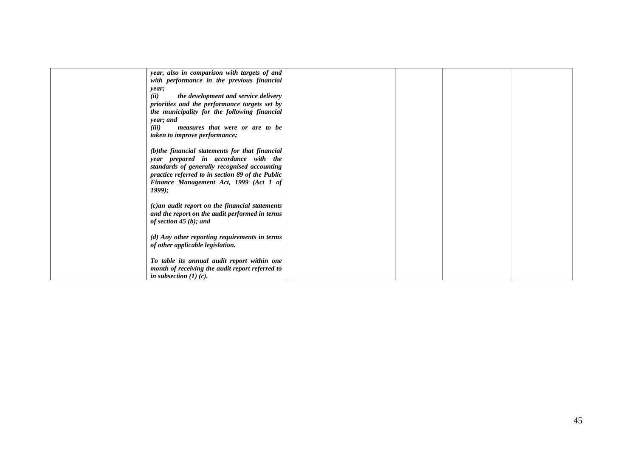| year, also in comparison with targets of and      |  |  |
|---------------------------------------------------|--|--|
| with performance in the previous financial        |  |  |
| year;                                             |  |  |
| (ii)<br>the development and service delivery      |  |  |
| priorities and the performance targets set by     |  |  |
| the municipality for the following financial      |  |  |
| year; and                                         |  |  |
| (iii)<br>measures that were or are to be          |  |  |
| <i>taken to improve performance;</i>              |  |  |
|                                                   |  |  |
|                                                   |  |  |
| (b)the financial statements for that financial    |  |  |
| year prepared in accordance with the              |  |  |
| standards of generally recognised accounting      |  |  |
| practice referred to in section 89 of the Public  |  |  |
| Finance Management Act, 1999 (Act 1 of            |  |  |
| $1999$ ;                                          |  |  |
|                                                   |  |  |
| $(c)$ an audit report on the financial statements |  |  |
| and the report on the audit performed in terms    |  |  |
| of section 45 $(b)$ ; and                         |  |  |
|                                                   |  |  |
| (d) Any other reporting requirements in terms     |  |  |
| of other applicable legislation.                  |  |  |
|                                                   |  |  |
| To table its annual audit report within one       |  |  |
|                                                   |  |  |
| month of receiving the audit report referred to   |  |  |
| in subsection $(1)(c)$ .                          |  |  |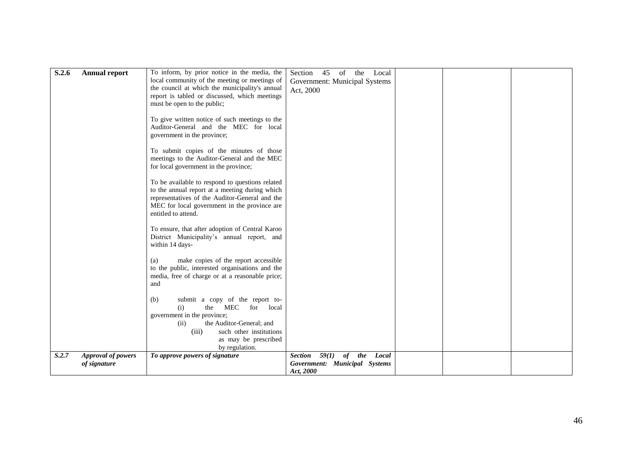| S.2.6 | <b>Annual report</b>                      | To inform, by prior notice in the media, the<br>local community of the meeting or meetings of<br>the council at which the municipality's annual<br>report is tabled or discussed, which meetings<br>must be open to the public; | Section<br>45<br>of<br>the<br>Local<br>Government: Municipal Systems<br>Act, 2000 |  |  |
|-------|-------------------------------------------|---------------------------------------------------------------------------------------------------------------------------------------------------------------------------------------------------------------------------------|-----------------------------------------------------------------------------------|--|--|
|       |                                           | To give written notice of such meetings to the<br>Auditor-General and the MEC for local<br>government in the province;                                                                                                          |                                                                                   |  |  |
|       |                                           | To submit copies of the minutes of those<br>meetings to the Auditor-General and the MEC<br>for local government in the province;                                                                                                |                                                                                   |  |  |
|       |                                           | To be available to respond to questions related<br>to the annual report at a meeting during which<br>representatives of the Auditor-General and the<br>MEC for local government in the province are<br>entitled to attend.      |                                                                                   |  |  |
|       |                                           | To ensure, that after adoption of Central Karoo<br>District Municipality's annual report, and<br>within 14 days-                                                                                                                |                                                                                   |  |  |
|       |                                           | make copies of the report accessible<br>(a)<br>to the public, interested organisations and the<br>media, free of charge or at a reasonable price;<br>and                                                                        |                                                                                   |  |  |
|       |                                           | submit a copy of the report to-<br>(b)<br>(i)<br>the<br>MEC<br>local<br>for<br>government in the province;<br>the Auditor-General; and<br>(ii)<br>(iii)<br>such other institutions<br>as may be prescribed                      |                                                                                   |  |  |
|       |                                           | by regulation.                                                                                                                                                                                                                  |                                                                                   |  |  |
| S.2.7 | <b>Approval of powers</b><br>of signature | To approve powers of signature                                                                                                                                                                                                  | Section $59(1)$ of the<br>Local<br>Government: Municipal Systems<br>Act, 2000     |  |  |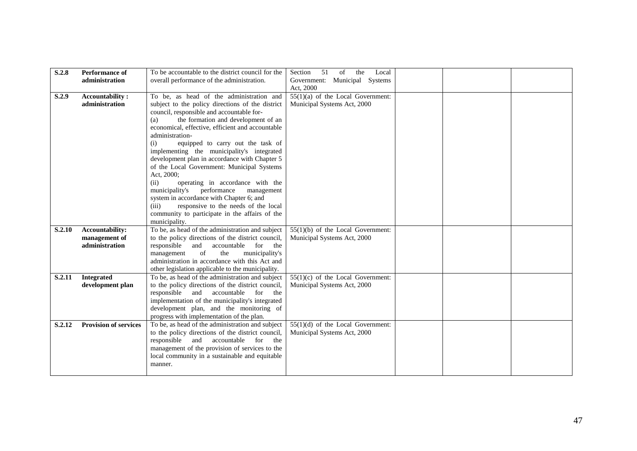| S.2.8         | <b>Performance of</b>        | To be accountable to the district council for the | 51<br>of<br>the<br>Section<br>Local |  |  |
|---------------|------------------------------|---------------------------------------------------|-------------------------------------|--|--|
|               | administration               | overall performance of the administration.        | Government: Municipal Systems       |  |  |
|               |                              |                                                   | Act, 2000                           |  |  |
| S.2.9         | <b>Accountability:</b>       | To be, as head of the administration and          | $55(1)(a)$ of the Local Government: |  |  |
|               | administration               | subject to the policy directions of the district  | Municipal Systems Act, 2000         |  |  |
|               |                              | council, responsible and accountable for-         |                                     |  |  |
|               |                              | the formation and development of an<br>(a)        |                                     |  |  |
|               |                              | economical, effective, efficient and accountable  |                                     |  |  |
|               |                              | administration-                                   |                                     |  |  |
|               |                              | equipped to carry out the task of<br>(i)          |                                     |  |  |
|               |                              | implementing the municipality's integrated        |                                     |  |  |
|               |                              | development plan in accordance with Chapter 5     |                                     |  |  |
|               |                              | of the Local Government: Municipal Systems        |                                     |  |  |
|               |                              | Act, 2000;                                        |                                     |  |  |
|               |                              | operating in accordance with the<br>(ii)          |                                     |  |  |
|               |                              | performance<br>municipality's<br>management       |                                     |  |  |
|               |                              | system in accordance with Chapter 6; and          |                                     |  |  |
|               |                              | responsive to the needs of the local<br>(iii)     |                                     |  |  |
|               |                              | community to participate in the affairs of the    |                                     |  |  |
|               |                              | municipality.                                     |                                     |  |  |
| <b>S.2.10</b> | Accountability:              | To be, as head of the administration and subject  | $55(1)(b)$ of the Local Government: |  |  |
|               | management of                | to the policy directions of the district council, | Municipal Systems Act, 2000         |  |  |
|               | administration               | responsible<br>and<br>accountable<br>for the      |                                     |  |  |
|               |                              | management<br>of<br>municipality's<br>the         |                                     |  |  |
|               |                              | administration in accordance with this Act and    |                                     |  |  |
|               |                              | other legislation applicable to the municipality. |                                     |  |  |
| S.2.11        | <b>Integrated</b>            | To be, as head of the administration and subject  | $55(1)(c)$ of the Local Government: |  |  |
|               | development plan             | to the policy directions of the district council, | Municipal Systems Act, 2000         |  |  |
|               |                              | responsible and accountable<br>for the            |                                     |  |  |
|               |                              | implementation of the municipality's integrated   |                                     |  |  |
|               |                              | development plan, and the monitoring of           |                                     |  |  |
|               |                              | progress with implementation of the plan.         |                                     |  |  |
| S.2.12        | <b>Provision of services</b> | To be, as head of the administration and subject  | $55(1)(d)$ of the Local Government: |  |  |
|               |                              | to the policy directions of the district council, | Municipal Systems Act, 2000         |  |  |
|               |                              | responsible and<br>accountable for the            |                                     |  |  |
|               |                              | management of the provision of services to the    |                                     |  |  |
|               |                              | local community in a sustainable and equitable    |                                     |  |  |
|               |                              | manner.                                           |                                     |  |  |
|               |                              |                                                   |                                     |  |  |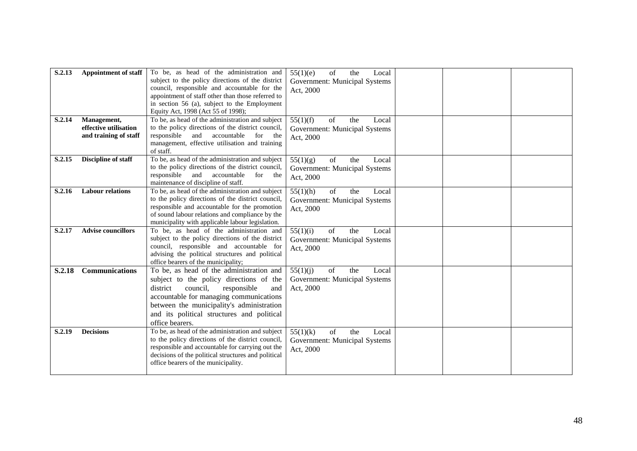| S.2.13<br>S.2.14 | <b>Appointment of staff</b><br>Management,<br>effective utilisation<br>and training of staff | To be, as head of the administration and<br>subject to the policy directions of the district<br>council, responsible and accountable for the<br>appointment of staff other than those referred to<br>in section 56 (a), subject to the Employment<br>Equity Act, 1998 (Act 55 of 1998);<br>To be, as head of the administration and subject<br>to the policy directions of the district council,<br>responsible<br>accountable<br>and<br>for<br>the | of<br>55(1)(e)<br>the<br>Local<br>Government: Municipal Systems<br>Act, 2000<br>of<br>55(1)(f)<br>the<br>Local<br>Government: Municipal Systems<br>Act, 2000 |  |  |
|------------------|----------------------------------------------------------------------------------------------|-----------------------------------------------------------------------------------------------------------------------------------------------------------------------------------------------------------------------------------------------------------------------------------------------------------------------------------------------------------------------------------------------------------------------------------------------------|--------------------------------------------------------------------------------------------------------------------------------------------------------------|--|--|
| S.2.15           | Discipline of staff                                                                          | management, effective utilisation and training<br>of staff.<br>To be, as head of the administration and subject                                                                                                                                                                                                                                                                                                                                     | of<br>the<br>55(1)(g)<br>Local                                                                                                                               |  |  |
|                  |                                                                                              | to the policy directions of the district council,<br>responsible<br>and<br>accountable<br>for<br>the<br>maintenance of discipline of staff.                                                                                                                                                                                                                                                                                                         | Government: Municipal Systems<br>Act, 2000                                                                                                                   |  |  |
| S.2.16           | <b>Labour relations</b>                                                                      | To be, as head of the administration and subject<br>to the policy directions of the district council,<br>responsible and accountable for the promotion<br>of sound labour relations and compliance by the<br>municipality with applicable labour legislation.                                                                                                                                                                                       | 55(1)(h)<br>of<br>the<br>Local<br>Government: Municipal Systems<br>Act, 2000                                                                                 |  |  |
| S.2.17           | <b>Advise councillors</b>                                                                    | To be, as head of the administration and<br>subject to the policy directions of the district<br>council, responsible and accountable for<br>advising the political structures and political<br>office bearers of the municipality;                                                                                                                                                                                                                  | 55(1)(i)<br>of<br>the<br>Local<br>Government: Municipal Systems<br>Act, 2000                                                                                 |  |  |
| <b>S.2.18</b>    | <b>Communications</b>                                                                        | To be, as head of the administration and<br>subject to the policy directions of the<br>district<br>council,<br>responsible<br>and<br>accountable for managing communications<br>between the municipality's administration<br>and its political structures and political<br>office bearers.                                                                                                                                                          | of<br>55(1)(i)<br>the<br>Local<br>Government: Municipal Systems<br>Act, 2000                                                                                 |  |  |
| S.2.19           | <b>Decisions</b>                                                                             | To be, as head of the administration and subject<br>to the policy directions of the district council,<br>responsible and accountable for carrying out the<br>decisions of the political structures and political<br>office bearers of the municipality.                                                                                                                                                                                             | 55(1)(k)<br>of<br>the<br>Local<br>Government: Municipal Systems<br>Act, 2000                                                                                 |  |  |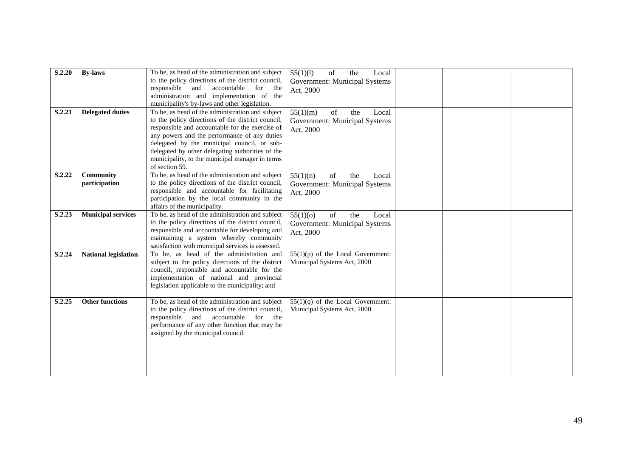| S.2.20 | <b>By-laws</b>              | To be, as head of the administration and subject<br>to the policy directions of the district council,<br>responsible<br>and<br>accountable<br>for the<br>administration and implementation of the<br>municipality's by-laws and other legislation.                                                                                                                               | 55(1)(1)<br>of<br>the<br>Local<br>Government: Municipal Systems<br>Act, 2000 |  |  |
|--------|-----------------------------|----------------------------------------------------------------------------------------------------------------------------------------------------------------------------------------------------------------------------------------------------------------------------------------------------------------------------------------------------------------------------------|------------------------------------------------------------------------------|--|--|
| S.2.21 | <b>Delegated duties</b>     | To be, as head of the administration and subject<br>to the policy directions of the district council,<br>responsible and accountable for the exercise of<br>any powers and the performance of any duties<br>delegated by the municipal council, or sub-<br>delegated by other delegating authorities of the<br>municipality, to the municipal manager in terms<br>of section 59. | 55(1)(m)<br>of<br>the<br>Local<br>Government: Municipal Systems<br>Act, 2000 |  |  |
| S.2.22 | Community<br>participation  | To be, as head of the administration and subject<br>to the policy directions of the district council,<br>responsible and accountable for facilitating<br>participation by the local community in the<br>affairs of the municipality.                                                                                                                                             | of<br>55(1)(n)<br>the<br>Local<br>Government: Municipal Systems<br>Act, 2000 |  |  |
| S.2.23 | <b>Municipal services</b>   | To be, as head of the administration and subject<br>to the policy directions of the district council,<br>responsible and accountable for developing and<br>maintaining a system whereby community<br>satisfaction with municipal services is assessed.                                                                                                                           | 55(1)(0)<br>of<br>the<br>Local<br>Government: Municipal Systems<br>Act, 2000 |  |  |
| S.2.24 | <b>National legislation</b> | To be, as head of the administration and<br>subject to the policy directions of the district<br>council, responsible and accountable for the<br>implementation of national and provincial<br>legislation applicable to the municipality; and                                                                                                                                     | $55(1)(p)$ of the Local Government:<br>Municipal Systems Act, 2000           |  |  |
| S.2.25 | <b>Other functions</b>      | To be, as head of the administration and subject<br>to the policy directions of the district council,<br>responsible and<br>accountable<br>for the<br>performance of any other function that may be<br>assigned by the municipal council.                                                                                                                                        | $55(1)(q)$ of the Local Government:<br>Municipal Systems Act, 2000           |  |  |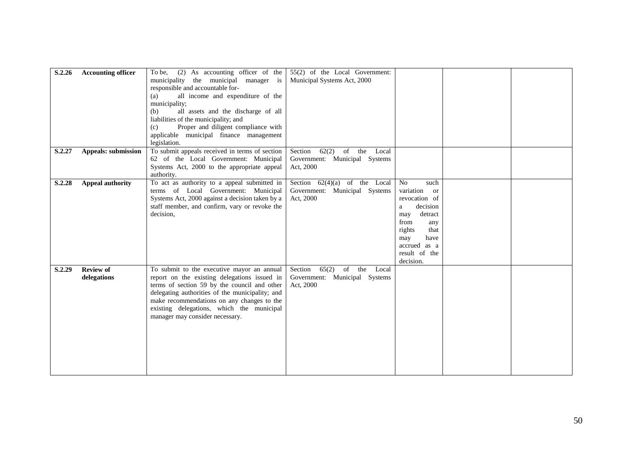| S.2.26 | <b>Accounting officer</b>  | $(2)$ As accounting officer of the<br>To be,    | 55(2) of the Local Government:     |                 |  |
|--------|----------------------------|-------------------------------------------------|------------------------------------|-----------------|--|
|        |                            | municipality the municipal manager is           | Municipal Systems Act, 2000        |                 |  |
|        |                            | responsible and accountable for-                |                                    |                 |  |
|        |                            | all income and expenditure of the<br>(a)        |                                    |                 |  |
|        |                            | municipality;                                   |                                    |                 |  |
|        |                            | all assets and the discharge of all<br>(b)      |                                    |                 |  |
|        |                            | liabilities of the municipality; and            |                                    |                 |  |
|        |                            | Proper and diligent compliance with<br>(c)      |                                    |                 |  |
|        |                            | applicable municipal finance management         |                                    |                 |  |
|        |                            | legislation.                                    |                                    |                 |  |
| S.2.27 | <b>Appeals: submission</b> | To submit appeals received in terms of section  | Section<br>$62(2)$ of the Local    |                 |  |
|        |                            | 62 of the Local Government: Municipal           | Government: Municipal Systems      |                 |  |
|        |                            | Systems Act, 2000 to the appropriate appeal     | Act, 2000                          |                 |  |
|        |                            | authority.                                      |                                    |                 |  |
| S.2.28 | <b>Appeal authority</b>    | To act as authority to a appeal submitted in    | Section $62(4)(a)$ of the Local    | No<br>such      |  |
|        |                            | terms of Local Government: Municipal            | Government: Municipal Systems      | variation<br>or |  |
|        |                            | Systems Act, 2000 against a decision taken by a | Act, 2000                          | revocation of   |  |
|        |                            | staff member, and confirm, vary or revoke the   |                                    | decision<br>a   |  |
|        |                            | decision,                                       |                                    | detract<br>may  |  |
|        |                            |                                                 |                                    | from<br>any     |  |
|        |                            |                                                 |                                    | rights<br>that  |  |
|        |                            |                                                 |                                    | may<br>have     |  |
|        |                            |                                                 |                                    | accrued as a    |  |
|        |                            |                                                 |                                    | result of the   |  |
|        |                            |                                                 |                                    | decision.       |  |
| S.2.29 | <b>Review of</b>           | To submit to the executive mayor an annual      | $65(2)$ of the<br>Section<br>Local |                 |  |
|        | delegations                | report on the existing delegations issued in    | Government: Municipal Systems      |                 |  |
|        |                            | terms of section 59 by the council and other    | Act, 2000                          |                 |  |
|        |                            | delegating authorities of the municipality; and |                                    |                 |  |
|        |                            | make recommendations on any changes to the      |                                    |                 |  |
|        |                            | existing delegations, which the municipal       |                                    |                 |  |
|        |                            | manager may consider necessary.                 |                                    |                 |  |
|        |                            |                                                 |                                    |                 |  |
|        |                            |                                                 |                                    |                 |  |
|        |                            |                                                 |                                    |                 |  |
|        |                            |                                                 |                                    |                 |  |
|        |                            |                                                 |                                    |                 |  |
|        |                            |                                                 |                                    |                 |  |
|        |                            |                                                 |                                    |                 |  |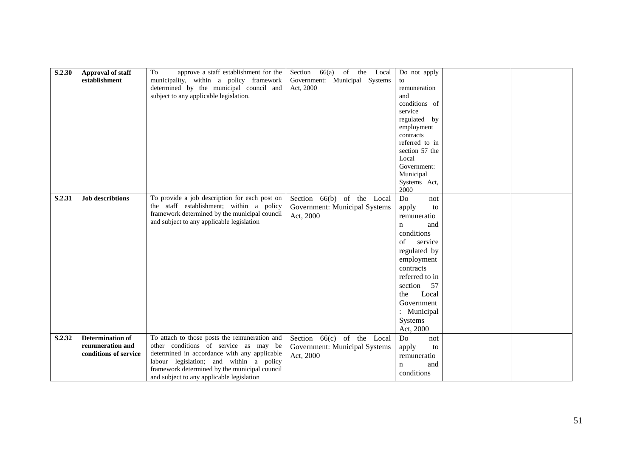| S.2.30 | Approval of staff<br>establishment                                   | To<br>approve a staff establishment for the<br>municipality, within a policy framework<br>determined by the municipal council and                                                                                                                                               | Section 66(a) of the Local<br>Government: Municipal Systems<br>Act, 2000   | Do not apply<br>to<br>remuneration<br>and                                                                                                                                                                                                            |  |
|--------|----------------------------------------------------------------------|---------------------------------------------------------------------------------------------------------------------------------------------------------------------------------------------------------------------------------------------------------------------------------|----------------------------------------------------------------------------|------------------------------------------------------------------------------------------------------------------------------------------------------------------------------------------------------------------------------------------------------|--|
|        |                                                                      | subject to any applicable legislation.                                                                                                                                                                                                                                          |                                                                            | conditions of<br>service<br>regulated by<br>employment<br>contracts<br>referred to in<br>section 57 the                                                                                                                                              |  |
|        |                                                                      |                                                                                                                                                                                                                                                                                 |                                                                            | Local<br>Government:<br>Municipal<br>Systems Act,<br>2000                                                                                                                                                                                            |  |
| S.2.31 | <b>Job describtions</b>                                              | To provide a job description for each post on<br>the staff establishment; within a policy<br>framework determined by the municipal council<br>and subject to any applicable legislation                                                                                         | Section 66(b) of the Local<br>Government: Municipal Systems<br>Act, 2000   | Do<br>not<br>apply<br>to<br>remuneratio<br>and<br>n<br>conditions<br>$\sigma$ f<br>service<br>regulated by<br>employment<br>contracts<br>referred to in<br>57<br>section<br>Local<br>the<br>Government<br>: Municipal<br><b>Systems</b><br>Act, 2000 |  |
| S.2.32 | <b>Determination of</b><br>remuneration and<br>conditions of service | To attach to those posts the remuneration and<br>other conditions of service as may be<br>determined in accordance with any applicable<br>labour legislation; and within a policy<br>framework determined by the municipal council<br>and subject to any applicable legislation | Section $66(c)$ of the Local<br>Government: Municipal Systems<br>Act, 2000 | Do<br>not<br>apply<br>to<br>remuneratio<br>and<br>n<br>conditions                                                                                                                                                                                    |  |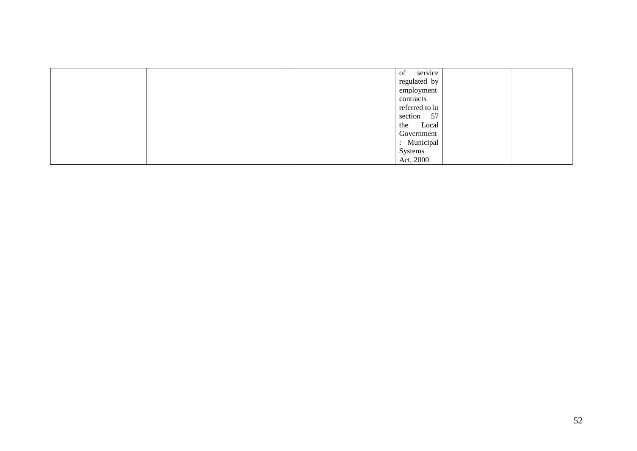| service<br>of  |  |
|----------------|--|
| regulated by   |  |
| employment     |  |
| contracts      |  |
| referred to in |  |
| section 57     |  |
| the<br>Local   |  |
| Government     |  |
| : Municipal    |  |
| Systems        |  |
| Act, 2000      |  |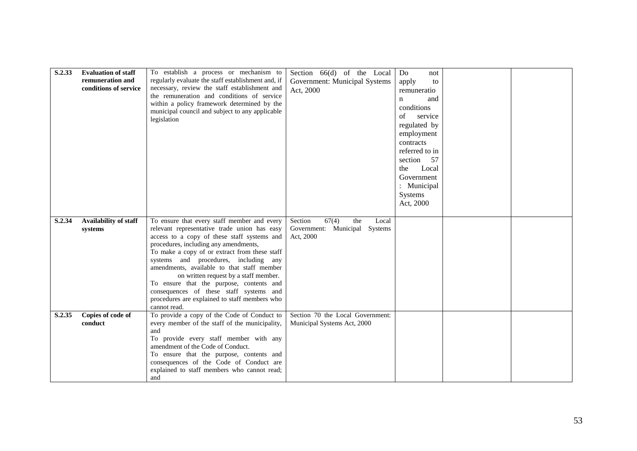| S.2.33 | <b>Evaluation of staff</b><br>remuneration and<br>conditions of service | To establish a process or mechanism to<br>regularly evaluate the staff establishment and, if<br>necessary, review the staff establishment and<br>the remuneration and conditions of service<br>within a policy framework determined by the<br>municipal council and subject to any applicable<br>legislation                                                                                                                                                                                                                 | Section 66(d) of the Local<br>Government: Municipal Systems<br>Act, 2000       | Do<br>not<br>apply<br>to<br>remuneratio<br>and<br>n<br>conditions<br>of<br>service<br>regulated by<br>employment<br>contracts<br>referred to in<br>section 57<br>Local<br>the<br>Government<br>: Municipal<br>Systems<br>Act, 2000 |  |
|--------|-------------------------------------------------------------------------|------------------------------------------------------------------------------------------------------------------------------------------------------------------------------------------------------------------------------------------------------------------------------------------------------------------------------------------------------------------------------------------------------------------------------------------------------------------------------------------------------------------------------|--------------------------------------------------------------------------------|------------------------------------------------------------------------------------------------------------------------------------------------------------------------------------------------------------------------------------|--|
| S.2.34 | Availability of staff<br>systems                                        | To ensure that every staff member and every<br>relevant representative trade union has easy<br>access to a copy of these staff systems and<br>procedures, including any amendments,<br>To make a copy of or extract from these staff<br>systems and procedures, including any<br>amendments, available to that staff member<br>on written request by a staff member.<br>To ensure that the purpose, contents and<br>consequences of these staff systems and<br>procedures are explained to staff members who<br>cannot read. | 67(4)<br>Section<br>the<br>Local<br>Government: Municipal Systems<br>Act, 2000 |                                                                                                                                                                                                                                    |  |
| S.2.35 | Copies of code of<br>conduct                                            | To provide a copy of the Code of Conduct to<br>every member of the staff of the municipality,<br>and<br>To provide every staff member with any<br>amendment of the Code of Conduct.<br>To ensure that the purpose, contents and<br>consequences of the Code of Conduct are<br>explained to staff members who cannot read;<br>and                                                                                                                                                                                             | Section 70 the Local Government:<br>Municipal Systems Act, 2000                |                                                                                                                                                                                                                                    |  |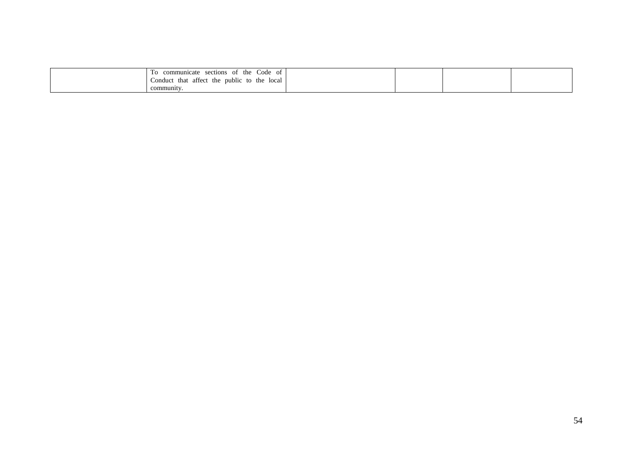| Code<br>sections<br>the<br>ОŤ<br>cate<br>`uni∩.<br>OI.           |  |  |
|------------------------------------------------------------------|--|--|
| local<br>the<br>the<br>that<br>public<br>to<br>affect<br>conduct |  |  |
| community                                                        |  |  |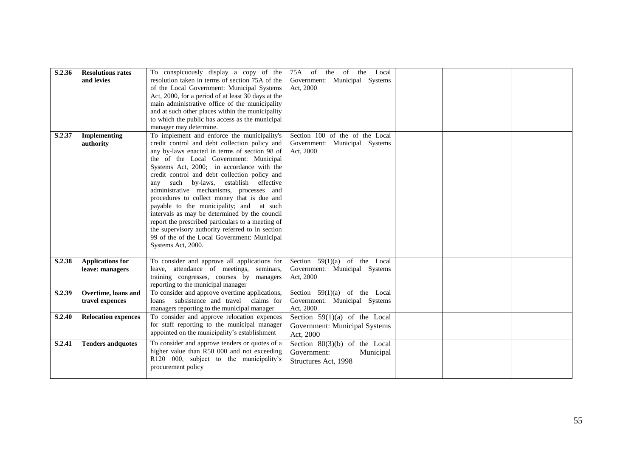| S.2.36        | <b>Resolutions rates</b><br>and levies | To conspicuously display a copy of the<br>resolution taken in terms of section 75A of the     | of the<br>the<br>75A<br>of<br>Local        |  |  |
|---------------|----------------------------------------|-----------------------------------------------------------------------------------------------|--------------------------------------------|--|--|
|               |                                        | of the Local Government: Municipal Systems                                                    | Government: Municipal Systems<br>Act, 2000 |  |  |
|               |                                        | Act, 2000, for a period of at least 30 days at the                                            |                                            |  |  |
|               |                                        | main administrative office of the municipality                                                |                                            |  |  |
|               |                                        | and at such other places within the municipality                                              |                                            |  |  |
|               |                                        | to which the public has access as the municipal                                               |                                            |  |  |
|               |                                        | manager may determine.                                                                        |                                            |  |  |
| S.2.37        | <b>Implementing</b>                    | To implement and enforce the municipality's                                                   | Section 100 of the of the Local            |  |  |
|               | authority                              | credit control and debt collection policy and                                                 | Government: Municipal Systems              |  |  |
|               |                                        | any by-laws enacted in terms of section 98 of                                                 | Act, 2000                                  |  |  |
|               |                                        | the of the Local Government: Municipal                                                        |                                            |  |  |
|               |                                        | Systems Act, 2000; in accordance with the<br>credit control and debt collection policy and    |                                            |  |  |
|               |                                        | any such by-laws, establish effective                                                         |                                            |  |  |
|               |                                        | administrative mechanisms, processes and                                                      |                                            |  |  |
|               |                                        | procedures to collect money that is due and                                                   |                                            |  |  |
|               |                                        | payable to the municipality; and at such                                                      |                                            |  |  |
|               |                                        | intervals as may be determined by the council                                                 |                                            |  |  |
|               |                                        | report the prescribed particulars to a meeting of                                             |                                            |  |  |
|               |                                        | the supervisory authority referred to in section                                              |                                            |  |  |
|               |                                        | 99 of the of the Local Government: Municipal                                                  |                                            |  |  |
|               |                                        | Systems Act, 2000.                                                                            |                                            |  |  |
| S.2.38        | <b>Applications for</b>                | To consider and approve all applications for                                                  | Section $59(1)(a)$ of the Local            |  |  |
|               | leave: managers                        | leave, attendance of meetings, seminars,                                                      | Government: Municipal Systems              |  |  |
|               |                                        | training congresses, courses by managers                                                      | Act, 2000                                  |  |  |
|               |                                        | reporting to the municipal manager                                                            |                                            |  |  |
| S.2.39        | Overtime, loans and                    | To consider and approve overtime applications,                                                | Section $59(1)(a)$ of the Local            |  |  |
|               | travel expences                        | subsistence and travel<br>claims for<br>loans                                                 | Government: Municipal Systems              |  |  |
|               |                                        | managers reporting to the municipal manager                                                   | Act, 2000                                  |  |  |
| <b>S.2.40</b> | <b>Relocation expences</b>             | To consider and approve relocation expences                                                   | Section $59(1)(a)$ of the Local            |  |  |
|               |                                        | for staff reporting to the municipal manager<br>appointed on the municipality's establishment | Government: Municipal Systems              |  |  |
|               |                                        |                                                                                               | Act, 2000                                  |  |  |
| S.2.41        | <b>Tenders and quotes</b>              | To consider and approve tenders or quotes of a                                                | Section $80(3)(b)$ of the Local            |  |  |
|               |                                        | higher value than R50 000 and not exceeding                                                   | Government:<br>Municipal                   |  |  |
|               |                                        | R120 000, subject to the municipality's<br>procurement policy                                 | Structures Act, 1998                       |  |  |
|               |                                        |                                                                                               |                                            |  |  |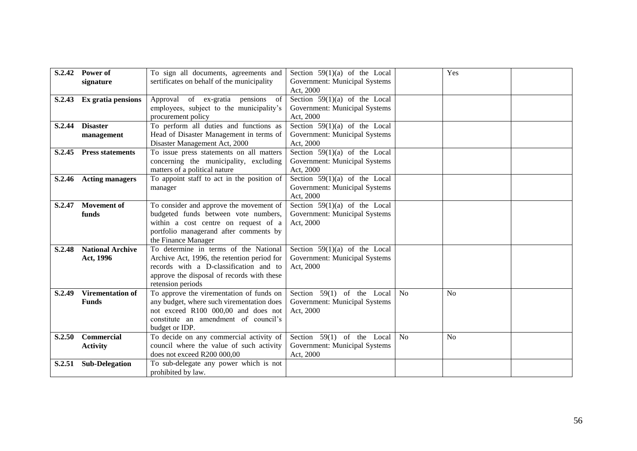| S.2.42        | Power of                | To sign all documents, agreements and                                                 | Section $59(1)(a)$ of the Local            |           | Yes            |  |
|---------------|-------------------------|---------------------------------------------------------------------------------------|--------------------------------------------|-----------|----------------|--|
|               | signature               | sertificates on behalf of the municipality                                            | Government: Municipal Systems<br>Act, 2000 |           |                |  |
| S.2.43        | Ex gratia pensions      | Approval of ex-gratia pensions of                                                     | Section $59(1)(a)$ of the Local            |           |                |  |
|               |                         | employees, subject to the municipality's<br>procurement policy                        | Government: Municipal Systems<br>Act, 2000 |           |                |  |
| S.2.44        | <b>Disaster</b>         | To perform all duties and functions as                                                | Section $59(1)(a)$ of the Local            |           |                |  |
|               | management              | Head of Disaster Management in terms of<br>Disaster Management Act, 2000              | Government: Municipal Systems<br>Act, 2000 |           |                |  |
| S.2.45        | <b>Press statements</b> | To issue press statements on all matters                                              | Section $59(1)(a)$ of the Local            |           |                |  |
|               |                         | concerning the municipality, excluding<br>matters of a political nature               | Government: Municipal Systems<br>Act, 2000 |           |                |  |
| <b>S.2.46</b> | <b>Acting managers</b>  | To appoint staff to act in the position of                                            | Section $59(1)(a)$ of the Local            |           |                |  |
|               |                         | manager                                                                               | Government: Municipal Systems<br>Act, 2000 |           |                |  |
| S.2.47        | <b>Movement</b> of      | To consider and approve the movement of                                               | Section $59(1)(a)$ of the Local            |           |                |  |
|               | funds                   | budgeted funds between vote numbers,<br>within a cost centre on request of a          | Government: Municipal Systems<br>Act, 2000 |           |                |  |
|               |                         | portfolio managerand after comments by                                                |                                            |           |                |  |
|               |                         | the Finance Manager                                                                   |                                            |           |                |  |
| S.2.48        | <b>National Archive</b> | To determine in terms of the National                                                 | Section $59(1)(a)$ of the Local            |           |                |  |
|               | Act, 1996               | Archive Act, 1996, the retention period for<br>records with a D-classification and to | Government: Municipal Systems<br>Act, 2000 |           |                |  |
|               |                         | approve the disposal of records with these                                            |                                            |           |                |  |
|               |                         | retension periods                                                                     |                                            |           |                |  |
| S.2.49        | <b>Virementation of</b> | To approve the virementation of funds on                                              | Section $59(1)$ of the Local               | <b>No</b> | N <sub>0</sub> |  |
|               | <b>Funds</b>            | any budget, where such virementation does                                             | Government: Municipal Systems              |           |                |  |
|               |                         | not exceed R100 000,00 and does not                                                   | Act, 2000                                  |           |                |  |
|               |                         | constitute an amendment of council's<br>budget or IDP.                                |                                            |           |                |  |
| S.2.50        | Commercial              | To decide on any commercial activity of                                               | Section $59(1)$ of the Local               | <b>No</b> | No             |  |
|               | <b>Activity</b>         | council where the value of such activity                                              | Government: Municipal Systems              |           |                |  |
|               |                         | does not exceed R200 000,00                                                           | Act, 2000                                  |           |                |  |
| S.2.51        | <b>Sub-Delegation</b>   | To sub-delegate any power which is not                                                |                                            |           |                |  |
|               |                         | prohibited by law.                                                                    |                                            |           |                |  |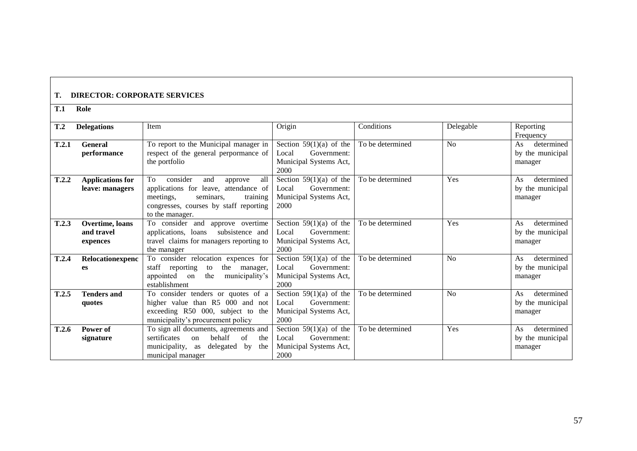## **T. DIRECTOR: CORPORATE SERVICES**

**T.1 Role**

#### **T.2 Delegations** Item **Interval Conditions** Conditions **Conditions** Delegable Reporting Frequency **T.2.1 General performance** To report to the Municipal manager in respect of the general perpormance of the portfolio Section  $59(1)(a)$  of the Local Government: Municipal Systems Act, 2000 To be determined No As determined by the municipal manager **T.2.2 Applications for leave: managers** To consider and approve all applications for leave, attendance of<br>meetings. seminars. training seminars, training congresses, courses by staff reporting to the manager. Section  $59(1)(a)$  of the Local Government: Municipal Systems Act, 2000 To be determined Yes As determined by the municipal manager **T.2.3 Overtime, loans and travel expences** To consider and approve overtime applications, loans subsistence and travel claims for managers reporting to the manager Section 59(1)(a) of the Local Government: Municipal Systems Act, 2000 To be determined Yes As determined by the municipal manager **T.2.4 Relocationexpenc es** To consider relocation expences for staff reporting to the manager, staff reporting to appointed on the municipality"s establishment Section  $59(1)(a)$  of the Local Government: Municipal Systems Act, 2000 To be determined No As determined by the municipal manager **T.2.5 Tenders and quotes** To consider tenders or quotes of a higher value than R5 000 and not exceeding R50 000, subject to the municipality"s procurement policy Section  $59(1)(a)$  of the Local Government: Municipal Systems Act, 2000 To be determined  $\overline{N_0}$  No  $\overline{A_s}$  determined by the municipal manager **T.2.6 Power of signature** To sign all documents, agreements and sertificates on behalf of the municipality, as delegated by the municipal manager Section  $59(1)(a)$  of the Local Government: Municipal Systems Act, 2000 To be determined Yes As determined by the municipal manager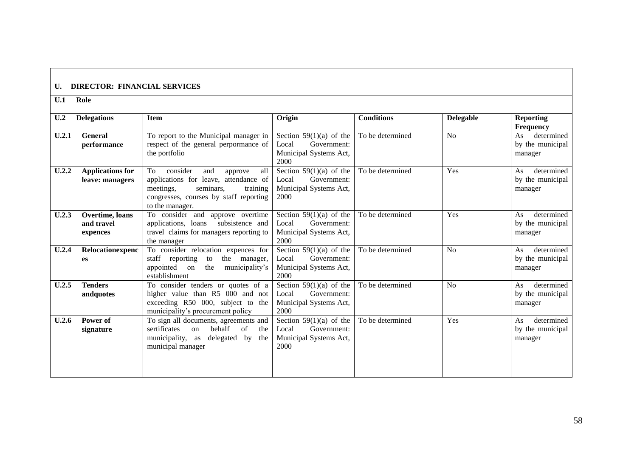# **U. DIRECTOR: FINANCIAL SERVICES**

**U.1 Role**

| U <sub>.2</sub> | <b>Delegations</b>      | <b>Item</b>                               | Origin                    | <b>Conditions</b> | <b>Delegable</b> | <b>Reporting</b> |
|-----------------|-------------------------|-------------------------------------------|---------------------------|-------------------|------------------|------------------|
|                 |                         |                                           |                           |                   |                  | <b>Frequency</b> |
| U.2.1           | <b>General</b>          | To report to the Municipal manager in     | Section $59(1)(a)$ of the | To be determined  | No               | determined<br>As |
|                 | performance             | respect of the general perpormance of     | Local<br>Government:      |                   |                  | by the municipal |
|                 |                         | the portfolio                             | Municipal Systems Act,    |                   |                  | manager          |
|                 |                         |                                           | 2000                      |                   |                  |                  |
| U.2.2           | <b>Applications for</b> | consider<br>all<br>To<br>and<br>approve   | Section $59(1)(a)$ of the | To be determined  | Yes              | determined<br>As |
|                 | leave: managers         | applications for leave, attendance of     | Government:<br>Local      |                   |                  | by the municipal |
|                 |                         | meetings,<br>seminars.<br>training        | Municipal Systems Act,    |                   |                  | manager          |
|                 |                         | congresses, courses by staff reporting    | 2000                      |                   |                  |                  |
|                 |                         | to the manager.                           |                           |                   |                  |                  |
| U.2.3           | Overtime, loans         | To consider and approve overtime          | Section $59(1)(a)$ of the | To be determined  | Yes              | determined<br>As |
|                 | and travel              | subsistence and<br>applications, loans    | Government:<br>Local      |                   |                  | by the municipal |
|                 | expences                | travel claims for managers reporting to   | Municipal Systems Act,    |                   |                  | manager          |
|                 |                         | the manager                               | 2000                      |                   |                  |                  |
| U.2.4           | Relocationexpenc        | To consider relocation expences for       | Section $59(1)(a)$ of the | To be determined  | No               | As<br>determined |
|                 | es                      | staff reporting<br>the<br>manager,<br>to  | Government:<br>Local      |                   |                  | by the municipal |
|                 |                         | appointed<br>the<br>municipality's<br>on  | Municipal Systems Act,    |                   |                  | manager          |
|                 |                         | establishment                             | 2000                      |                   |                  |                  |
| U.2.5           | <b>Tenders</b>          | To consider tenders or quotes of a        | Section $59(1)(a)$ of the | To be determined  | No               | determined<br>As |
|                 | andquotes               | higher value than R5 000 and not          | Government:<br>Local      |                   |                  | by the municipal |
|                 |                         | exceeding R50 000, subject to the         | Municipal Systems Act,    |                   |                  | manager          |
|                 |                         | municipality's procurement policy         | 2000                      |                   |                  |                  |
| U.2.6           | Power of                | To sign all documents, agreements and     | Section $59(1)(a)$ of the | To be determined  | Yes              | determined<br>As |
|                 | signature               | behalf<br>sertificates<br>of<br>the<br>on | Government:<br>Local      |                   |                  | by the municipal |
|                 |                         | municipality, as<br>delegated by<br>the   | Municipal Systems Act,    |                   |                  | manager          |
|                 |                         | municipal manager                         | 2000                      |                   |                  |                  |
|                 |                         |                                           |                           |                   |                  |                  |
|                 |                         |                                           |                           |                   |                  |                  |
|                 |                         |                                           |                           |                   |                  |                  |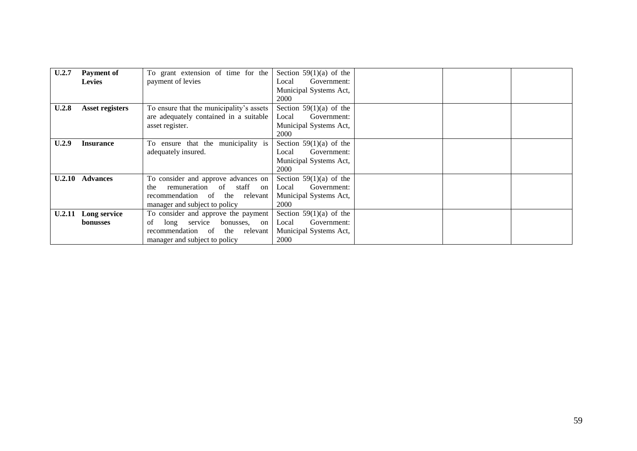| U.2.7         | <b>Payment of</b>      | To grant extension of time for the       | Section $59(1)(a)$ of the |  |  |
|---------------|------------------------|------------------------------------------|---------------------------|--|--|
|               | <b>Levies</b>          | payment of levies                        | Government:<br>Local      |  |  |
|               |                        |                                          | Municipal Systems Act,    |  |  |
|               |                        |                                          | 2000                      |  |  |
| U.2.8         | <b>Asset registers</b> | To ensure that the municipality's assets | Section $59(1)(a)$ of the |  |  |
|               |                        | are adequately contained in a suitable   | Local<br>Government:      |  |  |
|               |                        | asset register.                          | Municipal Systems Act,    |  |  |
|               |                        |                                          | 2000                      |  |  |
| U.2.9         | <b>Insurance</b>       | ensure that the municipality is<br>To    | Section $59(1)(a)$ of the |  |  |
|               |                        | adequately insured.                      | Government:<br>Local      |  |  |
|               |                        |                                          | Municipal Systems Act,    |  |  |
|               |                        |                                          | 2000                      |  |  |
| U.2.10        | <b>Advances</b>        | To consider and approve advances on      | Section $59(1)(a)$ of the |  |  |
|               |                        | remuneration<br>of<br>staff<br>the<br>on | Government:<br>Local      |  |  |
|               |                        | recommendation of the relevant           | Municipal Systems Act,    |  |  |
|               |                        | manager and subject to policy            | 2000                      |  |  |
| <b>U.2.11</b> | Long service           | To consider and approve the payment      | Section $59(1)(a)$ of the |  |  |
|               | <b>bonusses</b>        | service<br>bonusses,<br>of<br>long<br>on | Government:<br>Local      |  |  |
|               |                        | recommendation of<br>the relevant        | Municipal Systems Act,    |  |  |
|               |                        | manager and subject to policy            | 2000                      |  |  |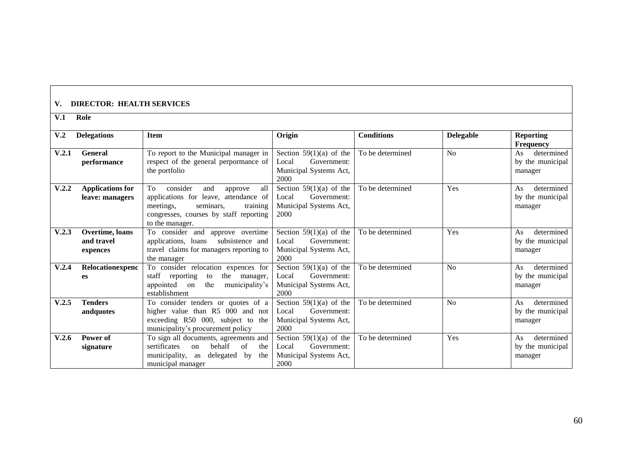# **V. DIRECTOR: HEALTH SERVICES**

| V.1             | Role                                       |                                                                                                                                                                                     |                                                                                     |                   |                  |                                                 |
|-----------------|--------------------------------------------|-------------------------------------------------------------------------------------------------------------------------------------------------------------------------------------|-------------------------------------------------------------------------------------|-------------------|------------------|-------------------------------------------------|
| V <sub>.2</sub> | <b>Delegations</b>                         | <b>Item</b>                                                                                                                                                                         | Origin                                                                              | <b>Conditions</b> | <b>Delegable</b> | <b>Reporting</b><br><b>Frequency</b>            |
| V.2.1           | <b>General</b><br>performance              | To report to the Municipal manager in<br>respect of the general perpormance of<br>the portfolio                                                                                     | Section $59(1)(a)$ of the<br>Government:<br>Local<br>Municipal Systems Act,<br>2000 | To be determined  | No               | determined<br>As<br>by the municipal<br>manager |
| V.2.2           | <b>Applications for</b><br>leave: managers | consider<br>all<br>To<br>and<br>approve<br>applications for leave, attendance of<br>meetings,<br>training<br>seminars.<br>congresses, courses by staff reporting<br>to the manager. | Section $59(1)(a)$ of the<br>Government:<br>Local<br>Municipal Systems Act,<br>2000 | To be determined  | Yes              | determined<br>As<br>by the municipal<br>manager |
| V.2.3           | Overtime, loans<br>and travel<br>expences  | To consider and approve overtime<br>applications, loans<br>subsistence and<br>travel claims for managers reporting to<br>the manager                                                | Section $59(1)(a)$ of the<br>Government:<br>Local<br>Municipal Systems Act,<br>2000 | To be determined  | Yes              | determined<br>As<br>by the municipal<br>manager |
| V.2.4           | Relocationexpenc<br>es                     | To consider relocation expences for<br>staff<br>reporting<br>the<br>manager,<br>to<br>the<br>appointed<br>municipality's<br>on<br>establishment                                     | Section $59(1)(a)$ of the<br>Government:<br>Local<br>Municipal Systems Act,<br>2000 | To be determined  | N <sub>o</sub>   | determined<br>As<br>by the municipal<br>manager |
| V.2.5           | <b>Tenders</b><br>andquotes                | To consider tenders or quotes of a<br>higher value than R5 000 and not<br>exceeding R50 000, subject to the<br>municipality's procurement policy                                    | Section $59(1)(a)$ of the<br>Government:<br>Local<br>Municipal Systems Act,<br>2000 | To be determined  | N <sub>o</sub>   | determined<br>As<br>by the municipal<br>manager |
| V.2.6           | Power of<br>signature                      | To sign all documents, agreements and<br>behalf<br>sertificates<br>$\sigma$ f<br>the<br>$_{\rm on}$<br>municipality,<br>delegated<br>by<br>as<br>the<br>municipal manager           | Section $59(1)(a)$ of the<br>Government:<br>Local<br>Municipal Systems Act,<br>2000 | To be determined  | Yes              | determined<br>As<br>by the municipal<br>manager |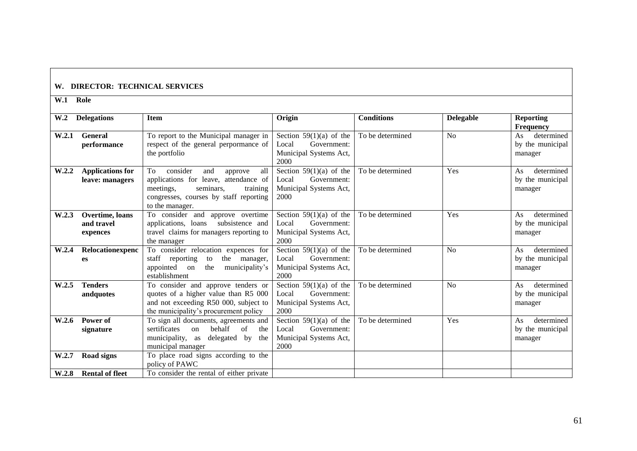# **W. DIRECTOR: TECHNICAL SERVICES**

**W.1 Role**

| W <sub>0</sub> | <b>Delegations</b>                         | <b>Item</b>                                                                                                                                                                         | Origin                                                                              | <b>Conditions</b> | <b>Delegable</b> | <b>Reporting</b><br><b>Frequency</b>            |
|----------------|--------------------------------------------|-------------------------------------------------------------------------------------------------------------------------------------------------------------------------------------|-------------------------------------------------------------------------------------|-------------------|------------------|-------------------------------------------------|
| W.2.1          | General<br>performance                     | To report to the Municipal manager in<br>respect of the general perpormance of<br>the portfolio                                                                                     | Section $59(1)(a)$ of the<br>Local<br>Government:<br>Municipal Systems Act,<br>2000 | To be determined  | N <sub>0</sub>   | determined<br>As<br>by the municipal<br>manager |
| W.2.2          | <b>Applications for</b><br>leave: managers | all<br>consider<br>To<br>and<br>approve<br>applications for leave, attendance of<br>meetings.<br>seminars,<br>training<br>congresses, courses by staff reporting<br>to the manager. | Section $59(1)(a)$ of the<br>Government:<br>Local<br>Municipal Systems Act,<br>2000 | To be determined  | Yes              | As<br>determined<br>by the municipal<br>manager |
| W.2.3          | Overtime, loans<br>and travel<br>expences  | To consider and approve overtime<br>subsistence and<br>applications, loans<br>travel claims for managers reporting to<br>the manager                                                | Section $59(1)(a)$ of the<br>Government:<br>Local<br>Municipal Systems Act,<br>2000 | To be determined  | Yes              | determined<br>As<br>by the municipal<br>manager |
| W.2.4          | Relocationexpenc<br>es                     | To consider relocation expences for<br>staff reporting<br>the<br>manager,<br>to<br>appointed<br>the<br>on<br>municipality's<br>establishment                                        | Section $59(1)(a)$ of the<br>Government:<br>Local<br>Municipal Systems Act,<br>2000 | To be determined  | N <sub>0</sub>   | determined<br>As<br>by the municipal<br>manager |
| W.2.5          | <b>Tenders</b><br>andquotes                | To consider and approve tenders or<br>quotes of a higher value than R5 000<br>and not exceeding R50 000, subject to<br>the municipality's procurement policy                        | Section $59(1)(a)$ of the<br>Local<br>Government:<br>Municipal Systems Act,<br>2000 | To be determined  | No               | determined<br>As<br>by the municipal<br>manager |
| W.2.6          | Power of<br>signature                      | To sign all documents, agreements and<br>sertificates<br>behalf<br>of<br>the<br>on<br>municipality,<br>delegated by<br>as<br>the<br>municipal manager                               | Section $59(1)(a)$ of the<br>Government:<br>Local<br>Municipal Systems Act,<br>2000 | To be determined  | Yes              | determined<br>As<br>by the municipal<br>manager |
| W.2.7          | Road signs                                 | To place road signs according to the<br>policy of PAWC                                                                                                                              |                                                                                     |                   |                  |                                                 |
| W.2.8          | <b>Rental of fleet</b>                     | To consider the rental of either private                                                                                                                                            |                                                                                     |                   |                  |                                                 |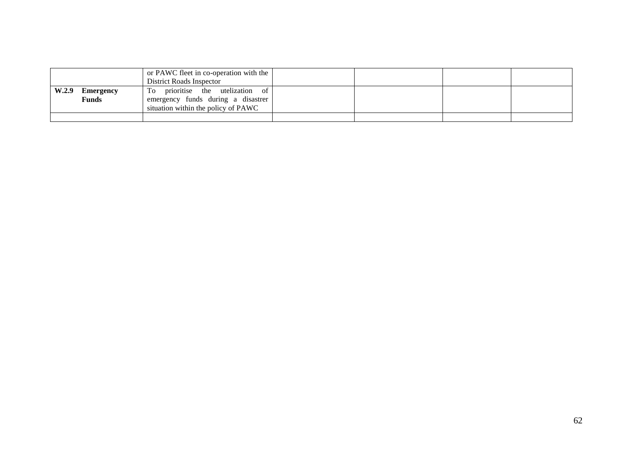|       |                    | or PAWC fleet in co-operation with the<br>District Roads Inspector                                               |  |  |
|-------|--------------------|------------------------------------------------------------------------------------------------------------------|--|--|
| W.2.9 | Emergency<br>Funds | prioritise the utelization of<br>To<br>emergency funds during a disastrer<br>situation within the policy of PAWC |  |  |
|       |                    |                                                                                                                  |  |  |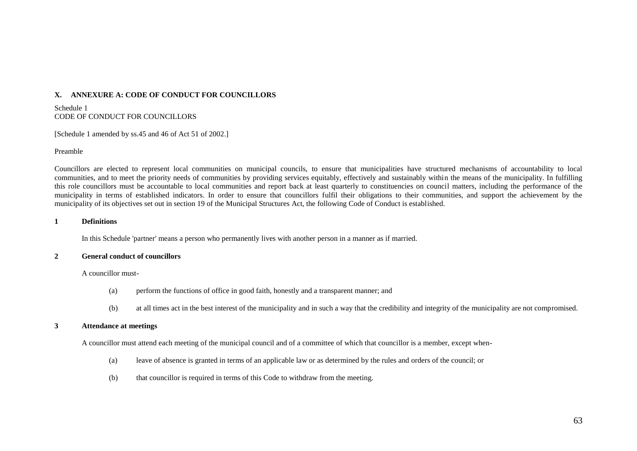## **X. ANNEXURE A: CODE OF CONDUCT FOR COUNCILLORS**

Schedule 1 CODE OF CONDUCT FOR COUNCILLORS

[Schedule 1 amended by ss.45 and 46 of Act 51 of 2002.]

#### Preamble

Councillors are elected to represent local communities on municipal councils, to ensure that municipalities have structured mechanisms of accountability to local communities, and to meet the priority needs of communities by providing services equitably, effectively and sustainably within the means of the municipality. In fulfilling this role councillors must be accountable to local communities and report back at least quarterly to constituencies on council matters, including the performance of the municipality in terms of established indicators. In order to ensure that councillors fulfil their obligations to their communities, and support the achievement by the municipality of its objectives set out in section 19 of the Municipal Structures Act, the following Code of Conduct is established.

#### **1 Definitions**

In this Schedule 'partner' means a person who permanently lives with another person in a manner as if married.

### **2 General conduct of councillors**

### A councillor must-

- (a) perform the functions of office in good faith, honestly and a transparent manner; and
- (b) at all times act in the best interest of the municipality and in such a way that the credibility and integrity of the municipality are not compromised.

#### **3 Attendance at meetings**

A councillor must attend each meeting of the municipal council and of a committee of which that councillor is a member, except when-

- (a) leave of absence is granted in terms of an applicable law or as determined by the rules and orders of the council; or
- (b) that councillor is required in terms of this Code to withdraw from the meeting.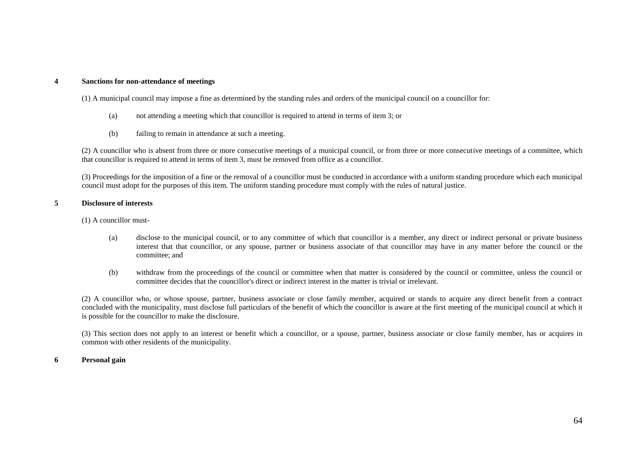### **4 Sanctions for non-attendance of meetings**

(1) A municipal council may impose a fine as determined by the standing rules and orders of the municipal council on a councillor for:

- (a) not attending a meeting which that councillor is required to attend in terms of item 3; or
- (b) failing to remain in attendance at such a meeting.

(2) A councillor who is absent from three or more consecutive meetings of a municipal council, or from three or more consecutive meetings of a committee, which that councillor is required to attend in terms of item 3, must be removed from office as a councillor.

(3) Proceedings for the imposition of a fine or the removal of a councillor must be conducted in accordance with a uniform standing procedure which each municipal council must adopt for the purposes of this item. The uniform standing procedure must comply with the rules of natural justice.

### **5 Disclosure of interests**

- (1) A councillor must-
	- (a) disclose to the municipal council, or to any committee of which that councillor is a member, any direct or indirect personal or private business interest that that councillor, or any spouse, partner or business associate of that councillor may have in any matter before the council or the committee; and
	- (b) withdraw from the proceedings of the council or committee when that matter is considered by the council or committee, unless the council or committee decides that the councillor's direct or indirect interest in the matter is trivial or irrelevant.

(2) A councillor who, or whose spouse, partner, business associate or close family member, acquired or stands to acquire any direct benefit from a contract concluded with the municipality, must disclose full particulars of the benefit of which the councillor is aware at the first meeting of the municipal council at which it is possible for the councillor to make the disclosure.

(3) This section does not apply to an interest or benefit which a councillor, or a spouse, partner, business associate or close family member, has or acquires in common with other residents of the municipality.

#### **6 Personal gain**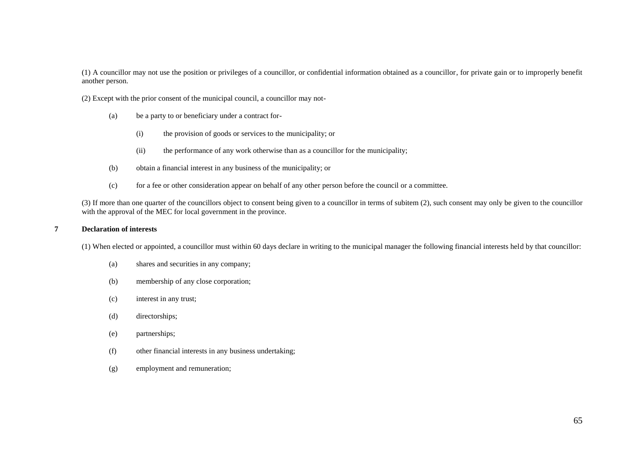(1) A councillor may not use the position or privileges of a councillor, or confidential information obtained as a councillor, for private gain or to improperly benefit another person.

(2) Except with the prior consent of the municipal council, a councillor may not-

- (a) be a party to or beneficiary under a contract for-
	- (i) the provision of goods or services to the municipality; or
	- (ii) the performance of any work otherwise than as a councillor for the municipality;
- (b) obtain a financial interest in any business of the municipality; or
- (c) for a fee or other consideration appear on behalf of any other person before the council or a committee.

(3) If more than one quarter of the councillors object to consent being given to a councillor in terms of subitem (2), such consent may only be given to the councillor with the approval of the MEC for local government in the province.

### **7 Declaration of interests**

(1) When elected or appointed, a councillor must within 60 days declare in writing to the municipal manager the following financial interests held by that councillor:

- (a) shares and securities in any company;
- (b) membership of any close corporation;
- (c) interest in any trust;
- (d) directorships;
- (e) partnerships;
- (f) other financial interests in any business undertaking;
- (g) employment and remuneration;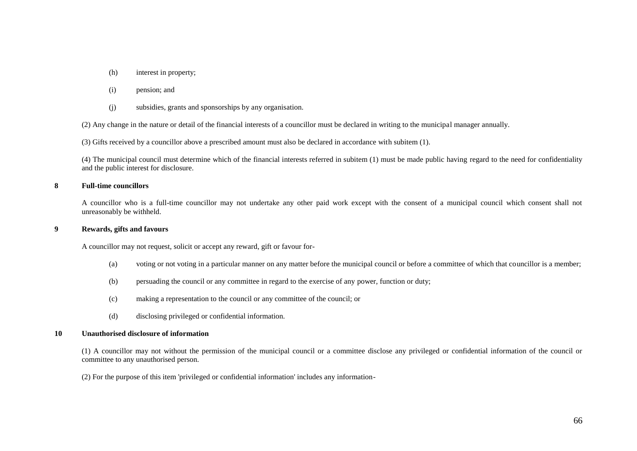(h) interest in property;

### (i) pension; and

(j) subsidies, grants and sponsorships by any organisation.

(2) Any change in the nature or detail of the financial interests of a councillor must be declared in writing to the municipal manager annually.

(3) Gifts received by a councillor above a prescribed amount must also be declared in accordance with subitem (1).

(4) The municipal council must determine which of the financial interests referred in subitem (1) must be made public having regard to the need for confidentiality and the public interest for disclosure.

### **8 Full-time councillors**

A councillor who is a full-time councillor may not undertake any other paid work except with the consent of a municipal council which consent shall not unreasonably be withheld.

### **9 Rewards, gifts and favours**

A councillor may not request, solicit or accept any reward, gift or favour for-

- (a) voting or not voting in a particular manner on any matter before the municipal council or before a committee of which that councillor is a member;
- (b) persuading the council or any committee in regard to the exercise of any power, function or duty;
- (c) making a representation to the council or any committee of the council; or
- (d) disclosing privileged or confidential information.

### **10 Unauthorised disclosure of information**

(1) A councillor may not without the permission of the municipal council or a committee disclose any privileged or confidential information of the council or committee to any unauthorised person.

(2) For the purpose of this item 'privileged or confidential information' includes any information-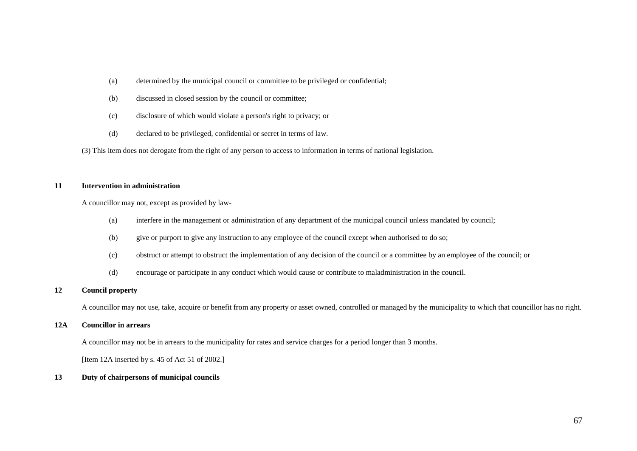- (a) determined by the municipal council or committee to be privileged or confidential;
- (b) discussed in closed session by the council or committee;
- (c) disclosure of which would violate a person's right to privacy; or
- (d) declared to be privileged, confidential or secret in terms of law.

(3) This item does not derogate from the right of any person to access to information in terms of national legislation.

### **11 Intervention in administration**

A councillor may not, except as provided by law-

- (a) interfere in the management or administration of any department of the municipal council unless mandated by council;
- (b) give or purport to give any instruction to any employee of the council except when authorised to do so;
- (c) obstruct or attempt to obstruct the implementation of any decision of the council or a committee by an employee of the council; or
- (d) encourage or participate in any conduct which would cause or contribute to maladministration in the council.

## **12 Council property**

A councillor may not use, take, acquire or benefit from any property or asset owned, controlled or managed by the municipality to which that councillor has no right.

#### **12A Councillor in arrears**

A councillor may not be in arrears to the municipality for rates and service charges for a period longer than 3 months.

[Item 12A inserted by s. 45 of Act 51 of 2002.]

### **13 Duty of chairpersons of municipal councils**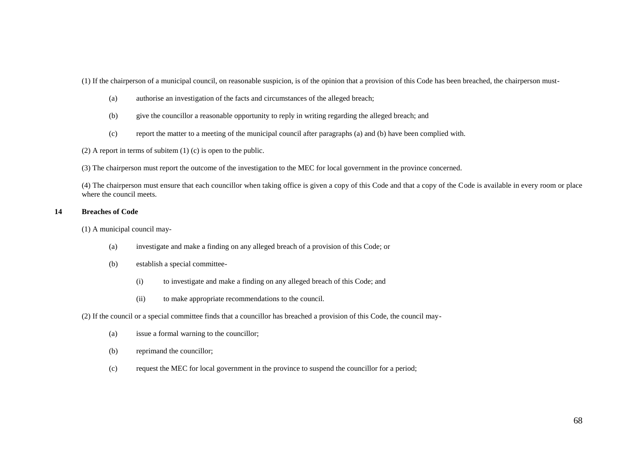(1) If the chairperson of a municipal council, on reasonable suspicion, is of the opinion that a provision of this Code has been breached, the chairperson must-

- (a) authorise an investigation of the facts and circumstances of the alleged breach;
- (b) give the councillor a reasonable opportunity to reply in writing regarding the alleged breach; and
- (c) report the matter to a meeting of the municipal council after paragraphs (a) and (b) have been complied with.

(2) A report in terms of subitem (1) (c) is open to the public.

(3) The chairperson must report the outcome of the investigation to the MEC for local government in the province concerned.

(4) The chairperson must ensure that each councillor when taking office is given a copy of this Code and that a copy of the Code is available in every room or place where the council meets.

### **14 Breaches of Code**

(1) A municipal council may-

- (a) investigate and make a finding on any alleged breach of a provision of this Code; or
- (b) establish a special committee-
	- (i) to investigate and make a finding on any alleged breach of this Code; and
	- (ii) to make appropriate recommendations to the council.

(2) If the council or a special committee finds that a councillor has breached a provision of this Code, the council may-

- (a) issue a formal warning to the councillor;
- (b) reprimand the councillor;
- (c) request the MEC for local government in the province to suspend the councillor for a period;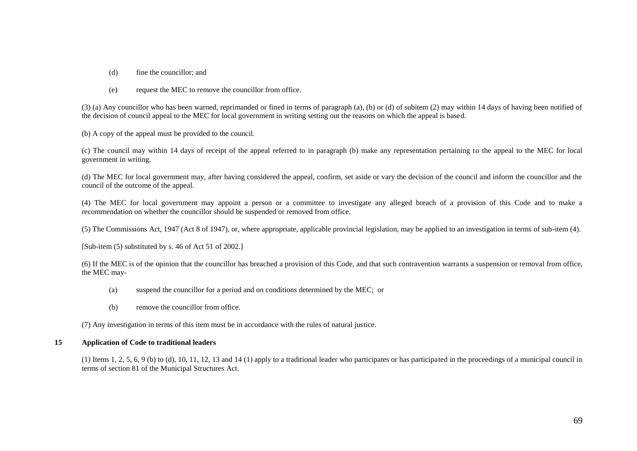- (d) fine the councillor; and
- (e) request the MEC to remove the councillor from office.

(3) (a) Any councillor who has been warned, reprimanded or fined in terms of paragraph (a), (b) or (d) of subitem (2) may within 14 days of having been notified of the decision of council appeal to the MEC for local government in writing setting out the reasons on which the appeal is based.

(b) A copy of the appeal must be provided to the council.

(c) The council may within 14 days of receipt of the appeal referred to in paragraph (b) make any representation pertaining to the appeal to the MEC for local government in writing.

(d) The MEC for local government may, after having considered the appeal, confirm, set aside or vary the decision of the council and inform the councillor and the council of the outcome of the appeal.

(4) The MEC for local government may appoint a person or a committee to investigate any alleged breach of a provision of this Code and to make a recommendation on whether the councillor should be suspended or removed from office.

(5) The Commissions Act, 1947 (Act 8 of 1947), or, where appropriate, applicable provincial legislation, may be applied to an investigation in terms of sub-item (4).

[Sub-item (5) substituted by s. 46 of Act 51 of 2002.]

(6) If the MEC is of the opinion that the councillor has breached a provision of this Code, and that such contravention warrants a suspension or removal from office, the MEC may-

- (a) suspend the councillor for a period and on conditions determined by the MEC; or
- (b) remove the councillor from office.

(7) Any investigation in terms of this item must be in accordance with the rules of natural justice.

## **15 Application of Code to traditional leaders**

(1) Items 1, 2, 5, 6, 9 (b) to (d), 10, 11, 12, 13 and 14 (1) apply to a traditional leader who participates or has participated in the proceedings of a municipal council in terms of section 81 of the Municipal Structures Act.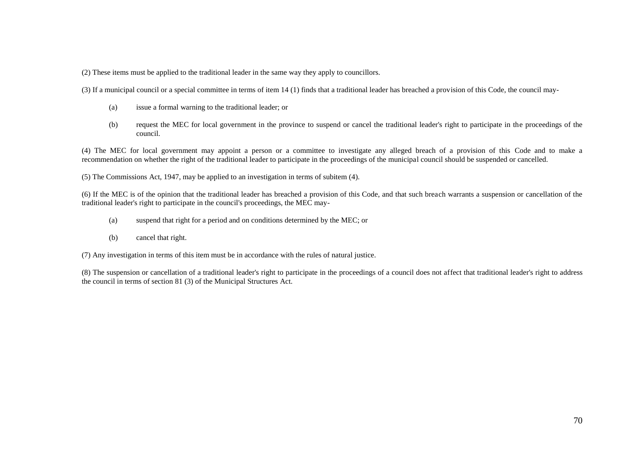(2) These items must be applied to the traditional leader in the same way they apply to councillors.

(3) If a municipal council or a special committee in terms of item 14 (1) finds that a traditional leader has breached a provision of this Code, the council may-

- (a) issue a formal warning to the traditional leader; or
- (b) request the MEC for local government in the province to suspend or cancel the traditional leader's right to participate in the proceedings of the council.

(4) The MEC for local government may appoint a person or a committee to investigate any alleged breach of a provision of this Code and to make a recommendation on whether the right of the traditional leader to participate in the proceedings of the municipal council should be suspended or cancelled.

(5) The Commissions Act, 1947, may be applied to an investigation in terms of subitem (4).

(6) If the MEC is of the opinion that the traditional leader has breached a provision of this Code, and that such breach warrants a suspension or cancellation of the traditional leader's right to participate in the council's proceedings, the MEC may-

- (a) suspend that right for a period and on conditions determined by the MEC; or
- (b) cancel that right.

(7) Any investigation in terms of this item must be in accordance with the rules of natural justice.

(8) The suspension or cancellation of a traditional leader's right to participate in the proceedings of a council does not affect that traditional leader's right to address the council in terms of section 81 (3) of the Municipal Structures Act.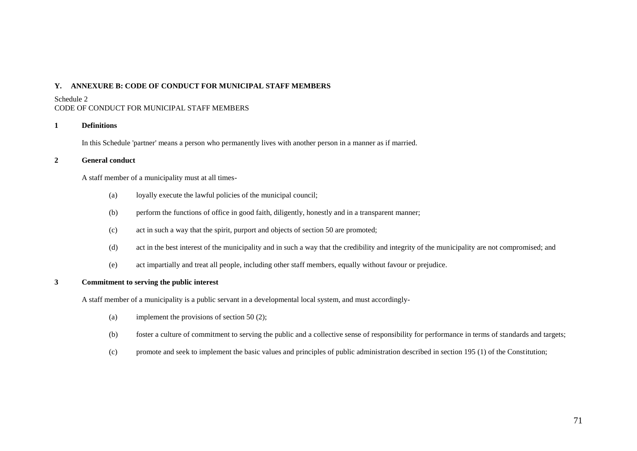## **Y. ANNEXURE B: CODE OF CONDUCT FOR MUNICIPAL STAFF MEMBERS**

### Schedule 2

# CODE OF CONDUCT FOR MUNICIPAL STAFF MEMBERS

## **1 Definitions**

In this Schedule 'partner' means a person who permanently lives with another person in a manner as if married.

## **2 General conduct**

A staff member of a municipality must at all times-

- (a) loyally execute the lawful policies of the municipal council;
- (b) perform the functions of office in good faith, diligently, honestly and in a transparent manner;
- (c) act in such a way that the spirit, purport and objects of section 50 are promoted;
- (d) act in the best interest of the municipality and in such a way that the credibility and integrity of the municipality are not compromised; and
- (e) act impartially and treat all people, including other staff members, equally without favour or prejudice.

# **3 Commitment to serving the public interest**

A staff member of a municipality is a public servant in a developmental local system, and must accordingly-

- (a) implement the provisions of section 50 (2);
- (b) foster a culture of commitment to serving the public and a collective sense of responsibility for performance in terms of standards and targets;
- (c) promote and seek to implement the basic values and principles of public administration described in section 195 (1) of the Constitution;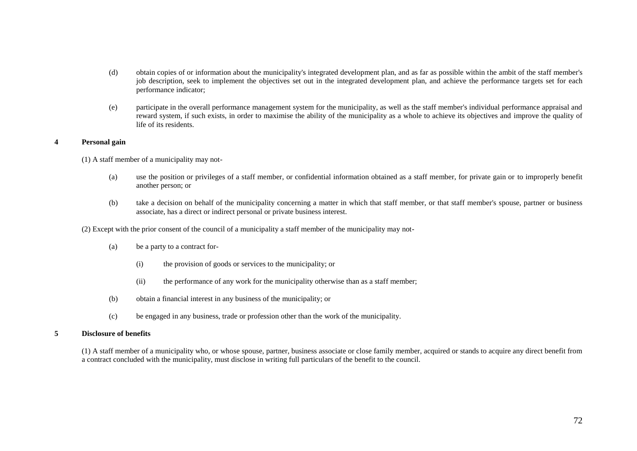- (d) obtain copies of or information about the municipality's integrated development plan, and as far as possible within the ambit of the staff member's job description, seek to implement the objectives set out in the integrated development plan, and achieve the performance targets set for each performance indicator;
- (e) participate in the overall performance management system for the municipality, as well as the staff member's individual performance appraisal and reward system, if such exists, in order to maximise the ability of the municipality as a whole to achieve its objectives and improve the quality of life of its residents.

### **4 Personal gain**

(1) A staff member of a municipality may not-

- (a) use the position or privileges of a staff member, or confidential information obtained as a staff member, for private gain or to improperly benefit another person; or
- (b) take a decision on behalf of the municipality concerning a matter in which that staff member, or that staff member's spouse, partner or business associate, has a direct or indirect personal or private business interest.

(2) Except with the prior consent of the council of a municipality a staff member of the municipality may not-

- (a) be a party to a contract for-
	- (i) the provision of goods or services to the municipality; or
	- (ii) the performance of any work for the municipality otherwise than as a staff member;
- (b) obtain a financial interest in any business of the municipality; or
- (c) be engaged in any business, trade or profession other than the work of the municipality.

### **5 Disclosure of benefits**

(1) A staff member of a municipality who, or whose spouse, partner, business associate or close family member, acquired or stands to acquire any direct benefit from a contract concluded with the municipality, must disclose in writing full particulars of the benefit to the council.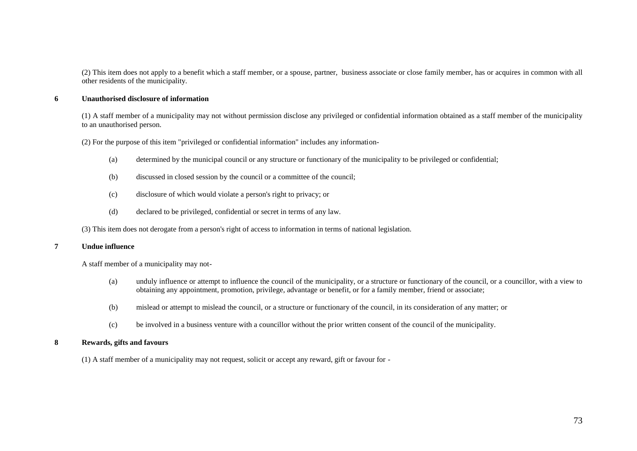(2) This item does not apply to a benefit which a staff member, or a spouse, partner, business associate or close family member, has or acquires in common with all other residents of the municipality.

### **6 Unauthorised disclosure of information**

(1) A staff member of a municipality may not without permission disclose any privileged or confidential information obtained as a staff member of the municipality to an unauthorised person.

(2) For the purpose of this item "privileged or confidential information" includes any information-

- (a) determined by the municipal council or any structure or functionary of the municipality to be privileged or confidential;
- (b) discussed in closed session by the council or a committee of the council;
- (c) disclosure of which would violate a person's right to privacy; or
- (d) declared to be privileged, confidential or secret in terms of any law.

(3) This item does not derogate from a person's right of access to information in terms of national legislation.

## **7 Undue influence**

A staff member of a municipality may not-

- (a) unduly influence or attempt to influence the council of the municipality, or a structure or functionary of the council, or a councillor, with a view to obtaining any appointment, promotion, privilege, advantage or benefit, or for a family member, friend or associate;
- (b) mislead or attempt to mislead the council, or a structure or functionary of the council, in its consideration of any matter; or
- (c) be involved in a business venture with a councillor without the prior written consent of the council of the municipality.

## **8 Rewards, gifts and favours**

(1) A staff member of a municipality may not request, solicit or accept any reward, gift or favour for -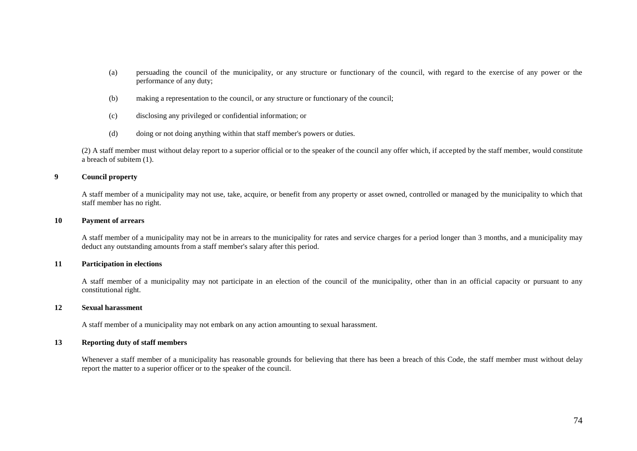- (a) persuading the council of the municipality, or any structure or functionary of the council, with regard to the exercise of any power or the performance of any duty;
- (b) making a representation to the council, or any structure or functionary of the council;
- (c) disclosing any privileged or confidential information; or
- (d) doing or not doing anything within that staff member's powers or duties.

(2) A staff member must without delay report to a superior official or to the speaker of the council any offer which, if accepted by the staff member, would constitute a breach of subitem (1).

### **9 Council property**

A staff member of a municipality may not use, take, acquire, or benefit from any property or asset owned, controlled or managed by the municipality to which that staff member has no right.

#### **10 Payment of arrears**

A staff member of a municipality may not be in arrears to the municipality for rates and service charges for a period longer than 3 months, and a municipality may deduct any outstanding amounts from a staff member's salary after this period.

### **11 Participation in elections**

A staff member of a municipality may not participate in an election of the council of the municipality, other than in an official capacity or pursuant to any constitutional right.

### **12 Sexual harassment**

A staff member of a municipality may not embark on any action amounting to sexual harassment.

#### **13 Reporting duty of staff members**

Whenever a staff member of a municipality has reasonable grounds for believing that there has been a breach of this Code, the staff member must without delay report the matter to a superior officer or to the speaker of the council.